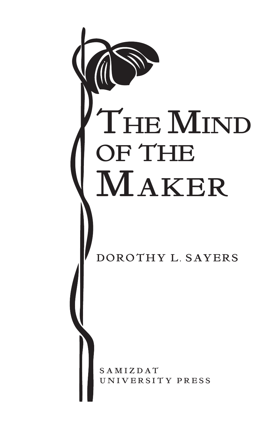# The Mind OF THE Maker

DOROTHY L. SAYERS

SAMIZDAT univ ers i ty P ress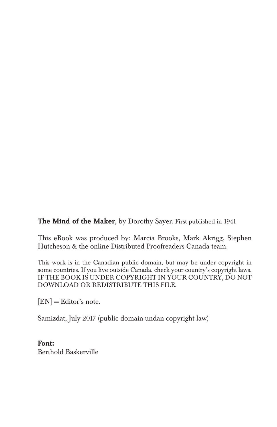The Mind of the Maker, by Dorothy Sayer. First published in 1941

This eBook was produced by: Marcia Brooks, Mark Akrigg, Stephen Hutcheson & the online [Distributed Proofreaders Canada](http://www.pgdpcanada.net) team.

This work is in the Canadian public domain, but may be under copyright in some countries. If you live outside Canada, check your country's copyright laws. IF THE BOOK IS UNDER COPYRIGHT IN YOUR COUNTRY, DO NOT DOWNLOAD OR REDISTRIBUTE THIS FILE.

[EN] = Editor's note.

Samizdat, July 2017 (public domain un[dan copyright law\)](http://laws-lois.justice.gc.ca/eng/acts/C-42/page-6.html#h-6)

Font: Berthold Baskerville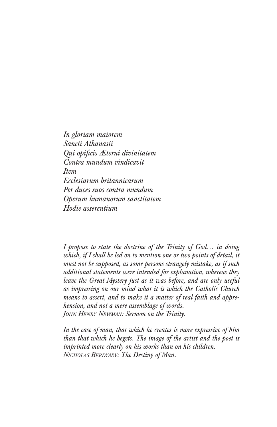*In gloriam maiorem Sancti Athanasii Qui opificis Æterni divinitatem Contra mundum vindicavit Item Ecclesiarum britannicarum Per duces suos contra mundum Operum humanorum sanctitatem Hodie asserentium*

*I propose to state the doctrine of the Trinity of God… in doing which, if I shall be led on to mention one or two points of detail, it must not be supposed, as some persons strangely mistake, as if such additional statements were intended for explanation, whereas they leave the Great Mystery just as it was before, and are only useful as impressing on our mind what it is which the Catholic Church means to assert, and to make it a matter of real faith and apprehension, and not a mere assemblage of words. John Henry Newman: Sermon on the Trinity.*

*In the case of man, that which he creates is more expressive of him than that which he begets. The image of the artist and the poet is imprinted more clearly on his works than on his children. Nicholas Berdyaev: The Destiny of Man.*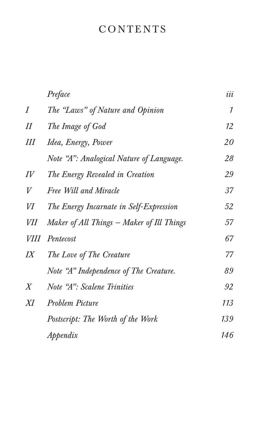# **CONTENTS**

|                  | Preface                                   | iii           |
|------------------|-------------------------------------------|---------------|
| $\boldsymbol{I}$ | The "Laws" of Nature and Opinion          | $\mathcal{I}$ |
| $I\!I$           | The Image of God                          | 12            |
| Ш                | Idea, Energy, Power                       | 20            |
|                  | Note "A": Analogical Nature of Language.  | 28            |
| IV               | The Energy Revealed in Creation           | 29            |
| V                | Free Will and Miracle                     | 37            |
| И                | The Energy Incarnate in Self-Expression   | 52            |
| VН               | Maker of All Things - Maker of Ill Things | 57            |
| <i>VIII</i>      | Pentecost                                 | 67            |
| $I\!X$           | The Love of The Creature                  | 77            |
|                  | Note "A" Independence of The Creature.    | 89            |
| $\boldsymbol{X}$ | Note "A": Scalene Trinities               | 92            |
| $X\!I$           | <b>Problem Picture</b>                    | 113           |
|                  | Postscript: The Worth of the Work         | 139           |
|                  | Appendix                                  | 146           |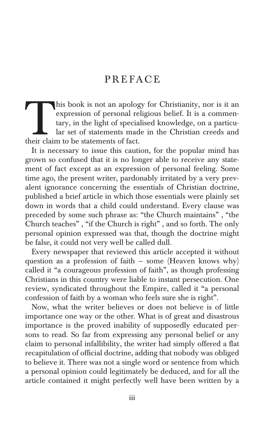### PREFACE

<span id="page-5-0"></span>This book is not an apology for Christianity, nor is it an expression of personal religious belief. It is a commentary, in the light of specialised knowledge, on a particular set of statements made in the Christian creeds expression of personal religious belief. It is a commentary, in the light of specialised knowledge, on a particular set of statements made in the Christian creeds and their claim to be statements of fact.

It is necessary to issue this caution, for the popular mind has grown so confused that it is no longer able to receive any statement of fact except as an expression of personal feeling. Some time ago, the present writer, pardonably irritated by a very prevalent ignorance concerning the essentials of Christian doctrine, published a brief article in which those essentials were plainly set down in words that a child could understand. Every clause was preceded by some such phrase as: "the Church maintains" , "the Church teaches" , "if the Church is right" , and so forth. The only personal opinion expressed was that, though the doctrine might be false, it could not very well be called dull.

Every newspaper that reviewed this article accepted it without question as a profession of faith — some (Heaven knows why) called it "a courageous profession of faith", as though professing Christians in this country were liable to instant persecution. One review, syndicated throughout the Empire, called it "a personal confession of faith by a woman who feels sure she is right".

Now, what the writer believes or does not believe is of little importance one way or the other. What is of great and disastrous importance is the proved inability of supposedly educated persons to read. So far from expressing any personal belief or any claim to personal infallibility, the writer had simply offered a flat recapitulation of official doctrine, adding that nobody was obliged to believe it. There was not a single word or sentence from which a personal opinion could legitimately be deduced, and for all the article contained it might perfectly well have been written by a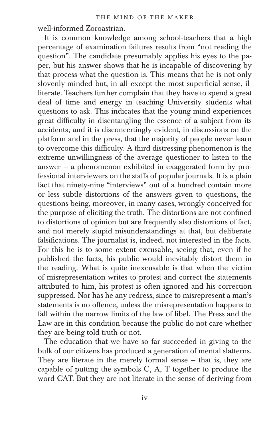well-informed Zoroastrian.

It is common knowledge among school-teachers that a high percentage of examination failures results from "not reading the question". The candidate presumably applies his eyes to the paper, but his answer shows that he is incapable of discovering by that process what the question is. This means that he is not only slovenly-minded but, in all except the most superficial sense, illiterate. Teachers further complain that they have to spend a great deal of time and energy in teaching University students what questions to ask. This indicates that the young mind experiences great difficulty in disentangling the essence of a subject from its accidents; and it is disconcertingly evident, in discussions on the platform and in the press, that the majority of people never learn to overcome this difficulty. A third distressing phenomenon is the extreme unwillingness of the average questioner to listen to the answer — a phenomenon exhibited in exaggerated form by professional interviewers on the staffs of popular journals. It is a plain fact that ninety-nine "interviews" out of a hundred contain more or less subtle distortions of the answers given to questions, the questions being, moreover, in many cases, wrongly conceived for the purpose of eliciting the truth. The distortions are not confined to distortions of opinion but are frequently also distortions of fact, and not merely stupid misunderstandings at that, but deliberate falsifications. The journalist is, indeed, not interested in the facts. For this he is to some extent excusable, seeing that, even if he published the facts, his public would inevitably distort them in the reading. What is quite inexcusable is that when the victim of misrepresentation writes to protest and correct the statements attributed to him, his protest is often ignored and his correction suppressed. Nor has he any redress, since to misrepresent a man's statements is no offence, unless the misrepresentation happens to fall within the narrow limits of the law of libel. The Press and the Law are in this condition because the public do not care whether they are being told truth or not.

The education that we have so far succeeded in giving to the bulk of our citizens has produced a generation of mental slatterns. They are literate in the merely formal sense — that is, they are capable of putting the symbols C, A, T together to produce the word CAT. But they are not literate in the sense of deriving from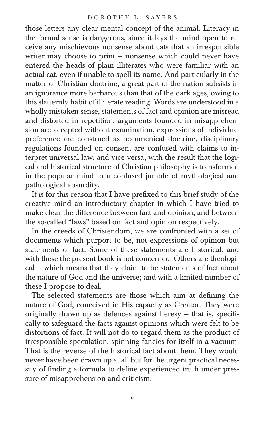those letters any clear mental concept of the animal. Literacy in the formal sense is dangerous, since it lays the mind open to receive any mischievous nonsense about cats that an irresponsible writer may choose to print — nonsense which could never have entered the heads of plain illiterates who were familiar with an actual cat, even if unable to spell its name. And particularly in the matter of Christian doctrine, a great part of the nation subsists in an ignorance more barbarous than that of the dark ages, owing to this slatternly habit of illiterate reading. Words are understood in a wholly mistaken sense, statements of fact and opinion are misread and distorted in repetition, arguments founded in misapprehension are accepted without examination, expressions of individual preference are construed as oecumenical doctrine, disciplinary regulations founded on consent are confused with claims to interpret universal law, and vice versa; with the result that the logical and historical structure of Christian philosophy is transformed in the popular mind to a confused jumble of mythological and pathological absurdity.

It is for this reason that I have prefixed to this brief study of the creative mind an introductory chapter in which I have tried to make clear the difference between fact and opinion, and between the so-called "laws" based on fact and opinion respectively.

In the creeds of Christendom, we are confronted with a set of documents which purport to be, not expressions of opinion but statements of fact. Some of these statements are historical, and with these the present book is not concerned. Others are theological — which means that they claim to be statements of fact about the nature of God and the universe; and with a limited number of these I propose to deal.

The selected statements are those which aim at defining the nature of God, conceived in His capacity as Creator. They were originally drawn up as defences against heresy — that is, specifically to safeguard the facts against opinions which were felt to be distortions of fact. It will not do to regard them as the product of irresponsible speculation, spinning fancies for itself in a vacuum. That is the reverse of the historical fact about them. They would never have been drawn up at all but for the urgent practical necessity of finding a formula to define experienced truth under pressure of misapprehension and criticism.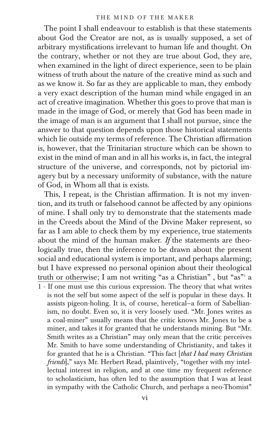The point I shall endeavour to establish is that these statements about God the Creator are not, as is usually supposed, a set of arbitrary mystifications irrelevant to human life and thought. On the contrary, whether or not they are true about God, they are, when examined in the light of direct experience, seen to be plain witness of truth about the nature of the creative mind as such and as we know it. So far as they are applicable to man, they embody a very exact description of the human mind while engaged in an act of creative imagination. Whether this goes to prove that man is made in the image of God, or merely that God has been made in the image of man is an argument that I shall not pursue, since the answer to that question depends upon those historical statements which lie outside my terms of reference. The Christian affirmation is, however, that the Trinitarian structure which can be shown to exist in the mind of man and in all his works is, in fact, the integral structure of the universe, and corresponds, not by pictorial imagery but by a necessary uniformity of substance, with the nature of God, in Whom all that is exists.

This, I repeat, is the Christian affirmation. It is not my invention, and its truth or falsehood cannot be affected by any opinions of mine. I shall only try to demonstrate that the statements made in the Creeds about the Mind of the Divine Maker represent, so far as I am able to check them by my experience, true statements about the mind of the human maker. *If* the statements are theologically true, then the inference to be drawn about the present social and educational system is important, and perhaps alarming; but I have expressed no personal opinion about their theological truth or otherwise; I am not writing "as a Christian", but "as"<sup>1</sup> a

1 - If one must use this curious expression. The theory that what writes is not the self but some aspect of the self is popular in these days. It assists pigeon-holing. It is, of course, heretical—a form of Sabellianism, no doubt. Even so, it is very loosely used. "Mr. Jones writes as a coal-miner" usually means that the critic knows Mr. Jones to be a miner, and takes it for granted that he understands mining. But "Mr. Smith writes as a Christian" may only mean that the critic perceives Mr. Smith to have some understanding of Christianity, and takes it for granted that he is a Christian. "This fact [*that I had many Christian friends*]," says Mr. Herbert Read, plaintively, "together with my intellectual interest in religion, and at one time my frequent reference to scholasticism, has often led to the assumption that I was at least in sympathy with the Catholic Church, and perhaps a neo-Thomist"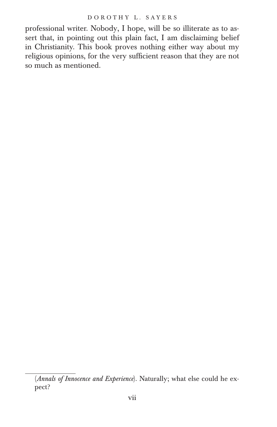professional writer. Nobody, I hope, will be so illiterate as to assert that, in pointing out this plain fact, I am disclaiming belief in Christianity. This book proves nothing either way about my religious opinions, for the very sufficient reason that they are not so much as mentioned.

<sup>(</sup>*Annals of Innocence and Experience*). Naturally; what else could he expect?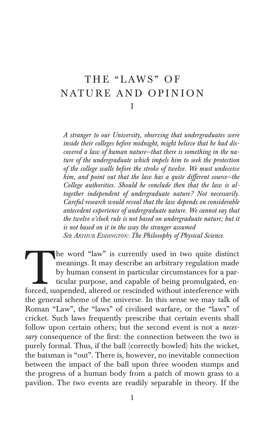## <span id="page-10-0"></span>THE "LAWS" OF Nature and O pinion I

*A stranger to our University, observing that undergraduates were inside their colleges before midnight, might believe that he had discovered a law of human nature—that there is something in the nature of the undergraduate which impels him to seek the protection of the college walls before the stroke of twelve. We must undeceive him, and point out that the law has a quite different source—the College authorities. Should he conclude then that the law is altogether independent of undergraduate nature? Not necessarily. Careful research would reveal that the law depends on considerable antecedent experience of undergraduate nature. We cannot say that the twelve o'clock rule is not based on undergraduate nature; but it is not based on it in the way the stranger assumed Sir Arthur Eddington: The Philosophy of Physical Science.*

The word "law" is currently used in two quite distinct meanings. It may describe an arbitrary regulation made by human consent in particular circumstances for a particular purpose, and capable of being promulgated, enforce meanings. It may describe an arbitrary regulation made by human consent in particular circumstances for a particular purpose, and capable of being promulgated, enthe general scheme of the universe. In this sense we may talk of Roman "Law", the "laws" of civilised warfare, or the "laws" of cricket. Such laws frequently prescribe that certain events shall follow upon certain others; but the second event is not a *necessary* consequence of the first: the connection between the two is purely formal. Thus, if the ball (correctly bowled) hits the wicket, the batsman is "out". There is, however, no inevitable connection between the impact of the ball upon three wooden stumps and the progress of a human body from a patch of mown grass to a pavilion. The two events are readily separable in theory. If the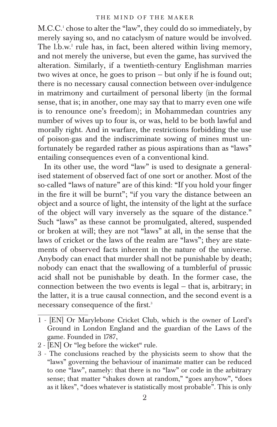M.C.C.<sup>1</sup> chose to alter the "law", they could do so immediately, by merely saying so, and no cataclysm of nature would be involved. The l.b.w.<sup>2</sup> rule has, in fact, been altered within living memory, and not merely the universe, but even the game, has survived the alteration. Similarly, if a twentieth-century Englishman marries two wives at once, he goes to prison — but only if he is found out; there is no necessary causal connection between over-indulgence in matrimony and curtailment of personal liberty (in the formal sense, that is; in another, one may say that to marry even one wife is to renounce one's freedom); in Mohammedan countries any number of wives up to four is, or was, held to be both lawful and morally right. And in warfare, the restrictions forbidding the use of poison-gas and the indiscriminate sowing of mines must unfortunately be regarded rather as pious aspirations than as "laws" entailing consequences even of a conventional kind.

In its other use, the word "law" is used to designate a generalised statement of observed fact of one sort or another. Most of the so-called "laws of nature" are of this kind: "If you hold your finger in the fire it will be burnt"; "if you vary the distance between an object and a source of light, the intensity of the light at the surface of the object will vary inversely as the square of the distance." Such "laws" as these cannot be promulgated, altered, suspended or broken at will; they are not "laws" at all, in the sense that the laws of cricket or the laws of the realm are "laws"; they are statements of observed facts inherent in the nature of the universe. Anybody can enact that murder shall not be punishable by death; nobody can enact that the swallowing of a tumblerful of prussic acid shall not be punishable by death. In the former case, the connection between the two events is legal — that is, arbitrary; in the latter, it is a true causal connection, and the second event is a necessary consequence of the first.3

<sup>1 - [</sup>EN] Or Marylebone Cricket Club, which is the owner of Lord's Ground in London England and the guardian of the Laws of the game. Founded in 1787,

<sup>2 - [</sup>EN] Or "leg before the wicket" rule.

<sup>3 -</sup> The conclusions reached by the physicists seem to show that the "laws" governing the behaviour of inanimate matter can be reduced to one "law", namely: that there is no "law" or code in the arbitrary sense; that matter "shakes down at random," "goes anyhow", "does as it likes", "does whatever is statistically most probable". This is only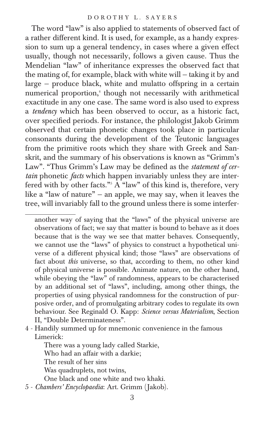The word "law" is also applied to statements of observed fact of a rather different kind. It is used, for example, as a handy expression to sum up a general tendency, in cases where a given effect usually, though not necessarily, follows a given cause. Thus the Mendelian "law" of inheritance expresses the observed fact that the mating of, for example, black with white will — taking it by and large — produce black, white and mulatto offspring in a certain numerical proportion,<sup>4</sup> though not necessarily with arithmetical exactitude in any one case. The same word is also used to express a *tendency* which has been observed to occur, as a historic fact, over specified periods. For instance, the philologist Jakob Grimm observed that certain phonetic changes took place in particular consonants during the development of the Teutonic languages from the primitive roots which they share with Greek and Sanskrit, and the summary of his observations is known as "Grimm's Law". "Thus Grimm's Law may be defined as the *statement of certain* phonetic *facts* which happen invariably unless they are interfered with by other facts."5 A "law" of this kind is, therefore, very like a "law of nature" — an apple, we may say, when it leaves the tree, will invariably fall to the ground unless there is some interfer-

another way of saying that the "laws" of the physical universe are observations of fact; we say that matter is bound to behave as it does because that is the way we see that matter behaves. Consequently, we cannot use the "laws" of physics to construct a hypothetical universe of a different physical kind; those "laws" are observations of fact about *this* universe, so that, according to them, no other kind of physical universe is possible. Animate nature, on the other hand, while obeying the "law" of randomness, appears to be characterised by an additional set of "laws", including, among other things, the properties of using physical randomness for the construction of purposive order, and of promulgating arbitrary codes to regulate its own behaviour. See Reginald O. Kapp: *Science versus Materialism*, Section II, "Double Determinateness".

4 - Handily summed up for mnemonic convenience in the famous Limerick:

There was a young lady called Starkie, Who had an affair with a darkie; The result of her sins Was quadruplets, not twins, One black and one white and two khaki.

<sup>5 -</sup> *Chambers' Encyclopaedia*: Art. Grimm (Jakob).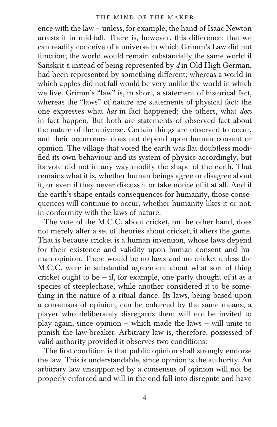ence with the law — unless, for example, the hand of Isaac Newton arrests it in mid-fall. There is, however, this difference: that we can readily conceive of a universe in which Grimm's Law did not function; the world would remain substantially the same world if Sanskrit *t*, instead of being represented by *d* in Old High German, had been represented by something different; whereas a world in which apples did not fall would be very unlike the world in which we live. Grimm's "law" is, in short, a statement of historical fact, whereas the "laws" of nature are statements of physical fact: the one expresses what *has* in fact happened; the others, what *does* in fact happen. But both are statements of observed fact about the nature of the universe. Certain things are observed to occur, and their occurrence does not depend upon human consent or opinion. The village that voted the earth was flat doubtless modified its own behaviour and its system of physics accordingly, but its vote did not in any way modify the shape of the earth. That remains what it is, whether human beings agree or disagree about it, or even if they never discuss it or take notice of it at all. And if the earth's shape entails consequences for humanity, those consequences will continue to occur, whether humanity likes it or not, in conformity with the laws of nature.

The vote of the M.C.C. about cricket, on the other hand, does not merely alter a set of theories about cricket; it alters the game. That is because cricket is a human invention, whose laws depend for their existence and validity upon human consent and human opinion. There would be no laws and no cricket unless the M.C.C. were in substantial agreement about what sort of thing cricket ought to be  $-$  if, for example, one party thought of it as a species of steeplechase, while another considered it to be something in the nature of a ritual dance. Its laws, being based upon a consensus of opinion, can be enforced by the same means; a player who deliberately disregards them will not be invited to play again, since opinion — which made the laws — will unite to punish the law-breaker. Arbitrary law is, therefore, possessed of valid authority provided it observes two conditions: —

The first condition is that public opinion shall strongly endorse the law. This is understandable, since opinion is the authority. An arbitrary law unsupported by a consensus of opinion will not be properly enforced and will in the end fall into disrepute and have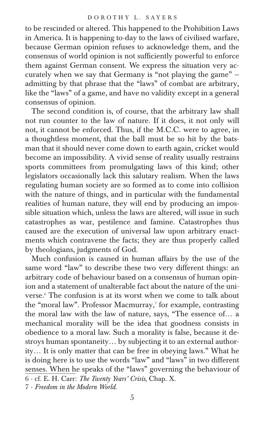to be rescinded or altered. This happened to the Prohibition Laws in America. It is happening to-day to the laws of civilised warfare, because German opinion refuses to acknowledge them, and the consensus of world opinion is not sufficiently powerful to enforce them against German consent. We express the situation very accurately when we say that Germany is "not playing the game" admitting by that phrase that the "laws" of combat are arbitrary, like the "laws" of a game, and have no validity except in a general consensus of opinion.

The second condition is, of course, that the arbitrary law shall not run counter to the law of nature. If it does, it not only will not, it cannot be enforced. Thus, if the M.C.C. were to agree, in a thoughtless moment, that the ball must be so hit by the batsman that it should never come down to earth again, cricket would become an impossibility. A vivid sense of reality usually restrains sports committees from promulgating laws of this kind; other legislators occasionally lack this salutary realism. When the laws regulating human society are so formed as to come into collision with the nature of things, and in particular with the fundamental realities of human nature, they will end by producing an impossible situation which, unless the laws are altered, will issue in such catastrophes as war, pestilence and famine. Catastrophes thus caused are the execution of universal law upon arbitrary enactments which contravene the facts; they are thus properly called by theologians, judgments of God.

Much confusion is caused in human affairs by the use of the same word "law" to describe these two very different things: an arbitrary code of behaviour based on a consensus of human opinion and a statement of unalterable fact about the nature of the universe.6 The confusion is at its worst when we come to talk about the "moral law". Professor Macmurray,<sup>7</sup> for example, contrasting the moral law with the law of nature, says, "The essence of… a mechanical morality will be the idea that goodness consists in obedience to a moral law. Such a morality is false, because it destroys human spontaneity… by subjecting it to an external authority… It is only matter that can be free in obeying laws." What he is doing here is to use the words "law" and "laws" in two different senses. When he speaks of the "laws" governing the behaviour of 6 - cf. E. H. Carr: *The Twenty Years' Crisis*, Chap. X.

7 - *Freedom in the Modern World*.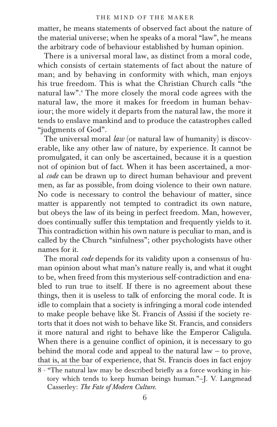#### THE MIND OF THE MAKER

matter, he means statements of observed fact about the nature of the material universe; when he speaks of a moral "law", he means the arbitrary code of behaviour established by human opinion.

There is a universal moral law, as distinct from a moral code, which consists of certain statements of fact about the nature of man; and by behaving in conformity with which, man enjoys his true freedom. This is what the Christian Church calls "the natural law".<sup>8</sup> The more closely the moral code agrees with the natural law, the more it makes for freedom in human behaviour; the more widely it departs from the natural law, the more it tends to enslave mankind and to produce the catastrophes called "judgments of God".

The universal moral *law* (or natural law of humanity) is discoverable, like any other law of nature, by experience. It cannot be promulgated, it can only be ascertained, because it is a question not of opinion but of fact. When it has been ascertained, a moral *code* can be drawn up to direct human behaviour and prevent men, as far as possible, from doing violence to their own nature. No code is necessary to control the behaviour of matter, since matter is apparently not tempted to contradict its own nature, but obeys the law of its being in perfect freedom. Man, however, does continually suffer this temptation and frequently yields to it. This contradiction within his own nature is peculiar to man, and is called by the Church "sinfulness"; other psychologists have other names for it.

The moral *code* depends for its validity upon a consensus of human opinion about what man's nature really is, and what it ought to be, when freed from this mysterious self-contradiction and enabled to run true to itself. If there is no agreement about these things, then it is useless to talk of enforcing the moral code. It is idle to complain that a society is infringing a moral code intended to make people behave like St. Francis of Assisi if the society retorts that it does not wish to behave like St. Francis, and considers it more natural and right to behave like the Emperor Caligula. When there is a genuine conflict of opinion, it is necessary to go behind the moral code and appeal to the natural law — to prove, that is, at the bar of experience, that St. Francis does in fact enjoy

<sup>8 - &</sup>quot;The natural law may be described briefly as a force working in history which tends to keep human beings human."—J. V. Langmead Casserley: *The Fate of Modern Culture*.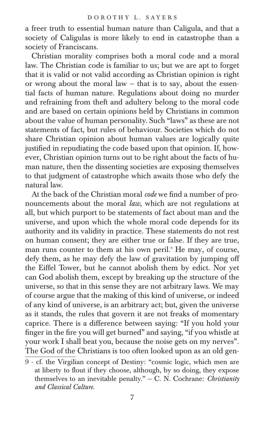a freer truth to essential human nature than Caligula, and that a society of Caligulas is more likely to end in catastrophe than a society of Franciscans.

Christian morality comprises both a moral code and a moral law. The Christian code is familiar to us; but we are apt to forget that it is valid or not valid according as Christian opinion is right or wrong about the moral law — that is to say, about the essential facts of human nature. Regulations about doing no murder and refraining from theft and adultery belong to the moral code and are based on certain opinions held by Christians in common about the value of human personality. Such "laws" as these are not statements of fact, but rules of behaviour. Societies which do not share Christian opinion about human values are logically quite justified in repudiating the code based upon that opinion. If, however, Christian opinion turns out to be right about the facts of human nature, then the dissenting societies are exposing themselves to that judgment of catastrophe which awaits those who defy the natural law.

At the back of the Christian moral *code* we find a number of pronouncements about the moral *law*, which are not regulations at all, but which purport to be statements of fact about man and the universe, and upon which the whole moral code depends for its authority and its validity in practice. These statements do not rest on human consent; they are either true or false. If they are true, man runs counter to them at his own peril.<sup>9</sup> He may, of course, defy them, as he may defy the law of gravitation by jumping off the Eiffel Tower, but he cannot abolish them by edict. Nor yet can God abolish them, except by breaking up the structure of the universe, so that in this sense they are not arbitrary laws. We may of course argue that the making of this kind of universe, or indeed of any kind of universe, is an arbitrary act; but, given the universe as it stands, the rules that govern it are not freaks of momentary caprice. There is a difference between saying: "If you hold your finger in the fire you will get burned" and saying, "if you whistle at your work I shall beat you, because the noise gets on my nerves". The God of the Christians is too often looked upon as an old gen-

<sup>9 -</sup> cf. the Virgilian concept of Destiny: "cosmic logic, which men are at liberty to flout if they choose, although, by so doing, they expose themselves to an inevitable penalty." — C. N. Cochrane: *Christianity and Classical Culture*.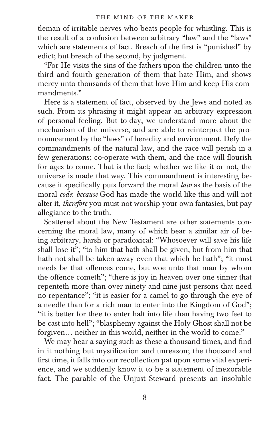#### THE MIND OF THE MAKER

tleman of irritable nerves who beats people for whistling. This is the result of a confusion between arbitrary "law" and the "laws" which are statements of fact. Breach of the first is "punished" by edict; but breach of the second, by judgment.

"For He visits the sins of the fathers upon the children unto the third and fourth generation of them that hate Him, and shows mercy unto thousands of them that love Him and keep His commandments."

Here is a statement of fact, observed by the Jews and noted as such. From its phrasing it might appear an arbitrary expression of personal feeling. But to-day, we understand more about the mechanism of the universe, and are able to reinterpret the pronouncement by the "laws" of heredity and environment. Defy the commandments of the natural law, and the race will perish in a few generations; co-operate with them, and the race will flourish for ages to come. That is the fact; whether we like it or not, the universe is made that way. This commandment is interesting because it specifically puts forward the moral *law* as the basis of the moral *code*: *because* God has made the world like this and will not alter it, *therefore* you must not worship your own fantasies, but pay allegiance to the truth.

Scattered about the New Testament are other statements concerning the moral law, many of which bear a similar air of being arbitrary, harsh or paradoxical: "Whosoever will save his life shall lose it"; "to him that hath shall be given, but from him that hath not shall be taken away even that which he hath"; "it must needs be that offences come, but woe unto that man by whom the offence cometh"; "there is joy in heaven over one sinner that repenteth more than over ninety and nine just persons that need no repentance"; "it is easier for a camel to go through the eye of a needle than for a rich man to enter into the Kingdom of God"; "it is better for thee to enter halt into life than having two feet to be cast into hell"; "blasphemy against the Holy Ghost shall not be forgiven… neither in this world, neither in the world to come."

We may hear a saying such as these a thousand times, and find in it nothing but mystification and unreason; the thousand and first time, it falls into our recollection pat upon some vital experience, and we suddenly know it to be a statement of inexorable fact. The parable of the Unjust Steward presents an insoluble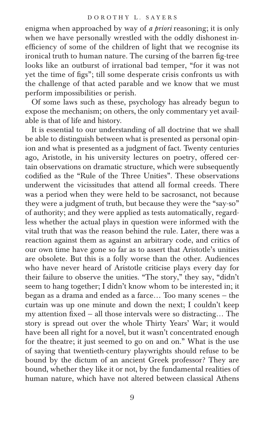enigma when approached by way of *a priori* reasoning; it is only when we have personally wrestled with the oddly dishonest inefficiency of some of the children of light that we recognise its ironical truth to human nature. The cursing of the barren fig-tree looks like an outburst of irrational bad temper, "for it was not yet the time of figs"; till some desperate crisis confronts us with the challenge of that acted parable and we know that we must perform impossibilities or perish.

Of some laws such as these, psychology has already begun to expose the mechanism; on others, the only commentary yet available is that of life and history.

It is essential to our understanding of all doctrine that we shall be able to distinguish between what is presented as personal opinion and what is presented as a judgment of fact. Twenty centuries ago, Aristotle, in his university lectures on poetry, offered certain observations on dramatic structure, which were subsequently codified as the "Rule of the Three Unities". These observations underwent the vicissitudes that attend all formal creeds. There was a period when they were held to be sacrosanct, not because they were a judgment of truth, but because they were the "say-so" of authority; and they were applied as tests automatically, regardless whether the actual plays in question were informed with the vital truth that was the reason behind the rule. Later, there was a reaction against them as against an arbitrary code, and critics of our own time have gone so far as to assert that Aristotle's unities are obsolete. But this is a folly worse than the other. Audiences who have never heard of Aristotle criticise plays every day for their failure to observe the unities. "The story," they say, "didn't seem to hang together; I didn't know whom to be interested in; it began as a drama and ended as a farce… Too many scenes — the curtain was up one minute and down the next; I couldn't keep my attention fixed — all those intervals were so distracting… The story is spread out over the whole Thirty Years' War; it would have been all right for a novel, but it wasn't concentrated enough for the theatre; it just seemed to go on and on." What is the use of saying that twentieth-century playwrights should refuse to be bound by the dictum of an ancient Greek professor? They are bound, whether they like it or not, by the fundamental realities of human nature, which have not altered between classical Athens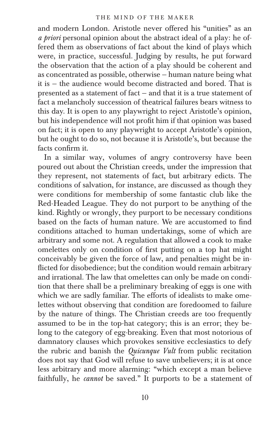#### THE MIND OF THE MAKER

and modern London. Aristotle never offered his "unities" as an *a priori* personal opinion about the abstract ideal of a play: he offered them as observations of fact about the kind of plays which were, in practice, successful. Judging by results, he put forward the observation that the action of a play should be coherent and as concentrated as possible, otherwise — human nature being what it is — the audience would become distracted and bored. That is presented as a statement of fact — and that it is a true statement of fact a melancholy succession of theatrical failures bears witness to this day. It is open to any playwright to reject Aristotle's opinion, but his independence will not profit him if that opinion was based on fact; it is open to any playwright to accept Aristotle's opinion, but he ought to do so, not because it is Aristotle's, but because the facts confirm it.

In a similar way, volumes of angry controversy have been poured out about the Christian creeds, under the impression that they represent, not statements of fact, but arbitrary edicts. The conditions of salvation, for instance, are discussed as though they were conditions for membership of some fantastic club like the Red-Headed League. They do not purport to be anything of the kind. Rightly or wrongly, they purport to be necessary conditions based on the facts of human nature. We are accustomed to find conditions attached to human undertakings, some of which are arbitrary and some not. A regulation that allowed a cook to make omelettes only on condition of first putting on a top hat might conceivably be given the force of law, and penalties might be inflicted for disobedience; but the condition would remain arbitrary and irrational. The law that omelettes can only be made on condition that there shall be a preliminary breaking of eggs is one with which we are sadly familiar. The efforts of idealists to make omelettes without observing that condition are foredoomed to failure by the nature of things. The Christian creeds are too frequently assumed to be in the top-hat category; this is an error; they belong to the category of egg-breaking. Even that most notorious of damnatory clauses which provokes sensitive ecclesiastics to defy the rubric and banish the *Quicunque Vult* from public recitation does not say that God will refuse to save unbelievers; it is at once less arbitrary and more alarming: "which except a man believe faithfully, he *cannot* be saved." It purports to be a statement of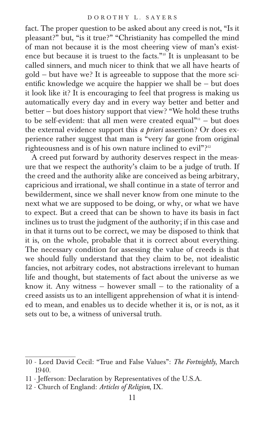fact. The proper question to be asked about any creed is not, "Is it pleasant?" but, "is it true?" "Christianity has compelled the mind of man not because it is the most cheering view of man's existence but because it is truest to the facts."10 It is unpleasant to be called sinners, and much nicer to think that we all have hearts of gold — but have we? It is agreeable to suppose that the more scientific knowledge we acquire the happier we shall be — but does it look like it? It is encouraging to feel that progress is making us automatically every day and in every way better and better and better — but does history support that view? "We hold these truths to be self-evident: that all men were created equal<sup>" $11$ </sup> – but does the external evidence support this *a priori* assertion? Or does experience rather suggest that man is "very far gone from original righteousness and is of his own nature inclined to evil"?<sup>12</sup>

A creed put forward by authority deserves respect in the measure that we respect the authority's claim to be a judge of truth. If the creed and the authority alike are conceived as being arbitrary, capricious and irrational, we shall continue in a state of terror and bewilderment, since we shall never know from one minute to the next what we are supposed to be doing, or why, or what we have to expect. But a creed that can be shown to have its basis in fact inclines us to trust the judgment of the authority; if in this case and in that it turns out to be correct, we may be disposed to think that it is, on the whole, probable that it is correct about everything. The necessary condition for assessing the value of creeds is that we should fully understand that they claim to be, not idealistic fancies, not arbitrary codes, not abstractions irrelevant to human life and thought, but statements of fact about the universe as we know it. Any witness — however small — to the rationality of a creed assists us to an intelligent apprehension of what it is intended to mean, and enables us to decide whether it is, or is not, as it sets out to be, a witness of universal truth.

<sup>10 -</sup> Lord David Cecil: "True and False Values": *The Fortnightly*, March 1940.

<sup>11 -</sup> Jefferson: Declaration by Representatives of the U.S.A.

<sup>12 -</sup> Church of England: *Articles of Religion*, IX.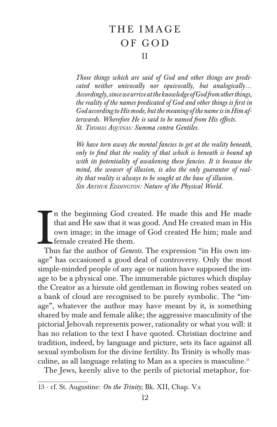## THE IMAGE OF GOD II

<span id="page-21-0"></span>*Those things which are said of God and other things are predicated neither univocally nor equivocally, but analogically… Accordingly, since we arrive at the knowledge of God from other things, the reality of the names predicated of God and other things is first in God according to His mode, but the meaning of the name is in Him afterwards. Wherefore He is said to be named from His effects. St. Thomas Aquinas: Summa contra Gentiles.*

*We have torn away the mental fancies to get at the reality beneath, only to find that the reality of that which is beneath is bound up with its potentiality of awakening these fancies. It is because the mind, the weaver of illusion, is also the only guarantor of reality that reality is always to be sought at the base of illusion. Sir Arthur Eddington: Nature of the Physical World.*

In the beginning God created. He made this and He made that and He saw that it was good. And He created man in His own image; in the image of God created He him; male and female created He them.<br>Thus far the author of *Gen* n the beginning God created. He made this and He made that and He saw that it was good. And He created man in His own image; in the image of God created He him; male and female created He them.

age" has occasioned a good deal of controversy. Only the most simple-minded people of any age or nation have supposed the image to be a physical one. The innumerable pictures which display the Creator as a hirsute old gentleman in flowing robes seated on a bank of cloud are recognised to be purely symbolic. The "image", whatever the author may have meant by it, is something shared by male and female alike; the aggressive masculinity of the pictorial Jehovah represents power, rationality or what you will: it has no relation to the text I have quoted. Christian doctrine and tradition, indeed, by language and picture, sets its face against all sexual symbolism for the divine fertility. Its Trinity is wholly masculine, as all language relating to Man as a species is masculine.<sup>13</sup>

The Jews, keenly alive to the perils of pictorial metaphor, for-

<sup>13 -</sup> cf. St. Augustine: *On the Trinity*; Bk. XII, Chap. V.s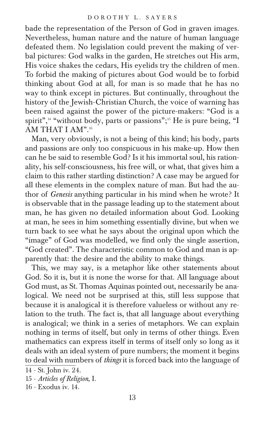bade the representation of the Person of God in graven images. Nevertheless, human nature and the nature of human language defeated them. No legislation could prevent the making of verbal pictures: God walks in the garden, He stretches out His arm, His voice shakes the cedars, His eyelids try the children of men. To forbid the making of pictures about God would be to forbid thinking about God at all, for man is so made that he has no way to think except in pictures. But continually, throughout the history of the Jewish-Christian Church, the voice of warning has been raised against the power of the picture-makers: "God is a spirit",<sup>14</sup> "without body, parts or passions";<sup>15</sup> He is pure being, "I AM THAT I AM".<sup>16</sup>

Man, very obviously, is not a being of this kind; his body, parts and passions are only too conspicuous in his make-up. How then can he be said to resemble God? Is it his immortal soul, his rationality, his self-consciousness, his free will, or what, that gives him a claim to this rather startling distinction? A case may be argued for all these elements in the complex nature of man. But had the author of *Genesis* anything particular in his mind when he wrote? It is observable that in the passage leading up to the statement about man, he has given no detailed information about God. Looking at man, he sees in him something essentially divine, but when we turn back to see what he says about the original upon which the "image" of God was modelled, we find only the single assertion, "God created". The characteristic common to God and man is apparently that: the desire and the ability to make things.

This, we may say, is a metaphor like other statements about God. So it is, but it is none the worse for that. All language about God must, as St. Thomas Aquinas pointed out, necessarily be analogical. We need not be surprised at this, still less suppose that because it is analogical it is therefore valueless or without any relation to the truth. The fact is, that all language about everything is analogical; we think in a series of metaphors. We can explain nothing in terms of itself, but only in terms of other things. Even mathematics can express itself in terms of itself only so long as it deals with an ideal system of pure numbers; the moment it begins to deal with numbers of *things* it is forced back into the language of

<sup>14 -</sup> St. John iv. 24.

<sup>15 -</sup> *Articles of Religion*, I.

<sup>16 -</sup> Exodus iv. 14.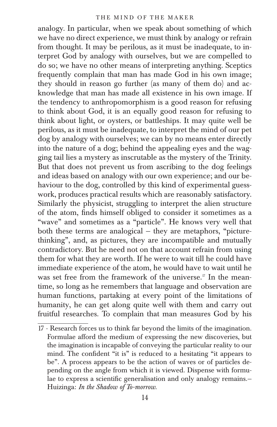analogy. In particular, when we speak about something of which we have no direct experience, we must think by analogy or refrain from thought. It may be perilous, as it must be inadequate, to interpret God by analogy with ourselves, but we are compelled to do so; we have no other means of interpreting anything. Sceptics frequently complain that man has made God in his own image; they should in reason go further (as many of them do) and acknowledge that man has made all existence in his own image. If the tendency to anthropomorphism is a good reason for refusing to think about God, it is an equally good reason for refusing to think about light, or oysters, or battleships. It may quite well be perilous, as it must be inadequate, to interpret the mind of our pet dog by analogy with ourselves; we can by no means enter directly into the nature of a dog; behind the appealing eyes and the wagging tail lies a mystery as inscrutable as the mystery of the Trinity. But that does not prevent us from ascribing to the dog feelings and ideas based on analogy with our own experience; and our behaviour to the dog, controlled by this kind of experimental guesswork, produces practical results which are reasonably satisfactory. Similarly the physicist, struggling to interpret the alien structure of the atom, finds himself obliged to consider it sometimes as a "wave" and sometimes as a "particle". He knows very well that both these terms are analogical — they are metaphors, "picturethinking", and, as pictures, they are incompatible and mutually contradictory. But he need not on that account refrain from using them for what they are worth. If he were to wait till he could have immediate experience of the atom, he would have to wait until he was set free from the framework of the universe.<sup>17</sup> In the meantime, so long as he remembers that language and observation are human functions, partaking at every point of the limitations of humanity, he can get along quite well with them and carry out fruitful researches. To complain that man measures God by his

<sup>17 -</sup> Research forces us to think far beyond the limits of the imagination. Formulae afford the medium of expressing the new discoveries, but the imagination is incapable of conveying the particular reality to our mind. The confident "it is" is reduced to a hesitating "it appears to be". A process appears to be the action of waves or of particles depending on the angle from which it is viewed. Dispense with formulae to express a scientific generalisation and only analogy remains.— Huizinga: *In the Shadow of To-morrow*.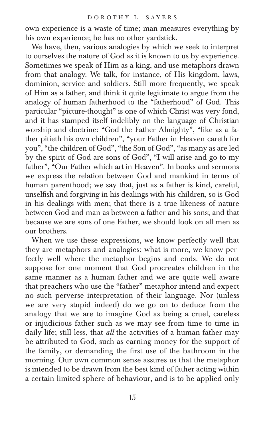own experience is a waste of time; man measures everything by his own experience; he has no other yardstick.

We have, then, various analogies by which we seek to interpret to ourselves the nature of God as it is known to us by experience. Sometimes we speak of Him as a king, and use metaphors drawn from that analogy. We talk, for instance, of His kingdom, laws, dominion, service and soldiers. Still more frequently, we speak of Him as a father, and think it quite legitimate to argue from the analogy of human fatherhood to the "fatherhood" of God. This particular "picture-thought" is one of which Christ was very fond, and it has stamped itself indelibly on the language of Christian worship and doctrine: "God the Father Almighty", "like as a father pitieth his own children", "your Father in Heaven careth for you", "the children of God", "the Son of God", "as many as are led by the spirit of God are sons of God", "I will arise and go to my father", "Our Father which art in Heaven". In books and sermons we express the relation between God and mankind in terms of human parenthood; we say that, just as a father is kind, careful, unselfish and forgiving in his dealings with his children, so is God in his dealings with men; that there is a true likeness of nature between God and man as between a father and his sons; and that because we are sons of one Father, we should look on all men as our brothers.

When we use these expressions, we know perfectly well that they are metaphors and analogies; what is more, we know perfectly well where the metaphor begins and ends. We do not suppose for one moment that God procreates children in the same manner as a human father and we are quite well aware that preachers who use the "father" metaphor intend and expect no such perverse interpretation of their language. Nor (unless we are very stupid indeed) do we go on to deduce from the analogy that we are to imagine God as being a cruel, careless or injudicious father such as we may see from time to time in daily life; still less, that *all* the activities of a human father may be attributed to God, such as earning money for the support of the family, or demanding the first use of the bathroom in the morning. Our own common sense assures us that the metaphor is intended to be drawn from the best kind of father acting within a certain limited sphere of behaviour, and is to be applied only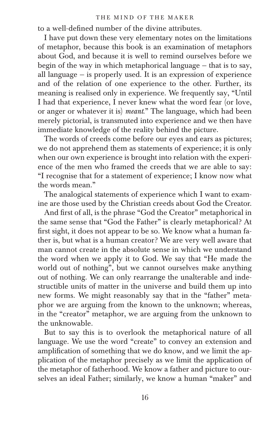#### THE MIND OF THE MAKER

to a well-defined number of the divine attributes.

I have put down these very elementary notes on the limitations of metaphor, because this book is an examination of metaphors about God, and because it is well to remind ourselves before we begin of the way in which metaphorical language — that is to say, all language — is properly used. It is an expression of experience and of the relation of one experience to the other. Further, its meaning is realised only in experience. We frequently say, "Until I had that experience, I never knew what the word fear (or love, or anger or whatever it is) *meant*." The language, which had been merely pictorial, is transmuted into experience and we then have immediate knowledge of the reality behind the picture.

The words of creeds come before our eyes and ears as pictures; we do not apprehend them as statements of experience; it is only when our own experience is brought into relation with the experience of the men who framed the creeds that we are able to say: "I recognise that for a statement of experience; I know now what the words mean."

The analogical statements of experience which I want to examine are those used by the Christian creeds about God the Creator.

And first of all, is the phrase "God the Creator" metaphorical in the same sense that "God the Father" is clearly metaphorical? At first sight, it does not appear to be so. We know what a human father is, but what is a human creator? We are very well aware that man cannot create in the absolute sense in which we understand the word when we apply it to God. We say that "He made the world out of nothing", but we cannot ourselves make anything out of nothing. We can only rearrange the unalterable and indestructible units of matter in the universe and build them up into new forms. We might reasonably say that in the "father" metaphor we are arguing from the known to the unknown; whereas, in the "creator" metaphor, we are arguing from the unknown to the unknowable.

But to say this is to overlook the metaphorical nature of all language. We use the word "create" to convey an extension and amplification of something that we do know, and we limit the application of the metaphor precisely as we limit the application of the metaphor of fatherhood. We know a father and picture to ourselves an ideal Father; similarly, we know a human "maker" and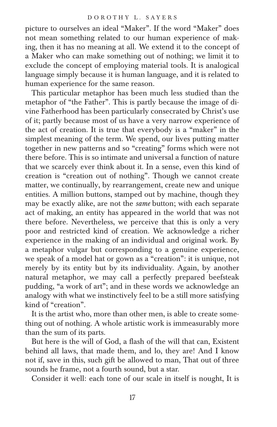picture to ourselves an ideal "Maker". If the word "Maker" does not mean something related to our human experience of making, then it has no meaning at all. We extend it to the concept of a Maker who can make something out of nothing; we limit it to exclude the concept of employing material tools. It is analogical language simply because it is human language, and it is related to human experience for the same reason.

This particular metaphor has been much less studied than the metaphor of "the Father". This is partly because the image of divine Fatherhood has been particularly consecrated by Christ's use of it; partly because most of us have a very narrow experience of the act of creation. It is true that everybody is a "maker" in the simplest meaning of the term. We spend, our lives putting matter together in new patterns and so "creating" forms which were not there before. This is so intimate and universal a function of nature that we scarcely ever think about it. In a sense, even this kind of creation is "creation out of nothing". Though we cannot create matter, we continually, by rearrangement, create new and unique entities. A million buttons, stamped out by machine, though they may be exactly alike, are not the *same* button; with each separate act of making, an entity has appeared in the world that was not there before. Nevertheless, we perceive that this is only a very poor and restricted kind of creation. We acknowledge a richer experience in the making of an individual and original work. By a metaphor vulgar but corresponding to a genuine experience, we speak of a model hat or gown as a "creation": it is unique, not merely by its entity but by its individuality. Again, by another natural metaphor, we may call a perfectly prepared beefsteak pudding, "a work of art"; and in these words we acknowledge an analogy with what we instinctively feel to be a still more satisfying kind of "creation".

It is the artist who, more than other men, is able to create something out of nothing. A whole artistic work is immeasurably more than the sum of its parts.

But here is the will of God, a flash of the will that can, Existent behind all laws, that made them, and lo, they are! And I know not if, save in this, such gift be allowed to man, That out of three sounds he frame, not a fourth sound, but a star.

Consider it well: each tone of our scale in itself is nought, It is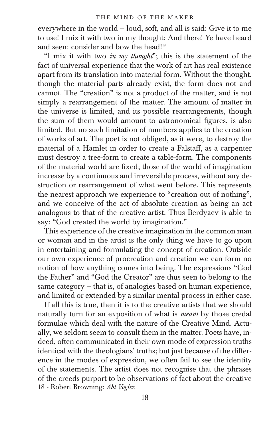everywhere in the world — loud, soft, and all is said: Give it to me to use! I mix it with two in my thought: And there! Ye have heard and seen: consider and bow the head!<sup>18</sup>

"I mix it with two *in my thought*"; this is the statement of the fact of universal experience that the work of art has real existence apart from its translation into material form. Without the thought, though the material parts already exist, the form does not and cannot. The "creation" is not a product of the matter, and is not simply a rearrangement of the matter. The amount of matter in the universe is limited, and its possible rearrangements, though the sum of them would amount to astronomical figures, is also limited. But no such limitation of numbers applies to the creation of works of art. The poet is not obliged, as it were, to destroy the material of a Hamlet in order to create a Falstaff, as a carpenter must destroy a tree-form to create a table-form. The components of the material world are fixed; those of the world of imagination increase by a continuous and irreversible process, without any destruction or rearrangement of what went before. This represents the nearest approach we experience to "creation out of nothing", and we conceive of the act of absolute creation as being an act analogous to that of the creative artist. Thus Berdyaev is able to say: "God created the world by imagination."

This experience of the creative imagination in the common man or woman and in the artist is the only thing we have to go upon in entertaining and formulating the concept of creation. Outside our own experience of procreation and creation we can form no notion of how anything comes into being. The expressions "God the Father" and "God the Creator" are thus seen to belong to the same category — that is, of analogies based on human experience, and limited or extended by a similar mental process in either case.

If all this is true, then it is to the creative artists that we should naturally turn for an exposition of what is *meant* by those credal formulae which deal with the nature of the Creative Mind. Actually, we seldom seem to consult them in the matter. Poets have, indeed, often communicated in their own mode of expression truths identical with the theologians' truths; but just because of the difference in the modes of expression, we often fail to see the identity of the statements. The artist does not recognise that the phrases of the creeds purport to be observations of fact about the creative 18 - Robert Browning: *Abt Vogler*.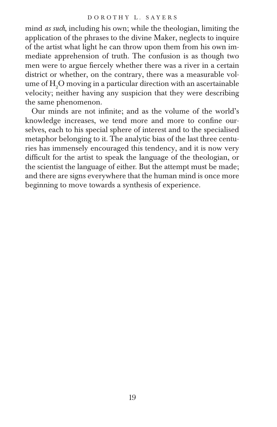mind *as such*, including his own; while the theologian, limiting the application of the phrases to the divine Maker, neglects to inquire of the artist what light he can throw upon them from his own immediate apprehension of truth. The confusion is as though two men were to argue fiercely whether there was a river in a certain district or whether, on the contrary, there was a measurable volume of  $\rm H_2O$  moving in a particular direction with an ascertainable velocity; neither having any suspicion that they were describing the same phenomenon.

Our minds are not infinite; and as the volume of the world's knowledge increases, we tend more and more to confine ourselves, each to his special sphere of interest and to the specialised metaphor belonging to it. The analytic bias of the last three centuries has immensely encouraged this tendency, and it is now very difficult for the artist to speak the language of the theologian, or the scientist the language of either. But the attempt must be made; and there are signs everywhere that the human mind is once more beginning to move towards a synthesis of experience.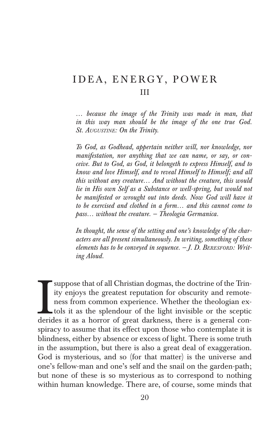## <span id="page-29-0"></span>IDEA, ENERGY, POWER III

*… because the image of the Trinity was made in man, that in this way man should be the image of the one true God. St. Augustine: On the Trinity.*

*To God, as Godhead, appertain neither will, nor knowledge, nor manifestation, nor anything that we can name, or say, or conceive. But to God, as God, it belongeth to express Himself, and to know and love Himself, and to reveal Himself to Himself; and all this without any creature… And without the creature, this would lie in His own Self as a Substance or well-spring, but would not be manifested or wrought out into deeds. Now God will have it to be exercised and clothed in a form… and this cannot come to pass… without the creature. — Theologia Germanica.*

*In thought, the sense of the setting and one's knowledge of the characters are all present simultaneously. In writing, something of these*  elements has to be conveyed in sequence. - *J. D. BERESFORD*: Writ*ing Aloud.*

I suppose that of all Christian dogmas, the doctrine of the Trin-<br>ity enjoys the greatest reputation for obscurity and remote-<br>ness from common experience. Whether the theologian ex-<br>tols it as the splendour of the light i ity enjoys the greatest reputation for obscurity and remoteness from common experience. Whether the theologian extols it as the splendour of the light invisible or the sceptic spiracy to assume that its effect upon those who contemplate it is blindness, either by absence or excess of light. There is some truth in the assumption, but there is also a great deal of exaggeration. God is mysterious, and so (for that matter) is the universe and one's fellow-man and one's self and the snail on the garden-path; but none of these is so mysterious as to correspond to nothing within human knowledge. There are, of course, some minds that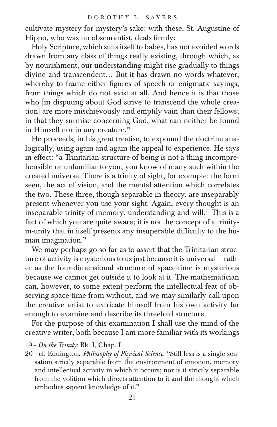cultivate mystery for mystery's sake: with these, St. Augustine of Hippo, who was no obscurantist, deals firmly:

Holy Scripture, which suits itself to babes, has not avoided words drawn from any class of things really existing, through which, as by nourishment, our understanding might rise gradually to things divine and transcendent… But it has drawn no words whatever, whereby to frame either figures of speech or enigmatic sayings, from things which do not exist at all. And hence it is that those who [in disputing about God strive to transcend the whole creation] are more mischievously and emptily vain than their fellows; in that they surmise concerning God, what can neither be found in Himself nor in any creature.<sup>19</sup>

He proceeds, in his great treatise, to expound the doctrine analogically, using again and again the appeal to experience. He says in effect: "a Trinitarian structure of being is not a thing incomprehensible or unfamiliar to you; you know of many such within the created universe. There is a trinity of sight, for example: the form seen, the act of vision, and the mental attention which correlates the two. These three, though separable in theory, are inseparably present whenever you use your sight. Again, every thought is an inseparable trinity of memory, understanding and will.<sup>20</sup> This is a fact of which you are quite aware; it is not the concept of a trinityin-unity that in itself presents any insuperable difficulty to the human imagination."

We may perhaps go so far as to assert that the Trinitarian structure of activity is mysterious to us just because it is universal — rather as the four-dimensional structure of space-time is mysterious because we cannot get outside it to look at it. The mathematician can, however, to some extent perform the intellectual feat of observing space-time from without, and we may similarly call upon the creative artist to extricate himself from his own activity far enough to examine and describe its threefold structure.

For the purpose of this examination I shall use the mind of the creative writer, both because I am more familiar with its workings

<sup>19 -</sup> *On the Trinity*: Bk. I, Chap. I.

<sup>20 -</sup> cf. Eddington, *Philosophy of Physical Science*: "Still less is a single sensation strictly separable from the environment of emotion, memory and intellectual activity in which it occurs; nor is it strictly separable from the volition which directs attention to it and the thought which embodies sapient knowledge of it."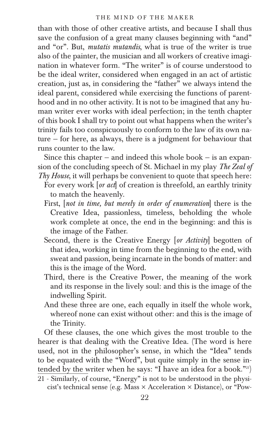than with those of other creative artists, and because I shall thus save the confusion of a great many clauses beginning with "and" and "or". But, *mutatis mutandis*, what is true of the writer is true also of the painter, the musician and all workers of creative imagination in whatever form. "The writer" is of course understood to be the ideal writer, considered when engaged in an act of artistic creation, just as, in considering the "father" we always intend the ideal parent, considered while exercising the functions of parenthood and in no other activity. It is not to be imagined that any human writer ever works with ideal perfection; in the tenth chapter of this book I shall try to point out what happens when the writer's trinity fails too conspicuously to conform to the law of its own nature — for here, as always, there is a judgment for behaviour that runs counter to the law.

Since this chapter  $-$  and indeed this whole book  $-$  is an expansion of the concluding speech of St. Michael in my play *The Zeal of Thy House*, it will perhaps be convenient to quote that speech here:

- For every work [or act] of creation is threefold, an earthly trinity to match the heavenly.
- First, [*not in time, but merely in order of enumeration*] there is the Creative Idea, passionless, timeless, beholding the whole work complete at once, the end in the beginning: and this is the image of the Father.
- Second, there is the Creative Energy [*or Activity*] begotten of that idea, working in time from the beginning to the end, with sweat and passion, being incarnate in the bonds of matter: and this is the image of the Word.
- Third, there is the Creative Power, the meaning of the work and its response in the lively soul: and this is the image of the indwelling Spirit.
- And these three are one, each equally in itself the whole work, whereof none can exist without other: and this is the image of the Trinity.

Of these clauses, the one which gives the most trouble to the hearer is that dealing with the Creative Idea. (The word is here used, not in the philosopher's sense, in which the "Idea" tends to be equated with the "Word", but quite simply in the sense intended by the writer when he says: "I have an idea for a book."<sup>21</sup>)

<sup>21 -</sup> Similarly, of course, "Energy" is not to be understood in the physicist's technical sense (e.g. Mass × Acceleration × Distance), or "Pow-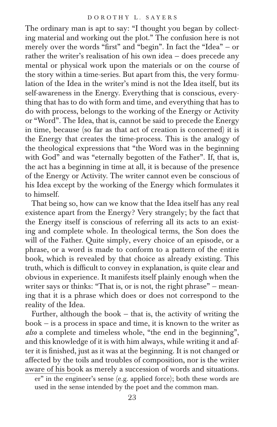The ordinary man is apt to say: "I thought you began by collecting material and working out the plot." The confusion here is not merely over the words "first" and "begin". In fact the "Idea" – or rather the writer's realisation of his own idea — does precede any mental or physical work upon the materials or on the course of the story within a time-series. But apart from this, the very formulation of the Idea in the writer's mind is not the Idea itself, but its self-awareness in the Energy. Everything that is conscious, everything that has to do with form and time, and everything that has to do with process, belongs to the working of the Energy or Activity or "Word". The Idea, that is, cannot be said to precede the Energy in time, because (so far as that act of creation is concerned) it is the Energy that creates the time-process. This is the analogy of the theological expressions that "the Word was in the beginning with God" and was "eternally begotten of the Father". If, that is, the act has a beginning in time at all, it is because of the presence of the Energy or Activity. The writer cannot even be conscious of his Idea except by the working of the Energy which formulates it to himself.

That being so, how can we know that the Idea itself has any real existence apart from the Energy? Very strangely; by the fact that the Energy itself is conscious of referring all its acts to an existing and complete whole. In theological terms, the Son does the will of the Father. Quite simply, every choice of an episode, or a phrase, or a word is made to conform to a pattern of the entire book, which is revealed by that choice as already existing. This truth, which is difficult to convey in explanation, is quite clear and obvious in experience. It manifests itself plainly enough when the writer says or thinks: "That is, or is not, the right phrase" — meaning that it is a phrase which does or does not correspond to the reality of the Idea.

Further, although the book — that is, the activity of writing the book — is a process in space and time, it is known to the writer as *also* a complete and timeless whole, "the end in the beginning", and this knowledge of it is with him always, while writing it and after it is finished, just as it was at the beginning. It is not changed or affected by the toils and troubles of composition, nor is the writer aware of his book as merely a succession of words and situations.

er" in the engineer's sense (e.g. applied force); both these words are used in the sense intended by the poet and the common man.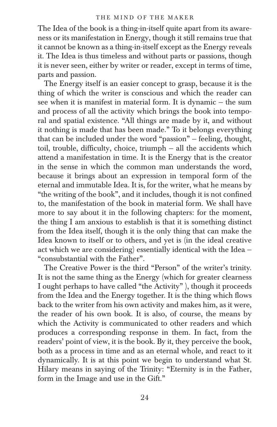#### THE MIND OF THE MAKER

The Idea of the book is a thing-in-itself quite apart from its awareness or its manifestation in Energy, though it still remains true that it cannot be known as a thing-in-itself except as the Energy reveals it. The Idea is thus timeless and without parts or passions, though it is never seen, either by writer or reader, except in terms of time, parts and passion.

The Energy itself is an easier concept to grasp, because it is the thing of which the writer is conscious and which the reader can see when it is manifest in material form. It is dynamic — the sum and process of all the activity which brings the book into temporal and spatial existence. "All things are made by it, and without it nothing is made that has been made." To it belongs everything that can be included under the word "passion" — feeling, thought, toil, trouble, difficulty, choice, triumph — all the accidents which attend a manifestation in time. It is the Energy that is the creator in the sense in which the common man understands the word, because it brings about an expression in temporal form of the eternal and immutable Idea. It is, for the writer, what he means by "the writing of the book", and it includes, though it is not confined to, the manifestation of the book in material form. We shall have more to say about it in the following chapters: for the moment, the thing I am anxious to establish is that it is something distinct from the Idea itself, though it is the only thing that can make the Idea known to itself or to others, and yet is (in the ideal creative act which we are considering) essentially identical with the Idea — "consubstantial with the Father".

The Creative Power is the third "Person" of the writer's trinity. It is not the same thing as the Energy (which for greater clearness I ought perhaps to have called "the Activity" ), though it proceeds from the Idea and the Energy together. It is the thing which flows back to the writer from his own activity and makes him, as it were, the reader of his own book. It is also, of course, the means by which the Activity is communicated to other readers and which produces a corresponding response in them. In fact, from the readers' point of view, it is the book. By it, they perceive the book, both as a process in time and as an eternal whole, and react to it dynamically. It is at this point we begin to understand what St. Hilary means in saying of the Trinity: "Eternity is in the Father, form in the Image and use in the Gift."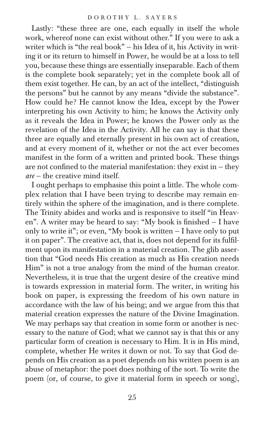Lastly: "these three are one, each equally in itself the whole work, whereof none can exist without other." If you were to ask a writer which is "the real book" — his Idea of it, his Activity in writing it or its return to himself in Power, he would be at a loss to tell you, because these things are essentially inseparable. Each of them is the complete book separately; yet in the complete book all of them exist together. He can, by an act of the intellect, "distinguish the persons" but he cannot by any means "divide the substance". How could he? He cannot know the Idea, except by the Power interpreting his own Activity to him; he knows the Activity only as it reveals the Idea in Power; he knows the Power only as the revelation of the Idea in the Activity. All he can say is that these three are equally and eternally present in his own act of creation, and at every moment of it, whether or not the act ever becomes manifest in the form of a written and printed book. These things are not confined to the material manifestation: they exist in  $-$  they *are* — the creative mind itself.

I ought perhaps to emphasise this point a little. The whole complex relation that I have been trying to describe may remain entirely within the sphere of the imagination, and is there complete. The Trinity abides and works and is responsive to itself "in Heaven". A writer may be heard to say: "My book is finished — I have only to write it"; or even, "My book is written — I have only to put it on paper". The creative act, that is, does not depend for its fulfilment upon its manifestation in a material creation. The glib assertion that "God needs His creation as much as His creation needs Him" is not a true analogy from the mind of the human creator. Nevertheless, it is true that the urgent desire of the creative mind is towards expression in material form. The writer, in writing his book on paper, is expressing the freedom of his own nature in accordance with the law of his being; and we argue from this that material creation expresses the nature of the Divine Imagination. We may perhaps say that creation in some form or another is necessary to the nature of God; what we cannot say is that this or any particular form of creation is necessary to Him. It is in His mind, complete, whether He writes it down or not. To say that God depends on His creation as a poet depends on his written poem is an abuse of metaphor: the poet does nothing of the sort. To write the poem (or, of course, to give it material form in speech or song),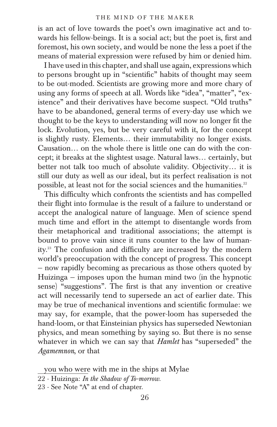#### THE MIND OF THE MAKER

is an act of love towards the poet's own imaginative act and towards his fellow-beings. It is a social act; but the poet is, first and foremost, his own society, and would be none the less a poet if the means of material expression were refused by him or denied him.

I have used in this chapter, and shall use again, expressions which to persons brought up in "scientific" habits of thought may seem to be out-moded. Scientists are growing more and more chary of using any forms of speech at all. Words like "idea", "matter", "existence" and their derivatives have become suspect. "Old truths" have to be abandoned, general terms of every-day use which we thought to be the keys to understanding will now no longer fit the lock. Evolution, yes, but be very careful with it, for the concept is slightly rusty. Elements… their immutability no longer exists. Causation… on the whole there is little one can do with the concept; it breaks at the slightest usage. Natural laws… certainly, but better not talk too much of absolute validity. Objectivity… it is still our duty as well as our ideal, but its perfect realisation is not possible, at least not for the social sciences and the humanities.<sup>22</sup>

This difficulty which confronts the scientists and has compelled their flight into formulae is the result of a failure to understand or accept the analogical nature of language. Men of science spend much time and effort in the attempt to disentangle words from their metaphorical and traditional associations; the attempt is bound to prove vain since it runs counter to the law of humanity.<sup>23</sup> The confusion and difficulty are increased by the modern world's preoccupation with the concept of progress. This concept — now rapidly becoming as precarious as those others quoted by Huizinga — imposes upon the human mind two (in the hypnotic sense) "suggestions". The first is that any invention or creative act will necessarily tend to supersede an act of earlier date. This may be true of mechanical inventions and scientific formulae: we may say, for example, that the power-loom has superseded the hand-loom, or that Einsteinian physics has superseded Newtonian physics, and mean something by saying so. But there is no sense whatever in which we can say that *Hamlet* has "superseded" the *Agamemnon*, or that

you who were with me in the ships at Mylae

<sup>22 -</sup> Huizinga: *In the Shadow of To-morrow*.

<sup>23 -</sup> See Note "A" at end of chapter.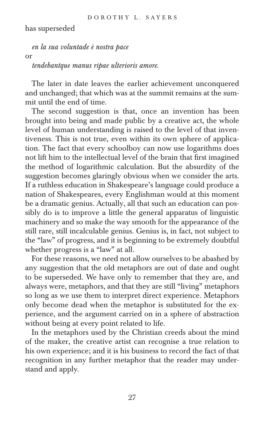has superseded

*en la sua voluntade è nostra pace* or *tendebantque manus ripae ulterioris amore*.

The later in date leaves the earlier achievement unconquered and unchanged; that which was at the summit remains at the summit until the end of time.

The second suggestion is that, once an invention has been brought into being and made public by a creative act, the whole level of human understanding is raised to the level of that inventiveness. This is not true, even within its own sphere of application. The fact that every schoolboy can now use logarithms does not lift him to the intellectual level of the brain that first imagined the method of logarithmic calculation. But the absurdity of the suggestion becomes glaringly obvious when we consider the arts. If a ruthless education in Shakespeare's language could produce a nation of Shakespeares, every Englishman would at this moment be a dramatic genius. Actually, all that such an education can possibly do is to improve a little the general apparatus of linguistic machinery and so make the way smooth for the appearance of the still rare, still incalculable genius. Genius is, in fact, not subject to the "law" of progress, and it is beginning to be extremely doubtful whether progress is a "law" at all.

For these reasons, we need not allow ourselves to be abashed by any suggestion that the old metaphors are out of date and ought to be superseded. We have only to remember that they are, and always were, metaphors, and that they are still "living" metaphors so long as we use them to interpret direct experience. Metaphors only become dead when the metaphor is substituted for the experience, and the argument carried on in a sphere of abstraction without being at every point related to life.

In the metaphors used by the Christian creeds about the mind of the maker, the creative artist can recognise a true relation to his own experience; and it is his business to record the fact of that recognition in any further metaphor that the reader may understand and apply.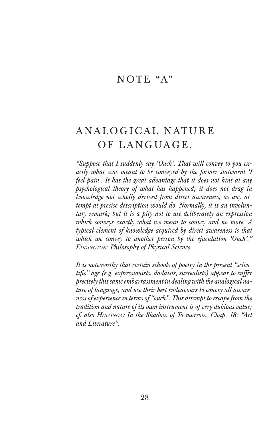### NOTE " $A$ "

## Analogical Nature OF LANGUAGE.

*"Suppose that I suddenly say 'Ouch'. That will convey to you exactly what was meant to be conveyed by the former statement 'I feel pain'. It has the great advantage that it does not hint at any psychological theory of what has happened; it does not drag in knowledge not wholly derived from direct awareness, as any attempt at precise description would do. Normally, it is an involuntary remark; but it is a pity not to use deliberately an expression which conveys exactly what we mean to convey and no more. A typical element of knowledge acquired by direct awareness is that which we convey to another person by the ejaculation 'Ouch'." Eddington: Philosophy of Physical Science.*

*It is noteworthy that certain schools of poetry in the present "scientific" age (e.g. expressionists, dadaists, surrealists) appear to suffer precisely this same embarrassment in dealing with the analogical nature of language, and use their best endeavours to convey all awareness of experience in terms of "ouch". This attempt to escape from the tradition and nature of its own instrument is of very dubious value; cf. also Huizinga: In the Shadow of To-morrow, Chap. 18: "Art and Literature".*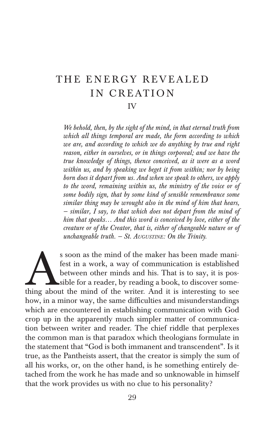## THE ENERGY REVEALED in C reation IV

*We behold, then, by the sight of the mind, in that eternal truth from which all things temporal are made, the form according to which we are, and according to which we do anything by true and right reason, either in ourselves, or in things corporeal; and we have the true knowledge of things, thence conceived, as it were as a word within us, and by speaking we beget it from within; nor by being born does it depart from us. And when we speak to others, we apply to the word, remaining within us, the ministry of the voice or of some bodily sign, that by some kind of sensible remembrance some similar thing may be wrought also in the mind of him that hears, — similar, I say, to that which does not depart from the mind of him that speaks… And this word is conceived by love, either of the creature or of the Creator, that is, either of changeable nature or of unchangeable truth. — St. Augustine: On the Trinity.*

s soon as the mind of the maker has been made manifest in a work, a way of communication is established between other minds and his. That is to say, it is possible for a reader, by reading a book, to discover something abo fest in a work, a way of communication is established between other minds and his. That is to say, it is possible for a reader, by reading a book, to discover somehow, in a minor way, the same difficulties and misunderstandings which are encountered in establishing communication with God crop up in the apparently much simpler matter of communication between writer and reader. The chief riddle that perplexes the common man is that paradox which theologians formulate in the statement that "God is both immanent and transcendent". Is it true, as the Pantheists assert, that the creator is simply the sum of all his works, or, on the other hand, is he something entirely detached from the work he has made and so unknowable in himself that the work provides us with no clue to his personality?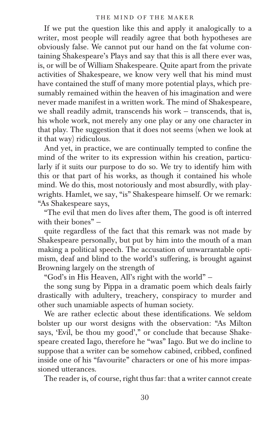If we put the question like this and apply it analogically to a writer, most people will readily agree that both hypotheses are obviously false. We cannot put our hand on the fat volume containing Shakespeare's Plays and say that this is all there ever was, is, or will be of William Shakespeare. Quite apart from the private activities of Shakespeare, we know very well that his mind must have contained the stuff of many more potential plays, which presumably remained within the heaven of his imagination and were never made manifest in a written work. The mind of Shakespeare, we shall readily admit, transcends his work — transcends, that is, his whole work, not merely any one play or any one character in that play. The suggestion that it does not seems (when we look at it that way) ridiculous.

And yet, in practice, we are continually tempted to confine the mind of the writer to its expression within his creation, particularly if it suits our purpose to do so. We try to identify him with this or that part of his works, as though it contained his whole mind. We do this, most notoriously and most absurdly, with playwrights. Hamlet, we say, "is" Shakespeare himself. Or we remark: "As Shakespeare says,

"The evil that men do lives after them, The good is oft interred with their bones" —

quite regardless of the fact that this remark was not made by Shakespeare personally, but put by him into the mouth of a man making a political speech. The accusation of unwarrantable optimism, deaf and blind to the world's suffering, is brought against Browning largely on the strength of

"God's in His Heaven, All's right with the world" —

the song sung by Pippa in a dramatic poem which deals fairly drastically with adultery, treachery, conspiracy to murder and other such unamiable aspects of human society.

We are rather eclectic about these identifications. We seldom bolster up our worst designs with the observation: "As Milton says, 'Evil, be thou my good'," or conclude that because Shakespeare created Iago, therefore he "was" Iago. But we do incline to suppose that a writer can be somehow cabined, cribbed, confined inside one of his "favourite" characters or one of his more impassioned utterances.

The reader is, of course, right thus far: that a writer cannot create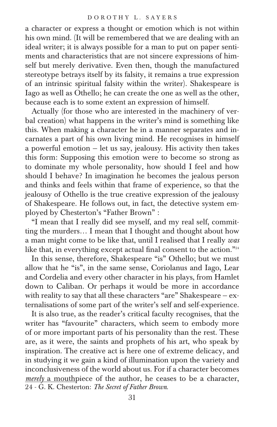### DOROTHY L. SAYERS

a character or express a thought or emotion which is not within his own mind. (It will be remembered that we are dealing with an ideal writer; it is always possible for a man to put on paper sentiments and characteristics that are not sincere expressions of himself but merely derivative. Even then, though the manufactured stereotype betrays itself by its falsity, it remains a true expression of an intrinsic spiritual falsity within the writer). Shakespeare is Iago as well as Othello; he can create the one as well as the other, because each is to some extent an expression of himself.

Actually (for those who are interested in the machinery of verbal creation) what happens in the writer's mind is something like this. When making a character he in a manner separates and incarnates a part of his own living mind. He recognises in himself a powerful emotion — let us say, jealousy. His activity then takes this form: Supposing this emotion were to become so strong as to dominate my whole personality, how should I feel and how should I behave? In imagination he becomes the jealous person and thinks and feels within that frame of experience, so that the jealousy of Othello is the true creative expression of the jealousy of Shakespeare. He follows out, in fact, the detective system employed by Chesterton's "Father Brown" :

"I mean that I really did see myself, and my real self, committing the murders… I mean that I thought and thought about how a man might come to be like that, until I realised that I really *was* like that, in everything except actual final consent to the action."<sup>24</sup>

In this sense, therefore, Shakespeare "is" Othello; but we must allow that he "is", in the same sense, Coriolanus and Iago, Lear and Cordelia and every other character in his plays, from Hamlet down to Caliban. Or perhaps it would be more in accordance with reality to say that all these characters "are" Shakespeare — externalisations of some part of the writer's self and self-experience.

It is also true, as the reader's critical faculty recognises, that the writer has "favourite" characters, which seem to embody more of or more important parts of his personality than the rest. These are, as it were, the saints and prophets of his art, who speak by inspiration. The creative act is here one of extreme delicacy, and in studying it we gain a kind of illumination upon the variety and inconclusiveness of the world about us. For if a character becomes *merely* a mouthpiece of the author, he ceases to be a character, 24 - G. K. Chesterton: *The Secret of Father Brown*.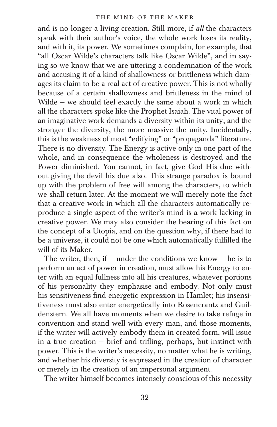and is no longer a living creation. Still more, if *all* the characters speak with their author's voice, the whole work loses its reality, and with it, its power. We sometimes complain, for example, that "all Oscar Wilde's characters talk like Oscar Wilde", and in saying so we know that we are uttering a condemnation of the work and accusing it of a kind of shallowness or brittleness which damages its claim to be a real act of creative power. This is not wholly because of a certain shallowness and brittleness in the mind of Wilde — we should feel exactly the same about a work in which all the characters spoke like the Prophet Isaiah. The vital power of an imaginative work demands a diversity within its unity; and the stronger the diversity, the more massive the unity. Incidentally, this is the weakness of most "edifying" or "propaganda" literature. There is no diversity. The Energy is active only in one part of the whole, and in consequence the wholeness is destroyed and the Power diminished. You cannot, in fact, give God His due without giving the devil his due also. This strange paradox is bound up with the problem of free will among the characters, to which we shall return later. At the moment we will merely note the fact that a creative work in which all the characters automatically reproduce a single aspect of the writer's mind is a work lacking in creative power. We may also consider the bearing of this fact on the concept of a Utopia, and on the question why, if there had to be a universe, it could not be one which automatically fulfilled the will of its Maker.

The writer, then, if  $-$  under the conditions we know  $-$  he is to perform an act of power in creation, must allow his Energy to enter with an equal fullness into all his creatures, whatever portions of his personality they emphasise and embody. Not only must his sensitiveness find energetic expression in Hamlet; his insensitiveness must also enter energetically into Rosencrantz and Guildenstern. We all have moments when we desire to take refuge in convention and stand well with every man, and those moments, if the writer will actively embody them in created form, will issue in a true creation — brief and trifling, perhaps, but instinct with power. This is the writer's necessity, no matter what he is writing, and whether his diversity is expressed in the creation of character or merely in the creation of an impersonal argument.

The writer himself becomes intensely conscious of this necessity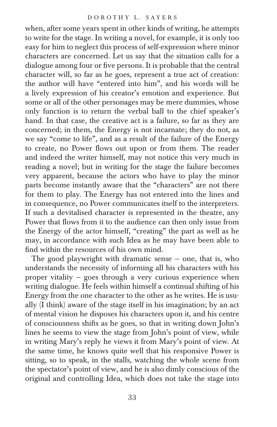### DOROTHY L. SAYERS

when, after some years spent in other kinds of writing, he attempts to write for the stage. In writing a novel, for example, it is only too easy for him to neglect this process of self-expression where minor characters are concerned. Let us say that the situation calls for a dialogue among four or five persons. It is probable that the central character will, so far as he goes, represent a true act of creation: the author will have "entered into him", and his words will be a lively expression of his creator's emotion and experience. But some or all of the other personages may be mere dummies, whose only function is to return the verbal ball to the chief speaker's hand. In that case, the creative act is a failure, so far as they are concerned; in them, the Energy is not incarnate; they do not, as we say "come to life", and as a result of the failure of the Energy to create, no Power flows out upon or from them. The reader and indeed the writer himself, may not notice this very much in reading a novel; but in writing for the stage the failure becomes very apparent, because the actors who have to play the minor parts become instantly aware that the "characters" are not there for them to play. The Energy has not entered into the lines and in consequence, no Power communicates itself to the interpreters. If such a devitalised character is represented in the theatre, any Power that flows from it to the audience can then only issue from the Energy of the actor himself, "creating" the part as well as he may, in accordance with such Idea as he may have been able to find within the resources of his own mind.

The good playwright with dramatic sense  $-$  one, that is, who understands the necessity of informing all his characters with his proper vitality — goes through a very curious experience when writing dialogue. He feels within himself a continual shifting of his Energy from the one character to the other as he writes. He is usually (I think) aware of the stage itself in his imagination; by an act of mental vision he disposes his characters upon it, and his centre of consciousness shifts as he goes, so that in writing down John's lines he seems to view the stage from John's point of view, while in writing Mary's reply he views it from Mary's point of view. At the same time, he knows quite well that his responsive Power is sitting, so to speak, in the stalls, watching the whole scene from the spectator's point of view, and he is also dimly conscious of the original and controlling Idea, which does not take the stage into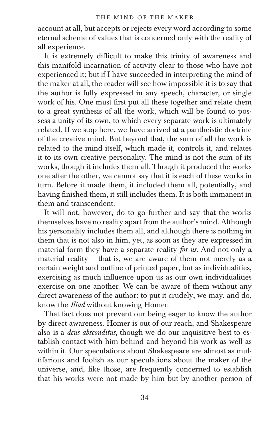account at all, but accepts or rejects every word according to some eternal scheme of values that is concerned only with the reality of all experience.

It is extremely difficult to make this trinity of awareness and this manifold incarnation of activity clear to those who have not experienced it; but if I have succeeded in interpreting the mind of the maker at all, the reader will see how impossible it is to say that the author is fully expressed in any speech, character, or single work of his. One must first put all these together and relate them to a great synthesis of all the work, which will be found to possess a unity of its own, to which every separate work is ultimately related. If we stop here, we have arrived at a pantheistic doctrine of the creative mind. But beyond that, the sum of all the work is related to the mind itself, which made it, controls it, and relates it to its own creative personality. The mind is not the sum of its works, though it includes them all. Though it produced the works one after the other, we cannot say that it is each of these works in turn. Before it made them, it included them all, potentially, and having finished them, it still includes them. It is both immanent in them and transcendent.

It will not, however, do to go further and say that the works themselves have no reality apart from the author's mind. Although his personality includes them all, and although there is nothing in them that is not also in him, yet, as soon as they are expressed in material form they have a separate reality *for us*. And not only a material reality — that is, we are aware of them not merely as a certain weight and outline of printed paper, but as individualities, exercising as much influence upon us as our own individualities exercise on one another. We can be aware of them without any direct awareness of the author: to put it crudely, we may, and do, know the *Iliad* without knowing Homer.

That fact does not prevent our being eager to know the author by direct awareness. Homer is out of our reach, and Shakespeare also is a *deus absconditus*, though we do our inquisitive best to establish contact with him behind and beyond his work as well as within it. Our speculations about Shakespeare are almost as multifarious and foolish as our speculations about the maker of the universe, and, like those, are frequently concerned to establish that his works were not made by him but by another person of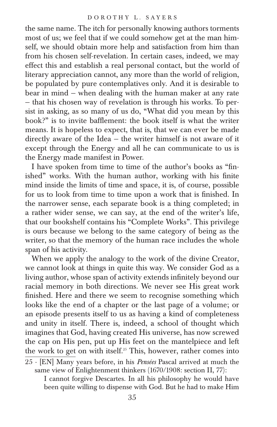the same name. The itch for personally knowing authors torments most of us; we feel that if we could somehow get at the man himself, we should obtain more help and satisfaction from him than from his chosen self-revelation. In certain cases, indeed, we may effect this and establish a real personal contact, but the world of literary appreciation cannot, any more than the world of religion, be populated by pure contemplatives only. And it is desirable to bear in mind — when dealing with the human maker at any rate — that his chosen way of revelation is through his works. To persist in asking, as so many of us do, "What did you mean by this book?" is to invite bafflement: the book itself is what the writer means. It is hopeless to expect, that is, that we can ever be made directly aware of the Idea — the writer himself is not aware of it except through the Energy and all he can communicate to us is the Energy made manifest in Power.

I have spoken from time to time of the author's books as "finished" works. With the human author, working with his finite mind inside the limits of time and space, it is, of course, possible for us to look from time to time upon a work that is finished. In the narrower sense, each separate book is a thing completed; in a rather wider sense, we can say, at the end of the writer's life, that our bookshelf contains his "Complete Works". This privilege is ours because we belong to the same category of being as the writer, so that the memory of the human race includes the whole span of his activity.

When we apply the analogy to the work of the divine Creator, we cannot look at things in quite this way. We consider God as a living author, whose span of activity extends infinitely beyond our racial memory in both directions. We never see His great work finished. Here and there we seem to recognise something which looks like the end of a chapter or the last page of a volume; or an episode presents itself to us as having a kind of completeness and unity in itself. There is, indeed, a school of thought which imagines that God, having created His universe, has now screwed the cap on His pen, put up His feet on the mantelpiece and left the work to get on with itself.25 This, however, rather comes into

25 - [EN] Many years before, in his *Pensées* Pascal arrived at much the same view of Enlightenment thinkers (1670/1908: section II, 77):

I cannot forgive Descartes. In all his philosophy he would have been quite willing to dispense with God. But he had to make Him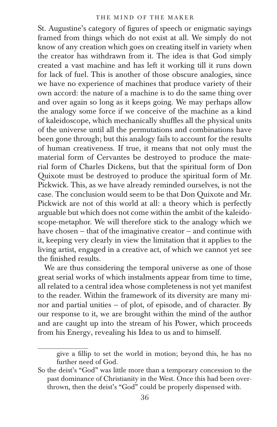St. Augustine's category of figures of speech or enigmatic sayings framed from things which do not exist at all. We simply do not know of any creation which goes on creating itself in variety when the creator has withdrawn from it. The idea is that God simply created a vast machine and has left it working till it runs down for lack of fuel. This is another of those obscure analogies, since we have no experience of machines that produce variety of their own accord: the nature of a machine is to do the same thing over and over again so long as it keeps going. We may perhaps allow the analogy some force if we conceive of the machine as a kind of kaleidoscope, which mechanically shuffles all the physical units of the universe until all the permutations and combinations have been gone through; but this analogy fails to account for the results of human creativeness. If true, it means that not only must the material form of Cervantes be destroyed to produce the material form of Charles Dickens, but that the spiritual form of Don Quixote must be destroyed to produce the spiritual form of Mr. Pickwick. This, as we have already reminded ourselves, is not the case. The conclusion would seem to be that Don Quixote and Mr. Pickwick are not of this world at all: a theory which is perfectly arguable but which does not come within the ambit of the kaleidoscope-metaphor. We will therefore stick to the analogy which we have chosen — that of the imaginative creator — and continue with it, keeping very clearly in view the limitation that it applies to the living artist, engaged in a creative act, of which we cannot yet see the finished results.

We are thus considering the temporal universe as one of those great serial works of which instalments appear from time to time, all related to a central idea whose completeness is not yet manifest to the reader. Within the framework of its diversity are many minor and partial unities — of plot, of episode, and of character. By our response to it, we are brought within the mind of the author and are caught up into the stream of his Power, which proceeds from his Energy, revealing his Idea to us and to himself.

give a fillip to set the world in motion; beyond this, he has no further need of God.

So the deist's "God" was little more than a temporary concession to the past dominance of Christianity in the West. Once this had been overthrown, then the deist's "God" could be properly dispensed with.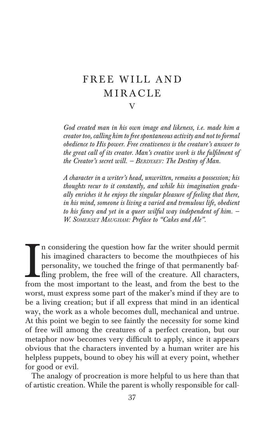## FREE WILL AND **MIRACLE** V

*God created man in his own image and likeness, i.e. made him a creator too, calling him to free spontaneous activity and not to formal obedience to His power. Free creativeness is the creature's answer to the great call of its creator. Man's creative work is the fulfilment of the Creator's secret will. - BERDYAEV: The Destiny of Man.* 

*A character in a writer's head, unwritten, remains a possession; his thoughts recur to it constantly, and while his imagination gradually enriches it he enjoys the singular pleasure of feeling that there, in his mind, someone is living a varied and tremulous life, obedient to his fancy and yet in a queer wilful way independent of him. — W. Somerset Maugham: Preface to "Cakes and Ale".*

In considering the question how far the writer should permit his imagined characters to become the mouthpieces of his personality, we touched the fringe of that permanently baffling problem, the free will of the creature. n considering the question how far the writer should permit his imagined characters to become the mouthpieces of his personality, we touched the fringe of that permanently baf-Ifing problem, the free will of the creature. All characters, worst, must express some part of the maker's mind if they are to be a living creation; but if all express that mind in an identical way, the work as a whole becomes dull, mechanical and untrue. At this point we begin to see faintly the necessity for some kind of free will among the creatures of a perfect creation, but our metaphor now becomes very difficult to apply, since it appears obvious that the characters invented by a human writer are his helpless puppets, bound to obey his will at every point, whether for good or evil.

The analogy of procreation is more helpful to us here than that of artistic creation. While the parent is wholly responsible for call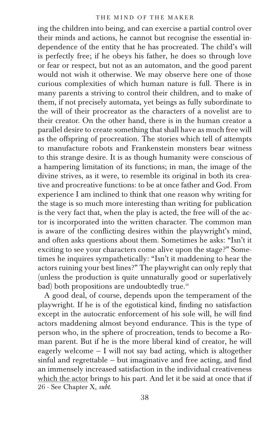ing the children into being, and can exercise a partial control over their minds and actions, he cannot but recognise the essential independence of the entity that he has procreated. The child's will is perfectly free; if he obeys his father, he does so through love or fear or respect, but not as an automaton, and the good parent would not wish it otherwise. We may observe here one of those curious complexities of which human nature is full. There is in many parents a striving to control their children, and to make of them, if not precisely automata, yet beings as fully subordinate to the will of their procreator as the characters of a novelist are to their creator. On the other hand, there is in the human creator a parallel desire to create something that shall have as much free will as the offspring of procreation. The stories which tell of attempts to manufacture robots and Frankenstein monsters bear witness to this strange desire. It is as though humanity were conscious of a hampering limitation of its functions; in man, the image of the divine strives, as it were, to resemble its original in both its creative and procreative functions: to be at once father and God. From experience I am inclined to think that one reason why writing for the stage is so much more interesting than writing for publication is the very fact that, when the play is acted, the free will of the actor is incorporated into the written character. The common man is aware of the conflicting desires within the playwright's mind, and often asks questions about them. Sometimes he asks: "Isn't it exciting to see your characters come alive upon the stage?" Sometimes he inquires sympathetically: "Isn't it maddening to hear the actors ruining your best lines?" The playwright can only reply that (unless the production is quite unnaturally good or superlatively  $\frac{1}{2}$  bad) both propositions are undoubtedly true.<sup>26</sup>

A good deal, of course, depends upon the temperament of the playwright. If he is of the egotistical kind, finding no satisfaction except in the autocratic enforcement of his sole will, he will find actors maddening almost beyond endurance. This is the type of person who, in the sphere of procreation, tends to become a Roman parent. But if he is the more liberal kind of creator, he will eagerly welcome — I will not say bad acting, which is altogether sinful and regrettable — but imaginative and free acting, and find an immensely increased satisfaction in the individual creativeness which the actor brings to his part. And let it be said at once that if 26 - See Chapter X, *subt*.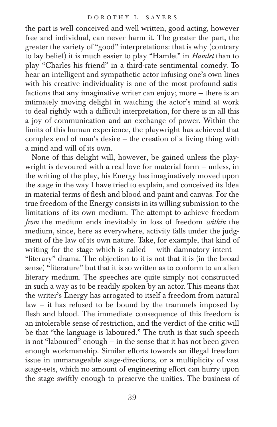the part is well conceived and well written, good acting, however free and individual, can never harm it. The greater the part, the greater the variety of "good" interpretations: that is why (contrary to lay belief) it is much easier to play "Hamlet" in *Hamlet* than to play "Charles his friend" in a third-rate sentimental comedy. To hear an intelligent and sympathetic actor infusing one's own lines with his creative individuality is one of the most profound satisfactions that any imaginative writer can enjoy; more — there is an intimately moving delight in watching the actor's mind at work to deal rightly with a difficult interpretation, for there is in all this a joy of communication and an exchange of power. Within the limits of this human experience, the playwright has achieved that complex end of man's desire — the creation of a living thing with a mind and will of its own.

None of this delight will, however, be gained unless the playwright is devoured with a real love for material form — unless, in the writing of the play, his Energy has imaginatively moved upon the stage in the way I have tried to explain, and conceived its Idea in material terms of flesh and blood and paint and canvas. For the true freedom of the Energy consists in its willing submission to the limitations of its own medium. The attempt to achieve freedom *from* the medium ends inevitably in loss of freedom *within* the medium, since, here as everywhere, activity falls under the judgment of the law of its own nature. Take, for example, that kind of writing for the stage which is called — with damnatory intent — "literary" drama. The objection to it is not that it is (in the broad sense) "literature" but that it is so written as to conform to an alien literary medium. The speeches are quite simply not constructed in such a way as to be readily spoken by an actor. This means that the writer's Energy has arrogated to itself a freedom from natural law — it has refused to be bound by the trammels imposed by flesh and blood. The immediate consequence of this freedom is an intolerable sense of restriction, and the verdict of the critic will be that "the language is laboured." The truth is that such speech is not "laboured" enough — in the sense that it has not been given enough workmanship. Similar efforts towards an illegal freedom issue in unmanageable stage-directions, or a multiplicity of vast stage-sets, which no amount of engineering effort can hurry upon the stage swiftly enough to preserve the unities. The business of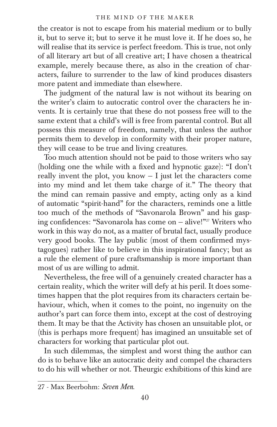the creator is not to escape from his material medium or to bully it, but to serve it; but to serve it he must love it. If he does so, he will realise that its service is perfect freedom. This is true, not only of all literary art but of all creative art; I have chosen a theatrical example, merely because there, as also in the creation of characters, failure to surrender to the law of kind produces disasters more patent and immediate than elsewhere.

The judgment of the natural law is not without its bearing on the writer's claim to autocratic control over the characters he invents. It is certainly true that these do not possess free will to the same extent that a child's will is free from parental control. But all possess this measure of freedom, namely, that unless the author permits them to develop in conformity with their proper nature, they will cease to be true and living creatures.

Too much attention should not be paid to those writers who say (holding one the while with a fixed and hypnotic gaze): "I don't really invent the plot, you know  $-$  I just let the characters come into my mind and let them take charge of it." The theory that the mind can remain passive and empty, acting only as a kind of automatic "spirit-hand" for the characters, reminds one a little too much of the methods of "Savonarola Brown" and his gasping confidences: "Savonarola has come on - alive!"<sup>27</sup> Writers who work in this way do not, as a matter of brutal fact, usually produce very good books. The lay public (most of them confirmed mystagogues) rather like to believe in this inspirational fancy; but as a rule the element of pure craftsmanship is more important than most of us are willing to admit.

Nevertheless, the free will of a genuinely created character has a certain reality, which the writer will defy at his peril. It does sometimes happen that the plot requires from its characters certain behaviour, which, when it comes to the point, no ingenuity on the author's part can force them into, except at the cost of destroying them. It may be that the Activity has chosen an unsuitable plot, or (this is perhaps more frequent) has imagined an unsuitable set of characters for working that particular plot out.

In such dilemmas, the simplest and worst thing the author can do is to behave like an autocratic deity and compel the characters to do his will whether or not. Theurgic exhibitions of this kind are

<sup>27 -</sup> Max Beerbohm: *Seven Men*.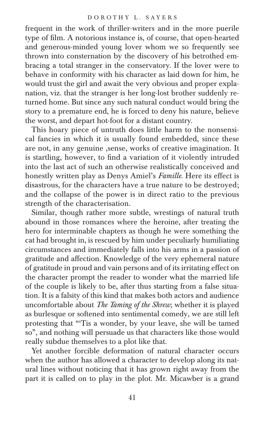### DOROTHY L. SAYERS

frequent in the work of thriller-writers and in the more puerile type of film. A notorious instance is, of course, that open-hearted and generous-minded young lover whom we so frequently see thrown into consternation by the discovery of his betrothed embracing a total stranger in the conservatory. If the lover were to behave in conformity with his character as laid down for him, he would trust the girl and await the very obvious and proper explanation, viz. that the stranger is her long-lost brother suddenly returned home. But since any such natural conduct would bring the story to a premature end, he is forced to deny his nature, believe the worst, and depart hot-foot for a distant country.

This hoary piece of untruth does little harm to the nonsensical fancies in which it is usually found embedded, since these are not, in any genuine ,sense, works of creative imagination. It is startling, however, to find a variation of it violently intruded into the last act of such an otherwise realistically conceived and honestly written play as Denys Amiel's *Famille*. Here its effect is disastrous, for the characters have a true nature to be destroyed; and the collapse of the power is in direct ratio to the previous strength of the characterisation.

Similar, though rather more subtle, wrestings of natural truth abound in those romances where the heroine, after treating the hero for interminable chapters as though he were something the cat had brought in, is rescued by him under peculiarly humiliating circumstances and immediately falls into his arms in a passion of gratitude and affection. Knowledge of the very ephemeral nature of gratitude in proud and vain persons and of its irritating effect on the character prompt the reader to wonder what the married life of the couple is likely to be, after thus starting from a false situation. It is a falsity of this kind that makes both actors and audience uncomfortable about *The Taming of the Shrew*; whether it is played as burlesque or softened into sentimental comedy, we are still left protesting that "'Tis a wonder, by your leave, she will be tamed so", and nothing will persuade us that characters like those would really subdue themselves to a plot like that.

Yet another forcible deformation of natural character occurs when the author has allowed a character to develop along its natural lines without noticing that it has grown right away from the part it is called on to play in the plot. Mr. Micawber is a grand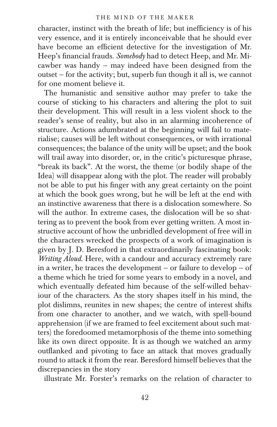character, instinct with the breath of life; but inefficiency is of his very essence, and it is entirely inconceivable that he should ever have become an efficient detective for the investigation of Mr. Heep's financial frauds. *Somebody* had to detect Heep, and Mr. Micawber was handy — may indeed have been designed from the outset — for the activity; but, superb fun though it all is, we cannot for one moment believe it.

The humanistic and sensitive author may prefer to take the course of sticking to his characters and altering the plot to suit their development. This will result in a less violent shock to the reader's sense of reality, but also in an alarming incoherence of structure. Actions adumbrated at the beginning will fail to materialise; causes will be left without consequences, or with irrational consequences; the balance of the unity will be upset; and the book will trail away into disorder, or, in the critic's picturesque phrase, "break its back". At the worst, the theme (or bodily shape of the Idea) will disappear along with the plot. The reader will probably not be able to put his finger with any great certainty on the point at which the book goes wrong, but he will be left at the end with an instinctive awareness that there is a dislocation somewhere. So will the author. In extreme cases, the dislocation will be so shattering as to prevent the book from ever getting written. A most instructive account of how the unbridled development of free will in the characters wrecked the prospects of a work of imagination is given by J. D. Beresford in that extraordinarily fascinating book: *Writing Aloud*. Here, with a candour and accuracy extremely rare in a writer, he traces the development — or failure to develop — of a theme which he tried for some years to embody in a novel, and which eventually defeated him because of the self-willed behaviour of the characters. As the story shapes itself in his mind, the plot dislimns, reunites in new shapes; the centre of interest shifts from one character to another, and we watch, with spell-bound apprehension (if we are framed to feel excitement about such matters) the foredoomed metamorphosis of the theme into something like its own direct opposite. It is as though we watched an army outflanked and pivoting to face an attack that moves gradually round to attack it from the rear. Beresford himself believes that the discrepancies in the story

illustrate Mr. Forster's remarks on the relation of character to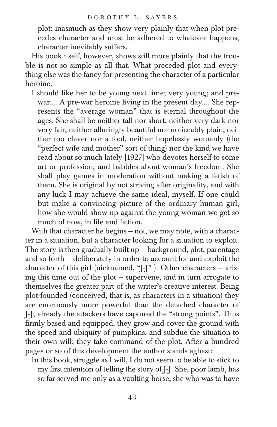plot; inasmuch as they show very plainly that when plot precedes character and must be adhered to whatever happens, character inevitably suffers.

His book itself, however, shows still more plainly that the trouble is not so simple as all that. What preceded plot and everything else was the fancy for presenting the character of a particular heroine.

I should like her to be young next time; very young; and prewar.... A pre-war heroine living in the present day.... She represents the "average woman" that is eternal throughout the ages. She shall be neither tall nor short, neither very dark nor very fair, neither alluringly beautiful nor noticeably plain, neither too clever nor a fool, neither hopelessly womanly (the "perfect wife and mother" sort of thing) nor the kind we have read about so much lately [1927] who devotes herself to some art or profession, and babbles about woman's freedom. She shall play games in moderation without making a fetish of them. She is original by not striving after originality, and with any luck I may achieve the same ideal, myself. If one could but make a convincing picture of the ordinary human girl, how she would show up against the young woman we get so much of now, in life and fiction.

With that character he begins — not, we may note, with a character in a situation, but a character looking for a situation to exploit. The story is then gradually built up — background, plot, parentage and so forth — deliberately in order to account for and exploit the character of this girl (nicknamed, "J-J" ). Other characters — arising this time out of the plot — supervene, and in turn arrogate to themselves the greater part of the writer's creative interest. Being plot-founded (conceived, that is, as characters in a situation) they are enormously more powerful than the detached character of J-J; already the attackers have captured the "strong points". Thus firmly based and equipped, they grow and cover the ground with the speed and ubiquity of pumpkins, and subdue the situation to their own will; they take command of the plot. After a hundred pages or so of this development the author stands aghast:

In this book, struggle as I will, I do not seem to be able to stick to my first intention of telling the story of J-J. She, poor lamb, has so far served me only as a vaulting-horse, she who was to have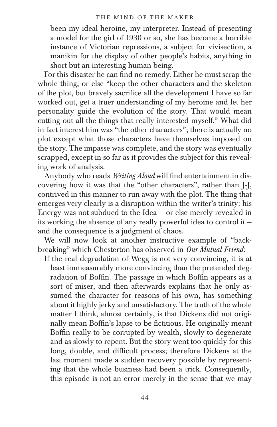been my ideal heroine, my interpreter. Instead of presenting a model for the girl of 1930 or so, she has become a horrible instance of Victorian repressions, a subject for vivisection, a manikin for the display of other people's habits, anything in short but an interesting human being.

For this disaster he can find no remedy. Either he must scrap the whole thing, or else "keep the other characters and the skeleton of the plot, but bravely sacrifice all the development I have so far worked out, get a truer understanding of my heroine and let her personality guide the evolution of the story. That would mean cutting out all the things that really interested myself." What did in fact interest him was "the other characters"; there is actually no plot except what those characters have themselves imposed on the story. The impasse was complete, and the story was eventually scrapped, except in so far as it provides the subject for this revealing work of analysis.

Anybody who reads *Writing Aloud* will find entertainment in discovering how it was that the "other characters", rather than J-J, contrived in this manner to run away with the plot. The thing that emerges very clearly is a disruption within the writer's trinity: his Energy was not subdued to the Idea — or else merely revealed in its working the absence of any really powerful idea to control it and the consequence is a judgment of chaos.

We will now look at another instructive example of "backbreaking" which Chesterton has observed in *Our Mutual Friend*:

If the real degradation of Wegg is not very convincing, it is at least immeasurably more convincing than the pretended degradation of Boffin. The passage in which Boffin appears as a sort of miser, and then afterwards explains that he only assumed the character for reasons of his own, has something about it highly jerky and unsatisfactory. The truth of the whole matter I think, almost certainly, is that Dickens did not originally mean Boffin's lapse to be fictitious. He originally meant Boffin really to be corrupted by wealth, slowly to degenerate and as slowly to repent. But the story went too quickly for this long, double, and difficult process; therefore Dickens at the last moment made a sudden recovery possible by representing that the whole business had been a trick. Consequently, this episode is not an error merely in the sense that we may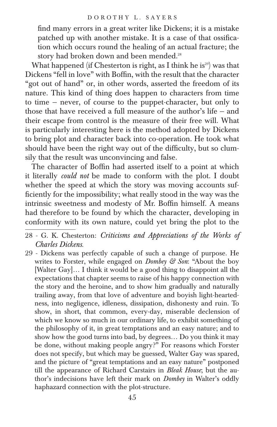find many errors in a great writer like Dickens; it is a mistake patched up with another mistake. It is a case of that ossification which occurs round the healing of an actual fracture; the story had broken down and been mended.<sup>28</sup>

What happened (if Chesterton is right, as I think he is<sup>29</sup>) was that Dickens "fell in love" with Boffin, with the result that the character "got out of hand" or, in other words, asserted the freedom of its nature. This kind of thing does happen to characters from time to time — never, of course to the puppet-character, but only to those that have received a full measure of the author's life — and their escape from control is the measure of their free will. What is particularly interesting here is the method adopted by Dickens to bring plot and character back into co-operation. He took what should have been the right way out of the difficulty, but so clumsily that the result was unconvincing and false.

The character of Boffin had asserted itself to a point at which it literally *could not* be made to conform with the plot. I doubt whether the speed at which the story was moving accounts sufficiently for the impossibility; what really stood in the way was the intrinsic sweetness and modesty of Mr. Boffin himself. A means had therefore to be found by which the character, developing in conformity with its own nature, could yet bring the plot to the

- 28 G. K. Chesterton: *Criticisms and Appreciations of the Works of Charles Dickens*.
- 29 Dickens was perfectly capable of such a change of purpose. He writes to Forster, while engaged on *Dombey & Son*: "About the boy [Walter Gay]… I think it would be a good thing to disappoint all the expectations that chapter seems to raise of his happy connection with the story and the heroine, and to show him gradually and naturally trailing away, from that love of adventure and boyish light-heartedness, into negligence, idleness, dissipation, dishonesty and ruin. To show, in short, that common, every-day, miserable declension of which we know so much in our ordinary life, to exhibit something of the philosophy of it, in great temptations and an easy nature; and to show how the good turns into bad, by degrees… Do you think it may be done, without making people angry?" For reasons which Forster does not specify, but which may be guessed, Walter Gay was spared, and the picture of "great temptations and an easy nature" postponed till the appearance of Richard Carstairs in *Bleak House*; but the author's indecisions have left their mark on *Dombey* in Walter's oddly haphazard connection with the plot-structure.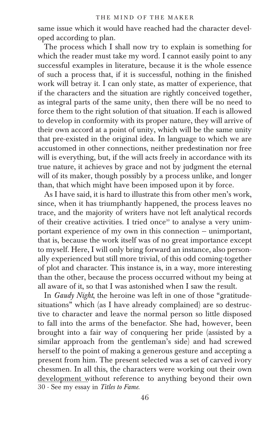### THE MIND OF THE MAKER

same issue which it would have reached had the character developed according to plan.

The process which I shall now try to explain is something for which the reader must take my word. I cannot easily point to any successful examples in literature, because it is the whole essence of such a process that, if it is successful, nothing in the finished work will betray it. I can only state, as matter of experience, that if the characters and the situation are rightly conceived together, as integral parts of the same unity, then there will be no need to force them to the right solution of that situation. If each is allowed to develop in conformity with its proper nature, they will arrive of their own accord at a point of unity, which will be the same unity that pre-existed in the original idea. In language to which we are accustomed in other connections, neither predestination nor free will is everything, but, if the will acts freely in accordance with its true nature, it achieves by grace and not by judgment the eternal will of its maker, though possibly by a process unlike, and longer than, that which might have been imposed upon it by force.

As I have said, it is hard to illustrate this from other men's work, since, when it has triumphantly happened, the process leaves no trace, and the majority of writers have not left analytical records of their creative activities. I tried once<sup>30</sup> to analyse a very unimportant experience of my own in this connection — unimportant, that is, because the work itself was of no great importance except to myself. Here, I will only bring forward an instance, also personally experienced but still more trivial, of this odd coming-together of plot and character. This instance is, in a way, more interesting than the other, because the process occurred without my being at all aware of it, so that I was astonished when I saw the result.

In *Gaudy Night*, the heroine was left in one of those "gratitudesituations" which (as I have already complained) are so destructive to character and leave the normal person so little disposed to fall into the arms of the benefactor. She had, however, been brought into a fair way of conquering her pride (assisted by a similar approach from the gentleman's side) and had screwed herself to the point of making a generous gesture and accepting a present from him. The present selected was a set of carved ivory chessmen. In all this, the characters were working out their own development without reference to anything beyond their own 30 - See my essay in *Titles to Fame*.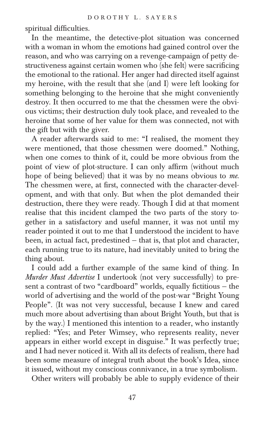spiritual difficulties.

In the meantime, the detective-plot situation was concerned with a woman in whom the emotions had gained control over the reason, and who was carrying on a revenge-campaign of petty destructiveness against certain women who (she felt) were sacrificing the emotional to the rational. Her anger had directed itself against my heroine, with the result that she (and I) were left looking for something belonging to the heroine that she might conveniently destroy. It then occurred to me that the chessmen were the obvious victims; their destruction duly took place, and revealed to the heroine that some of her value for them was connected, not with the gift but with the giver.

A reader afterwards said to me: "I realised, the moment they were mentioned, that those chessmen were doomed." Nothing, when one comes to think of it, could be more obvious from the point of view of plot-structure. I can only affirm (without much hope of being believed) that it was by no means obvious to *me*. The chessmen were, at first, connected with the character-development, and with that only. But when the plot demanded their destruction, there they were ready. Though I did at that moment realise that this incident clamped the two parts of the story together in a satisfactory and useful manner, it was not until my reader pointed it out to me that I understood the incident to have been, in actual fact, predestined — that is, that plot and character, each running true to its nature, had inevitably united to bring the thing about.

I could add a further example of the same kind of thing. In *Murder Must Advertise* I undertook (not very successfully) to present a contrast of two "cardboard" worlds, equally fictitious — the world of advertising and the world of the post-war "Bright Young People". (It was not very successful, because I knew and cared much more about advertising than about Bright Youth, but that is by the way.) I mentioned this intention to a reader, who instantly replied: "Yes; and Peter Wimsey, who represents reality, never appears in either world except in disguise." It was perfectly true; and I had never noticed it. With all its defects of realism, there had been some measure of integral truth about the book's Idea, since it issued, without my conscious connivance, in a true symbolism.

Other writers will probably be able to supply evidence of their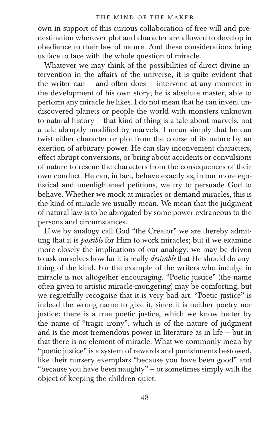#### THE MIND OF THE MAKER

own in support of this curious collaboration of free will and predestination wherever plot and character are allowed to develop in obedience to their law of nature. And these considerations bring us face to face with the whole question of miracle.

Whatever we may think of the possibilities of direct divine intervention in the affairs of the universe, it is quite evident that the writer can — and often does — intervene at any moment in the development of his own story; he is absolute master, able to perform any miracle he likes. I do not mean that he can invent undiscovered planets or people the world with monsters unknown to natural history — that kind of thing is a tale about marvels, not a tale abruptly modified by marvels. I mean simply that he can twist either character or plot from the course of its nature by an exertion of arbitrary power. He can slay inconvenient characters, effect abrupt conversions, or bring about accidents or convulsions of nature to rescue the characters from the consequences of their own conduct. He can, in fact, behave exactly as, in our more egotistical and unenlightened petitions, we try to persuade God to behave. Whether we mock at miracles or demand miracles, this is the kind of miracle we usually mean. We mean that the judgment of natural law is to be abrogated by some power extraneous to the persons and circumstances.

If we by analogy call God "the Creator" we are thereby admitting that it is *possible* for Him to work miracles; but if we examine more closely the implications of our analogy, we may be driven to ask ourselves how far it is really *desirable* that He should do anything of the kind. For the example of the writers who indulge in miracle is not altogether encouraging. "Poetic justice" (the name often given to artistic miracle-mongering) may be comforting, but we regretfully recognise that it is very bad art. "Poetic justice" is indeed the wrong name to give it, since it is neither poetry nor justice; there is a true poetic justice, which we know better by the name of "tragic irony", which is of the nature of judgment and is the most tremendous power in literature as in life — but in that there is no element of miracle. What we commonly mean by "poetic justice" is a system of rewards and punishments bestowed, like their nursery exemplars "because you have been good" and "because you have been naughty" — or sometimes simply with the object of keeping the children quiet.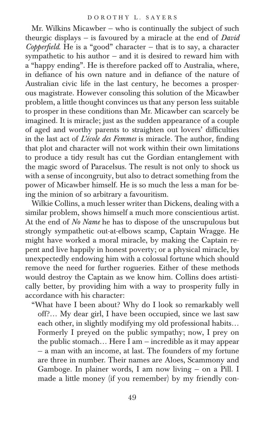Mr. Wilkins Micawber — who is continually the subject of such theurgic displays — is favoured by a miracle at the end of *David Copperfield*. He is a "good" character — that is to say, a character sympathetic to his author — and it is desired to reward him with a "happy ending". He is therefore packed off to Australia, where, in defiance of his own nature and in defiance of the nature of Australian civic life in the last century, he becomes a prosperous magistrate. However consoling this solution of the Micawber problem, a little thought convinces us that any person less suitable to prosper in these conditions than Mr. Micawber can scarcely be imagined. It is miracle; just as the sudden appearance of a couple of aged and worthy parents to straighten out lovers' difficulties in the last act of *L'école des Femmes* is miracle. The author, finding that plot and character will not work within their own limitations to produce a tidy result has cut the Gordian entanglement with the magic sword of Paracelsus. The result is not only to shock us with a sense of incongruity, but also to detract something from the power of Micawber himself. He is so much the less a man for being the minion of so arbitrary a favouritism.

Wilkie Collins, a much lesser writer than Dickens, dealing with a similar problem, shows himself a much more conscientious artist. At the end of *No Name* he has to dispose of the unscrupulous but strongly sympathetic out-at-elbows scamp, Captain Wragge. He might have worked a moral miracle, by making the Captain repent and live happily in honest poverty; or a physical miracle, by unexpectedly endowing him with a colossal fortune which should remove the need for further rogueries. Either of these methods would destroy the Captain as we know him. Collins does artistically better, by providing him with a way to prosperity fully in accordance with his character:

"What have I been about? Why do I look so remarkably well off?… My dear girl, I have been occupied, since we last saw each other, in slightly modifying my old professional habits… Formerly I preyed on the public sympathy; now, I prey on the public stomach… Here I am — incredible as it may appear — a man with an income, at last. The founders of my fortune are three in number. Their names are Aloes, Scammony and Gamboge. In plainer words, I am now living — on a Pill. I made a little money (if you remember) by my friendly con-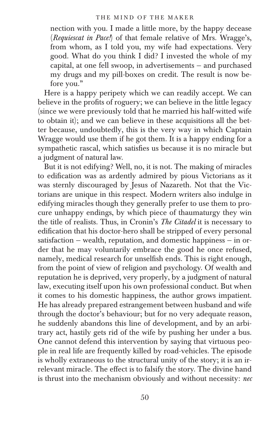nection with you. I made a little more, by the happy decease (*Requiescat in Pace!*) of that female relative of Mrs. Wragge's, from whom, as I told you, my wife had expectations. Very good. What do you think I did? I invested the whole of my capital, at one fell swoop, in advertisements — and purchased my drugs and my pill-boxes on credit. The result is now before you."

Here is a happy peripety which we can readily accept. We can believe in the profits of roguery; we can believe in the little legacy (since we were previously told that he married his half-witted wife to obtain it); and we can believe in these acquisitions all the better because, undoubtedly, this is the very way in which Captain Wragge would use them if he got them. It is a happy ending for a sympathetic rascal, which satisfies us because it is no miracle but a judgment of natural law.

But it is not edifying? Well, no, it is not. The making of miracles to edification was as ardently admired by pious Victorians as it was sternly discouraged by Jesus of Nazareth. Not that the Victorians are unique in this respect. Modern writers also indulge in edifying miracles though they generally prefer to use them to procure unhappy endings, by which piece of thaumaturgy they win the title of realists. Thus, in Cronin's *The Citadel* it is necessary to edification that his doctor-hero shall be stripped of every personal satisfaction — wealth, reputation, and domestic happiness — in order that he may voluntarily embrace the good he once refused, namely, medical research for unselfish ends. This is right enough, from the point of view of religion and psychology. Of wealth and reputation he is deprived, very properly, by a judgment of natural law, executing itself upon his own professional conduct. But when it comes to his domestic happiness, the author grows impatient. He has already prepared estrangement between husband and wife through the doctor's behaviour; but for no very adequate reason, he suddenly abandons this line of development, and by an arbitrary act, hastily gets rid of the wife by pushing her under a bus. One cannot defend this intervention by saying that virtuous people in real life are frequently killed by road-vehicles. The episode is wholly extraneous to the structural unity of the story; it is an irrelevant miracle. The effect is to falsify the story. The divine hand is thrust into the mechanism obviously and without necessity: *nec*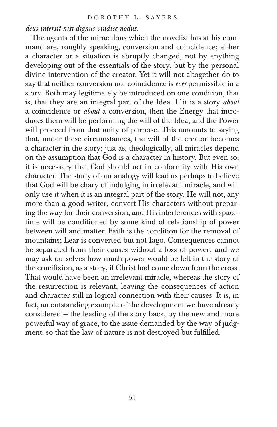### *deus intersit nisi dignus vindice nodus*.

The agents of the miraculous which the novelist has at his command are, roughly speaking, conversion and coincidence; either a character or a situation is abruptly changed, not by anything developing out of the essentials of the story, but by the personal divine intervention of the creator. Yet it will not altogether do to say that neither conversion nor coincidence is *ever* permissible in a story. Both may legitimately be introduced on one condition, that is, that they are an integral part of the Idea. If it is a story *about* a coincidence or *about* a conversion, then the Energy that introduces them will be performing the will of the Idea, and the Power will proceed from that unity of purpose. This amounts to saying that, under these circumstances, the will of the creator becomes a character in the story; just as, theologically, all miracles depend on the assumption that God is a character in history. But even so, it is necessary that God should act in conformity with His own character. The study of our analogy will lead us perhaps to believe that God will be chary of indulging in irrelevant miracle, and will only use it when it is an integral part of the story. He will not, any more than a good writer, convert His characters without preparing the way for their conversion, and His interferences with spacetime will be conditioned by some kind of relationship of power between will and matter. Faith is the condition for the removal of mountains; Lear is converted but not Iago. Consequences cannot be separated from their causes without a loss of power; and we may ask ourselves how much power would be left in the story of the crucifixion, as a story, if Christ had come down from the cross. That would have been an irrelevant miracle, whereas the story of the resurrection is relevant, leaving the consequences of action and character still in logical connection with their causes. It is, in fact, an outstanding example of the development we have already considered — the leading of the story back, by the new and more powerful way of grace, to the issue demanded by the way of judgment, so that the law of nature is not destroyed but fulfilled.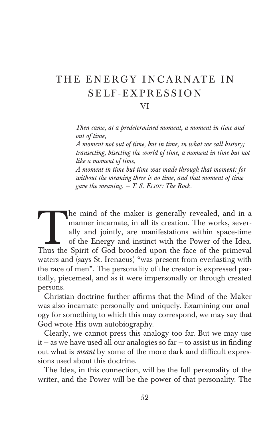# THE ENERGY INCARNATE IN S elf - Expression

### VI

*Then came, at a predetermined moment, a moment in time and out of time,* 

*A moment not out of time, but in time, in what we call history; transecting, bisecting the world of time, a moment in time but not like a moment of time,*

*A moment in time but time was made through that moment: for without the meaning there is no time, and that moment of time gave the meaning. — T. S. Eliot: The Rock.*

The mind of the maker is generally revealed, and in a manner incarnate, in all its creation. The works, severally and jointly, are manifestations within space-time of the Energy and instinct with the Power of the Idea. Thu manner incarnate, in all its creation. The works, severally and jointly, are manifestations within space-time of the Energy and instinct with the Power of the Idea. waters and (says St. Irenaeus) "was present from everlasting with the race of men". The personality of the creator is expressed partially, piecemeal, and as it were impersonally or through created persons.

Christian doctrine further affirms that the Mind of the Maker was also incarnate personally and uniquely. Examining our analogy for something to which this may correspond, we may say that God wrote His own autobiography.

Clearly, we cannot press this analogy too far. But we may use  $it - as we have used all our analogies so far - to assist us in finding$ out what is *meant* by some of the more dark and difficult expressions used about this doctrine.

The Idea, in this connection, will be the full personality of the writer, and the Power will be the power of that personality. The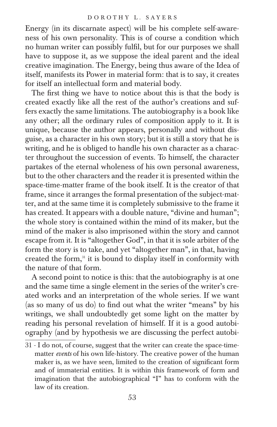### DOROTHY L. SAYERS

Energy (in its discarnate aspect) will be his complete self-awareness of his own personality. This is of course a condition which no human writer can possibly fulfil, but for our purposes we shall have to suppose it, as we suppose the ideal parent and the ideal creative imagination. The Energy, being thus aware of the Idea of itself, manifests its Power in material form: that is to say, it creates for itself an intellectual form and material body.

The first thing we have to notice about this is that the body is created exactly like all the rest of the author's creations and suffers exactly the same limitations. The autobiography is a book like any other; all the ordinary rules of composition apply to it. It is unique, because the author appears, personally and without disguise, as a character in his own story; but it is still a story that he is writing, and he is obliged to handle his own character as a character throughout the succession of events. To himself, the character partakes of the eternal wholeness of his own personal awareness, but to the other characters and the reader it is presented within the space-time-matter frame of the book itself. It is the creator of that frame, since it arranges the formal presentation of the subject-matter, and at the same time it is completely submissive to the frame it has created. It appears with a double nature, "divine and human"; the whole story is contained within the mind of its maker, but the mind of the maker is also imprisoned within the story and cannot escape from it. It is "altogether God", in that it is sole arbiter of the form the story is to take, and yet "altogether man", in that, having created the form,<sup>31</sup> it is bound to display itself in conformity with the nature of that form.

A second point to notice is this: that the autobiography is at one and the same time a single element in the series of the writer's created works and an interpretation of the whole series. If we want (as so many of us do) to find out what the writer "means" by his writings, we shall undoubtedly get some light on the matter by reading his personal revelation of himself. If it is a good autobiography (and by hypothesis we are discussing the perfect autobi-

<sup>31 -</sup> I do not, of course, suggest that the writer can create the space-timematter *events* of his own life-history. The creative power of the human maker is, as we have seen, limited to the creation of significant form and of immaterial entities. It is within this framework of form and imagination that the autobiographical "I" has to conform with the law of its creation.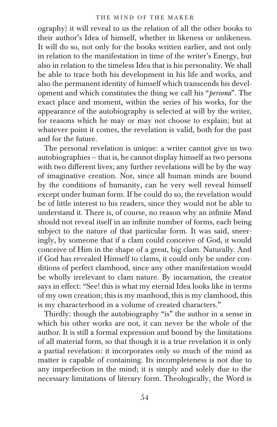ography) it will reveal to us the relation of all the other books to their author's Idea of himself, whether in likeness or unlikeness. It will do so, not only for the books written earlier, and not only in relation to the manifestation in time of the writer's Energy, but also in relation to the timeless Idea that is his personality. We shall be able to trace both his development in his life and works, and also the permanent identity of himself which transcends his development and which constitutes the thing we call his "*persona*". The exact place and moment, within the series of his works, for the appearance of the autobiography is selected at will by the writer, for reasons which he may or may not choose to explain; but at whatever point it comes, the revelation is valid, both for the past and for the future.

The personal revelation is unique: a writer cannot give us two autobiographies — that is, he cannot display himself as two persons with two different lives; any further revelations will be by the way of imaginative creation. Nor, since all human minds are bound by the conditions of humanity, can he very well reveal himself except under human form. If he could do so, the revelation would be of little interest to his readers, since they would not be able to understand it. There is, of course, no reason why an infinite Mind should not reveal itself in an infinite number of forms, each being subject to the nature of that particular form. It was said, sneeringly, by someone that if a clam could conceive of God, it would conceive of Him in the shape of a great, big clam. Naturally. And if God has revealed Himself to clams, it could only be under conditions of perfect clamhood, since any other manifestation would be wholly irrelevant to clam nature. By incarnation, the creator says in effect: "See! this is what my eternal Idea looks like in terms of my own creation; this is my manhood, this is my clamhood, this is my characterhood in a volume of created characters."

Thirdly: though the autobiography "is" the author in a sense in which his other works are not, it can never be the whole of the author. It is still a formal expression and bound by the limitations of all material form, so that though it is a true revelation it is only a partial revelation: it incorporates only so much of the mind as matter is capable of containing. Its incompleteness is not due to any imperfection in the mind; it is simply and solely due to the necessary limitations of literary form. Theologically, the Word is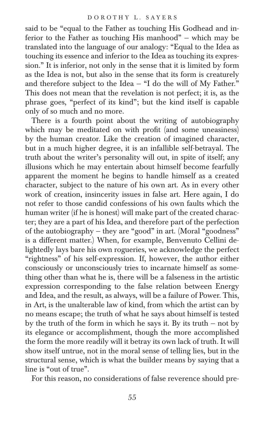said to be "equal to the Father as touching His Godhead and inferior to the Father as touching His manhood" — which may be translated into the language of our analogy: "Equal to the Idea as touching its essence and inferior to the Idea as touching its expression." It is inferior, not only in the sense that it is limited by form as the Idea is not, but also in the sense that its form is creaturely and therefore subject to the Idea — "I do the will of My Father." This does not mean that the revelation is not perfect; it is, as the phrase goes, "perfect of its kind"; but the kind itself is capable only of so much and no more.

There is a fourth point about the writing of autobiography which may be meditated on with profit (and some uneasiness) by the human creator. Like the creation of imagined character, but in a much higher degree, it is an infallible self-betrayal. The truth about the writer's personality will out, in spite of itself; any illusions which he may entertain about himself become fearfully apparent the moment he begins to handle himself as a created character, subject to the nature of his own art. As in every other work of creation, insincerity issues in false art. Here again, I do not refer to those candid confessions of his own faults which the human writer (if he is honest) will make part of the created character; they are a part of his Idea, and therefore part of the perfection of the autobiography — they are "good" in art. (Moral "goodness" is a different matter.) When, for example, Benvenuto Cellini delightedly lays bare his own rogueries, we acknowledge the perfect "rightness" of his self-expression. If, however, the author either consciously or unconsciously tries to incarnate himself as something other than what he is, there will be a falseness in the artistic expression corresponding to the false relation between Energy and Idea, and the result, as always, will be a failure of Power. This, in Art, is the unalterable law of kind, from which the artist can by no means escape; the truth of what he says about himself is tested by the truth of the form in which he says it. By its truth — not by its elegance or accomplishment, though the more accomplished the form the more readily will it betray its own lack of truth. It will show itself untrue, not in the moral sense of telling lies, but in the structural sense, which is what the builder means by saying that a line is "out of true".

For this reason, no considerations of false reverence should pre-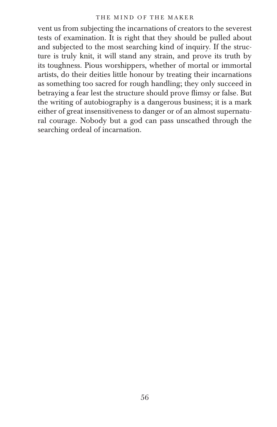### THE MIND OF THE MAKER

vent us from subjecting the incarnations of creators to the severest tests of examination. It is right that they should be pulled about and subjected to the most searching kind of inquiry. If the structure is truly knit, it will stand any strain, and prove its truth by its toughness. Pious worshippers, whether of mortal or immortal artists, do their deities little honour by treating their incarnations as something too sacred for rough handling; they only succeed in betraying a fear lest the structure should prove flimsy or false. But the writing of autobiography is a dangerous business; it is a mark either of great insensitiveness to danger or of an almost supernatural courage. Nobody but a god can pass unscathed through the searching ordeal of incarnation.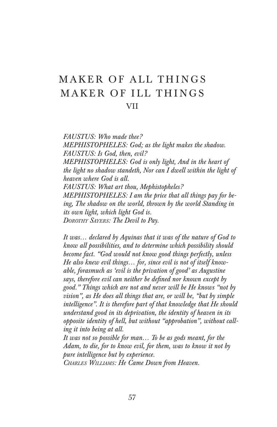## MAKER OF ALL THINGS MAKER OF ILL THINGS VII

*FAUSTUS: Who made thee? MEPHISTOPHELES: God; as the light makes the shadow. FAUSTUS: Is God, then, evil? MEPHISTOPHELES: God is only light, And in the heart of the light no shadow standeth, Nor can I dwell within the light of heaven where God is all. FAUSTUS: What art thou, Mephistopheles? MEPHISTOPHELES: I am the price that all things pay for being, The shadow on the world, thrown by the world Standing in its own light, which light God is. Dorothy Sayers: The Devil to Pay.*

*It was… declared by Aquinas that it was of the nature of God to know all possibilities, and to determine which possibility should become fact. "God would not know good things perfectly, unless He also knew evil things… for, since evil is not of itself knowable, forasmuch as 'evil is the privation of good' as Augustine says, therefore evil can neither be defined nor known except by good." Things which are not and never will be He knows "not by vision", as He does all things that are, or will be, "but by simple intelligence". It is therefore part of that knowledge that He should understand good in its deprivation, the identity of heaven in its opposite identity of hell, but without "approbation", without calling it into being at all.*

*It was not so possible for man… To be as gods meant, for the Adam, to die, for to know evil, for them, was to know it not by pure intelligence but by experience.* 

*Charles Williams: He Came Down from Heaven.*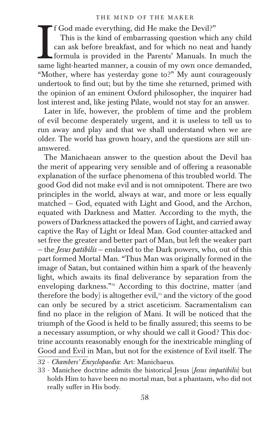### THE MIND OF THE MAKER

f God made everything, did He make the Devil?"

If God made everything, did He make the Devil?"<br>This is the kind of embarrassing question which any child<br>can ask before breakfast, and for which no neat and handy<br>formula is provided in the Parents' Manuals. In much the<br>s This is the kind of embarrassing question which any child can ask before breakfast, and for which no neat and handy formula is provided in the Parents' Manuals. In much the "Mother, where has yesterday gone to?" My aunt courageously undertook to find out; but by the time she returned, primed with the opinion of an eminent Oxford philosopher, the inquirer had lost interest and, like jesting Pilate, would not stay for an answer.

Later in life, however, the problem of time and the problem of evil become desperately urgent, and it is useless to tell us to run away and play and that we shall understand when we are older. The world has grown hoary, and the questions are still unanswered.

The Manichaean answer to the question about the Devil has the merit of appearing very sensible and of offering a reasonable explanation of the surface phenomena of this troubled world. The good God did not make evil and is not omnipotent. There are two principles in the world, always at war, and more or less equally matched — God, equated with Light and Good, and the Archon, equated with Darkness and Matter. According to the myth, the powers of Darkness attacked the powers of Light, and carried away captive the Ray of Light or Ideal Man. God counter-attacked and set free the greater and better part of Man, but left the weaker part — the *Jesus patibilis* — enslaved to the Dark powers, who, out of this part formed Mortal Man. "Thus Man was originally formed in the image of Satan, but contained within him a spark of the heavenly light, which awaits its final deliverance by separation from the enveloping darkness."32 According to this doctrine, matter (and therefore the body) is altogether evil, $33$  and the victory of the good can only be secured by a strict asceticism. Sacramentalism can find no place in the religion of Mani. It will be noticed that the triumph of the Good is held to be finally assured; this seems to be a necessary assumption, or why should we call it Good? This doctrine accounts reasonably enough for the inextricable mingling of Good and Evil in Man, but not for the existence of Evil itself. The

<sup>32 -</sup> *Chambers' Encyclopaedia*: Art: Manichaeus.

<sup>33 -</sup> Manichee doctrine admits the historical Jesus (*Jesus impatibilis*) but holds Him to have been no mortal man, but a phantasm, who did not really suffer in His body.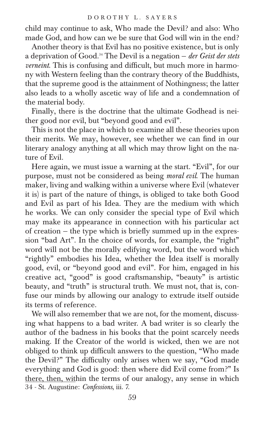### DOROTHY L. SAYERS

child may continue to ask, Who made the Devil? and also: Who made God, and how can we be sure that God will win in the end?

Another theory is that Evil has no positive existence, but is only a deprivation of Good.34 The Devil is a negation — *der Geist der stets verneint*. This is confusing and difficult, but much more in harmony with Western feeling than the contrary theory of the Buddhists, that the supreme good is the attainment of Nothingness; the latter also leads to a wholly ascetic way of life and a condemnation of the material body.

Finally, there is the doctrine that the ultimate Godhead is neither good nor evil, but "beyond good and evil".

This is not the place in which to examine all these theories upon their merits. We may, however, see whether we can find in our literary analogy anything at all which may throw light on the nature of Evil.

Here again, we must issue a warning at the start. "Evil", for our purpose, must not be considered as being *moral evil*. The human maker, living and walking within a universe where Evil (whatever it is) is part of the nature of things, is obliged to take both Good and Evil as part of his Idea. They are the medium with which he works. We can only consider the special type of Evil which may make its appearance in connection with his particular act of creation — the type which is briefly summed up in the expression "bad Art". In the choice of words, for example, the "right" word will not be the morally edifying word, but the word which "rightly" embodies his Idea, whether the Idea itself is morally good, evil, or "beyond good and evil". For him, engaged in his creative act, "good" is good craftsmanship, "beauty" is artistic beauty, and "truth" is structural truth. We must not, that is, confuse our minds by allowing our analogy to extrude itself outside its terms of reference.

We will also remember that we are not, for the moment, discussing what happens to a bad writer. A bad writer is so clearly the author of the badness in his books that the point scarcely needs making. If the Creator of the world is wicked, then we are not obliged to think up difficult answers to the question, "Who made the Devil?" The difficulty only arises when we say, "God made everything and God is good: then where did Evil come from?" Is there, then, within the terms of our analogy, any sense in which 34 - St. Augustine: *Confessions*, iii. 7.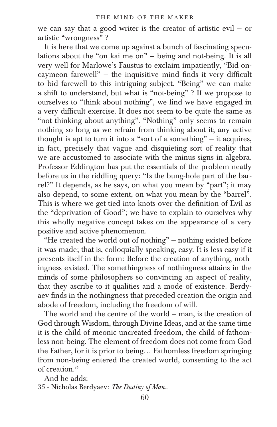we can say that a good writer is the creator of artistic  $evil - or$ artistic "wrongness" ?

It is here that we come up against a bunch of fascinating speculations about the "on kai me on" — being and not-being. It is all very well for Marlowe's Faustus to exclaim impatiently, "Bid oncaymeon farewell" — the inquisitive mind finds it very difficult to bid farewell to this intriguing subject. "Being" we can make a shift to understand, but what is "not-being" ? If we propose to ourselves to "think about nothing", we find we have engaged in a very difficult exercise. It does not seem to be quite the same as "not thinking about anything". "Nothing" only seems to remain nothing so long as we refrain from thinking about it; any active thought is apt to turn it into a "sort of a something" — it acquires, in fact, precisely that vague and disquieting sort of reality that we are accustomed to associate with the minus signs in algebra. Professor Eddington has put the essentials of the problem neatly before us in the riddling query: "Is the bung-hole part of the barrel?" It depends, as he says, on what you mean by "part"; it may also depend, to some extent, on what you mean by the "barrel". This is where we get tied into knots over the definition of Evil as the "deprivation of Good"; we have to explain to ourselves why this wholly negative concept takes on the appearance of a very positive and active phenomenon.

"He created the world out of nothing" — nothing existed before it was made; that is, colloquially speaking, easy. It is less easy if it presents itself in the form: Before the creation of anything, nothingness existed. The somethingness of nothingness attains in the minds of some philosophers so convincing an aspect of reality, that they ascribe to it qualities and a mode of existence. Berdyaev finds in the nothingness that preceded creation the origin and abode of freedom, including the freedom of will.

The world and the centre of the world — man, is the creation of God through Wisdom, through Divine Ideas, and at the same time it is the child of meonic uncreated freedom, the child of fathomless non-being. The element of freedom does not come from God the Father, for it is prior to being… Fathomless freedom springing from non-being entered the created world, consenting to the act of creation.35

And he adds:

35 - Nicholas Berdyaev: *The Destiny of Man*..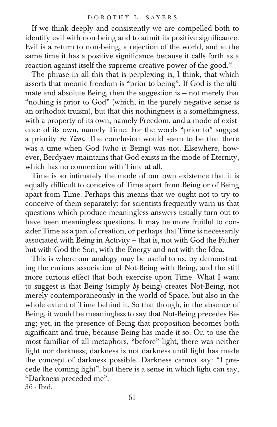### DOROTHY L. SAYERS

If we think deeply and consistently we are compelled both to identify evil with non-being and to admit its positive significance. Evil is a return to non-being, a rejection of the world, and at the same time it has a positive significance because it calls forth as a reaction against itself the supreme creative power of the good.36

The phrase in all this that is perplexing is, I think, that which asserts that meonic freedom is "prior to being". If God is the ultimate and absolute Being, then the suggestion is — not merely that "nothing is prior to God" (which, in the purely negative sense is an orthodox truism), but that this nothingness is a somethingness, with a property of its own, namely Freedom, and a mode of existence of its own, namely Time. For the words "prior to" suggest a priority *in Time*. The conclusion would seem to be that there was a time when God (who is Being) was not. Elsewhere, however, Berdyaev maintains that God exists in the mode of Eternity, which has no connection with Time at all.

Time is so intimately the mode of our own existence that it is equally difficult to conceive of Time apart from Being or of Being apart from Time. Perhaps this means that we ought not to try to conceive of them separately: for scientists frequently warn us that questions which produce meaningless answers usually turn out to have been meaningless questions. It may be more fruitful to consider Time as a part of creation, or perhaps that Time is necessarily associated with Being in Activity — that is, not with God the Father but with God the Son; with the Energy and not with the Idea.

This is where our analogy may be useful to us, by demonstrating the curious association of Not-Being with Being, and the still more curious effect that both exercise upon Time. What I want to suggest is that Being (simply *by* being) creates Not-Being, not merely contemporaneously in the world of Space, but also in the whole extent of Time behind it. So that though, in the absence of Being, it would be meaningless to say that Not-Being precedes Being; yet, in the presence of Being that proposition becomes both significant and true, because Being has made it so. Or, to use the most familiar of all metaphors, "before" light, there was neither light nor darkness; darkness is not darkness until light has made the concept of darkness possible. Darkness cannot say: "I precede the coming light", but there is a sense in which light can say, "Darkness preceded me". 36 - Ibid.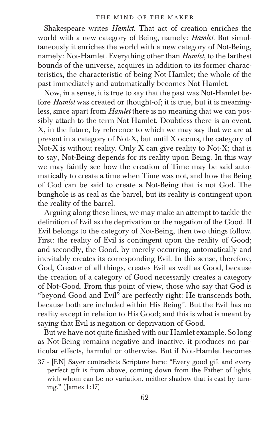### THE MIND OF THE MAKER

Shakespeare writes *Hamlet*. That act of creation enriches the world with a new category of Being, namely: *Hamlet*. But simultaneously it enriches the world with a new category of Not-Being, namely: Not-Hamlet. Everything other than *Hamlet*, to the farthest bounds of the universe, acquires in addition to its former characteristics, the characteristic of being Not-Hamlet; the whole of the past immediately and automatically becomes Not-Hamlet.

Now, in a sense, it is true to say that the past was Not-Hamlet before *Hamlet* was created or thought-of; it is true, but it is meaningless, since apart from *Hamlet* there is no meaning that we can possibly attach to the term Not-Hamlet. Doubtless there is an event, X, in the future, by reference to which we may say that we are at present in a category of Not-X, but until X occurs, the category of Not-X is without reality. Only X can give reality to Not-X; that is to say, Not-Being depends for its reality upon Being. In this way we may faintly see how the creation of Time may be said automatically to create a time when Time was not, and how the Being of God can be said to create a Not-Being that is not God. The bunghole is as real as the barrel, but its reality is contingent upon the reality of the barrel.

Arguing along these lines, we may make an attempt to tackle the definition of Evil as the deprivation or the negation of the Good. If Evil belongs to the category of Not-Being, then two things follow. First: the reality of Evil is contingent upon the reality of Good; and secondly, the Good, by merely occurring, automatically and inevitably creates its corresponding Evil. In this sense, therefore, God, Creator of all things, creates Evil as well as Good, because the creation of a category of Good necessarily creates a category of Not-Good. From this point of view, those who say that God is "beyond Good and Evil" are perfectly right: He transcends both, because both are included within His Being<sup>37</sup>. But the Evil has no reality except in relation to His Good; and this is what is meant by saying that Evil is negation or deprivation of Good.

But we have not quite finished with our Hamlet example. So long as Not-Being remains negative and inactive, it produces no particular effects, harmful or otherwise. But if Not-Hamlet becomes

<sup>37 - [</sup>EN] Sayer contradicts Scripture here: "Every good gift and every perfect gift is from above, coming down from the Father of lights, with whom can be no variation, neither shadow that is cast by turning." (James 1:17)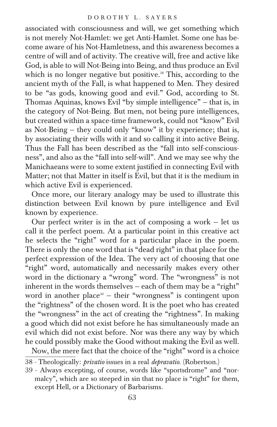associated with consciousness and will, we get something which is not merely Not-Hamlet: we get Anti-Hamlet. Some one has become aware of his Not-Hamletness, and this awareness becomes a centre of will and of activity. The creative will, free and active like God, is able to will Not-Being into Being, and thus produce an Evil which is no longer negative but positive.<sup>38</sup> This, according to the ancient myth of the Fall, is what happened to Men. They desired to be "as gods, knowing good and evil." God, according to St. Thomas Aquinas, knows Evil "by simple intelligence" — that is, in the category of Not-Being. But men, not being pure intelligences, but created within a space-time framework, could not "know" Evil as Not-Being — they could only "know" it by experience; that is, by associating their wills with it and so calling it into active Being. Thus the Fall has been described as the "fall into self-consciousness", and also as the "fall into self-will". And we may see why the Manichaeans were to some extent justified in connecting Evil with Matter; not that Matter in itself is Evil, but that it is the medium in which active Evil is experienced.

Once more, our literary analogy may be used to illustrate this distinction between Evil known by pure intelligence and Evil known by experience.

Our perfect writer is in the act of composing a work  $-$  let us call it the perfect poem. At a particular point in this creative act he selects the "right" word for a particular place in the poem. There is only the one word that is "dead right" in that place for the perfect expression of the Idea. The very act of choosing that one "right" word, automatically and necessarily makes every other word in the dictionary a "wrong" word. The "wrongness" is not inherent in the words themselves — each of them may be a "right" word in another place<sup>39</sup> – their "wrongness" is contingent upon the "rightness" of the chosen word. It is the poet who has created the "wrongness" in the act of creating the "rightness". In making a good which did not exist before he has simultaneously made an evil which did not exist before. Nor was there any way by which he could possibly make the Good without making the Evil as well.

Now, the mere fact that the choice of the "right" word is a choice

<sup>38 -</sup> Theologically: *privatio* issues in a real *depravatio*. (Robertson.)

<sup>39 -</sup> Always excepting, of course, words like "sportsdrome" and "normalcy", which are so steeped in sin that no place is "right" for them, except Hell, or a Dictionary of Barbarisms.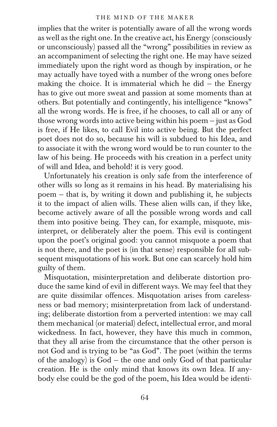implies that the writer is potentially aware of all the wrong words as well as the right one. In the creative act, his Energy (consciously or unconsciously) passed all the "wrong" possibilities in review as an accompaniment of selecting the right one. He may have seized immediately upon the right word as though by inspiration, or he may actually have toyed with a number of the wrong ones before making the choice. It is immaterial which he did  $-$  the Energy has to give out more sweat and passion at some moments than at others. But potentially and contingently, his intelligence "knows" all the wrong words. He is free, if he chooses, to call all or any of those wrong words into active being within his poem — just as God is free, if He likes, to call Evil into active being. But the perfect poet does not do so, because his will is subdued to his Idea, and to associate it with the wrong word would be to run counter to the law of his being. He proceeds with his creation in a perfect unity of will and Idea, and behold! it is very good.

Unfortunately his creation is only safe from the interference of other wills so long as it remains in his head. By materialising his poem — that is, by writing it down and publishing it, he subjects it to the impact of alien wills. These alien wills can, if they like, become actively aware of all the possible wrong words and call them into positive being. They can, for example, misquote, misinterpret, or deliberately alter the poem. This evil is contingent upon the poet's original good: you cannot misquote a poem that is not there, and the poet is (in that sense) responsible for all subsequent misquotations of his work. But one can scarcely hold him guilty of them.

Misquotation, misinterpretation and deliberate distortion produce the same kind of evil in different ways. We may feel that they are quite dissimilar offences. Misquotation arises from carelessness or bad memory; misinterpretation from lack of understanding; deliberate distortion from a perverted intention: we may call them mechanical (or material) defect, intellectual error, and moral wickedness. In fact, however, they have this much in common, that they all arise from the circumstance that the other person is not God and is trying to be "as God". The poet (within the terms of the analogy) is God — the one and only God of that particular creation. He is the only mind that knows its own Idea. If anybody else could be the god of the poem, his Idea would be identi-

64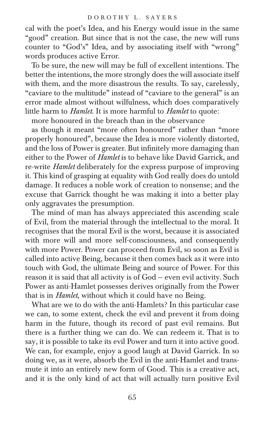cal with the poet's Idea, and his Energy would issue in the same "good" creation. But since that is not the case, the new will runs counter to "God's" Idea, and by associating itself with "wrong" words produces active Error.

To be sure, the new will may be full of excellent intentions. The better the intentions, the more strongly does the will associate itself with them, and the more disastrous the results. To say, carelessly, "caviare to the multitude" instead of "caviare to the general" is an error made almost without wilfulness, which does comparatively little harm to *Hamlet*. It is more harmful to *Hamlet* to quote:

more honoured in the breach than in the observance

as though it meant "more often honoured" rather than "more properly honoured", because the Idea is more violently distorted, and the loss of Power is greater. But infinitely more damaging than either to the Power of *Hamlet* is to behave like David Garrick, and re-write *Hamlet* deliberately for the express purpose of improving it. This kind of grasping at equality with God really does do untold damage. It reduces a noble work of creation to nonsense; and the excuse that Garrick thought he was making it into a better play only aggravates the presumption.

The mind of man has always appreciated this ascending scale of Evil, from the material through the intellectual to the moral. It recognises that the moral Evil is the worst, because it is associated with more will and more self-consciousness, and consequently with more Power. Power can proceed from Evil, so soon as Evil is called into active Being, because it then comes back as it were into touch with God, the ultimate Being and source of Power. For this reason it is said that all activity is of God — even evil activity. Such Power as anti-Hamlet possesses derives originally from the Power that is in *Hamlet*, without which it could have no Being.

What are we to do with the anti-Hamlets? In this particular case we can, to some extent, check the evil and prevent it from doing harm in the future, though its record of past evil remains. But there is a further thing we can do. We can redeem it. That is to say, it is possible to take its evil Power and turn it into active good. We can, for example, enjoy a good laugh at David Garrick. In so doing we, as it were, absorb the Evil in the anti-Hamlet and transmute it into an entirely new form of Good. This is a creative act, and it is the only kind of act that will actually turn positive Evil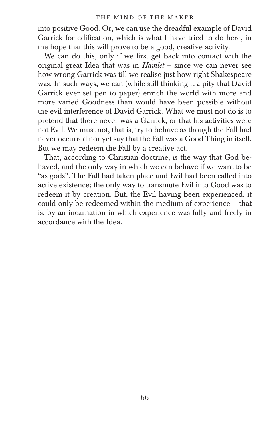#### THE MIND OF THE MAKER

into positive Good. Or, we can use the dreadful example of David Garrick for edification, which is what I have tried to do here, in the hope that this will prove to be a good, creative activity.

We can do this, only if we first get back into contact with the original great Idea that was in *Hamlet* — since we can never see how wrong Garrick was till we realise just how right Shakespeare was. In such ways, we can (while still thinking it a pity that David Garrick ever set pen to paper) enrich the world with more and more varied Goodness than would have been possible without the evil interference of David Garrick. What we must not do is to pretend that there never was a Garrick, or that his activities were not Evil. We must not, that is, try to behave as though the Fall had never occurred nor yet say that the Fall was a Good Thing in itself. But we may redeem the Fall by a creative act.

That, according to Christian doctrine, is the way that God behaved, and the only way in which we can behave if we want to be "as gods". The Fall had taken place and Evil had been called into active existence; the only way to transmute Evil into Good was to redeem it by creation. But, the Evil having been experienced, it could only be redeemed within the medium of experience — that is, by an incarnation in which experience was fully and freely in accordance with the Idea.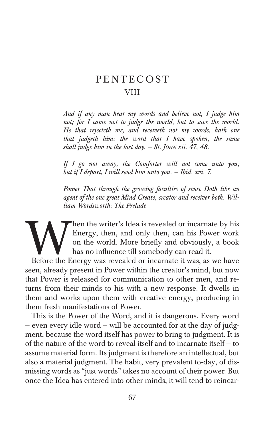## **PENTECOST** VIII

*And if any man hear my words and believe not, I judge him not; for I came not to judge the world, but to save the world. He that rejecteth me, and receiveth not my words, hath one that judgeth him: the word that I have spoken, the same shall judge him in the last day. — St. John xii. 47, 48.*

*If I go not away, the Comforter will not come unto you; but if I depart, I will send him unto you. — Ibid. xvi. 7.*

*Power That through the growing faculties of sense Doth like an agent of the one great Mind Create, creator and receiver both. William Wordsworth: The Prelude*

When the writer's Idea is revealed or incarnate by his Energy, then, and only then, can his Power work on the world. More briefly and obviously, a book has no influence till somebody can read it. Before the Energy was reve Energy, then, and only then, can his Power work on the world. More briefly and obviously, a book has no influence till somebody can read it.

seen, already present in Power within the creator's mind, but now that Power is released for communication to other men, and returns from their minds to his with a new response. It dwells in them and works upon them with creative energy, producing in them fresh manifestations of Power.

This is the Power of the Word, and it is dangerous. Every word — even every idle word — will be accounted for at the day of judgment, because the word itself has power to bring to judgment. It is of the nature of the word to reveal itself and to incarnate itself — to assume material form. Its judgment is therefore an intellectual, but also a material judgment. The habit, very prevalent to-day, of dismissing words as "just words" takes no account of their power. But once the Idea has entered into other minds, it will tend to reincar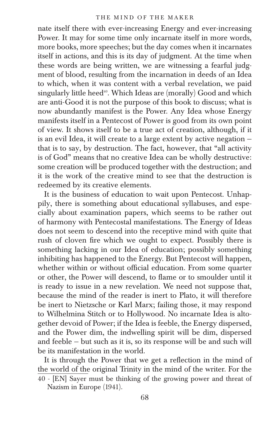nate itself there with ever-increasing Energy and ever-increasing Power. It may for some time only incarnate itself in more words, more books, more speeches; but the day comes when it incarnates itself in actions, and this is its day of judgment. At the time when these words are being written, we are witnessing a fearful judgment of blood, resulting from the incarnation in deeds of an Idea to which, when it was content with a verbal revelation, we paid singularly little heed<sup>40</sup>. Which Ideas are (morally) Good and which are anti-Good it is not the purpose of this book to discuss; what is now abundantly manifest is the Power. Any Idea whose Energy manifests itself in a Pentecost of Power is good from its own point of view. It shows itself to be a true act of creation, although, if it is an evil Idea, it will create to a large extent by active negation that is to say, by destruction. The fact, however, that "all activity is of God" means that no creative Idea can be wholly destructive: some creation will be produced together with the destruction; and it is the work of the creative mind to see that the destruction is redeemed by its creative elements.

It is the business of education to wait upon Pentecost. Unhappily, there is something about educational syllabuses, and especially about examination papers, which seems to be rather out of harmony with Pentecostal manifestations. The Energy of Ideas does not seem to descend into the receptive mind with quite that rush of cloven fire which we ought to expect. Possibly there is something lacking in our Idea of education; possibly something inhibiting has happened to the Energy. But Pentecost will happen, whether within or without official education. From some quarter or other, the Power will descend, to flame or to smoulder until it is ready to issue in a new revelation. We need not suppose that, because the mind of the reader is inert to Plato, it will therefore be inert to Nietzsche or Karl Marx; failing those, it may respond to Wilhelmina Stitch or to Hollywood. No incarnate Idea is altogether devoid of Power; if the Idea is feeble, the Energy dispersed, and the Power dim, the indwelling spirit will be dim, dispersed and feeble — but such as it is, so its response will be and such will be its manifestation in the world.

It is through the Power that we get a reflection in the mind of the world of the original Trinity in the mind of the writer. For the 40 - [EN] Sayer must be thinking of the growing power and threat of Nazism in Europe (1941).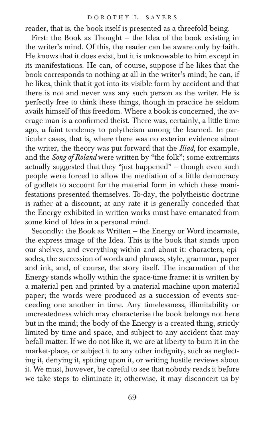reader, that is, the book itself is presented as a threefold being.

First: the Book as Thought — the Idea of the book existing in the writer's mind. Of this, the reader can be aware only by faith. He knows that it does exist, but it is unknowable to him except in its manifestations. He can, of course, suppose if he likes that the book corresponds to nothing at all in the writer's mind; he can, if he likes, think that it got into its visible form by accident and that there is not and never was any such person as the writer. He is perfectly free to think these things, though in practice he seldom avails himself of this freedom. Where a book is concerned, the average man is a confirmed theist. There was, certainly, a little time ago, a faint tendency to polytheism among the learned. In particular cases, that is, where there was no exterior evidence about the writer, the theory was put forward that the *Iliad*, for example, and the *Song of Roland* were written by "the folk"; some extremists actually suggested that they "just happened" — though even such people were forced to allow the mediation of a little democracy of godlets to account for the material form in which these manifestations presented themselves. To-day, the polytheistic doctrine is rather at a discount; at any rate it is generally conceded that the Energy exhibited in written works must have emanated from some kind of Idea in a personal mind.

Secondly: the Book as Written — the Energy or Word incarnate, the express image of the Idea. This is the book that stands upon our shelves, and everything within and about it: characters, episodes, the succession of words and phrases, style, grammar, paper and ink, and, of course, the story itself. The incarnation of the Energy stands wholly within the space-time frame: it is written by a material pen and printed by a material machine upon material paper; the words were produced as a succession of events succeeding one another in time. Any timelessness, illimitability or uncreatedness which may characterise the book belongs not here but in the mind; the body of the Energy is a created thing, strictly limited by time and space, and subject to any accident that may befall matter. If we do not like it, we are at liberty to burn it in the market-place, or subject it to any other indignity, such as neglecting it, denying it, spitting upon it, or writing hostile reviews about it. We must, however, be careful to see that nobody reads it before we take steps to eliminate it; otherwise, it may disconcert us by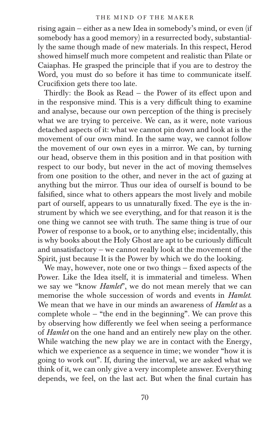rising again — either as a new Idea in somebody's mind, or even (if somebody has a good memory) in a resurrected body, substantially the same though made of new materials. In this respect, Herod showed himself much more competent and realistic than Pilate or Caiaphas. He grasped the principle that if you are to destroy the Word, you must do so before it has time to communicate itself. Crucifixion gets there too late.

Thirdly: the Book as Read — the Power of its effect upon and in the responsive mind. This is a very difficult thing to examine and analyse, because our own perception of the thing is precisely what we are trying to perceive. We can, as it were, note various detached aspects of it: what we cannot pin down and look at is the movement of our own mind. In the same way, we cannot follow the movement of our own eyes in a mirror. We can, by turning our head, observe them in this position and in that position with respect to our body, but never in the act of moving themselves from one position to the other, and never in the act of gazing at anything but the mirror. Thus our idea of ourself is bound to be falsified, since what to others appears the most lively and mobile part of ourself, appears to us unnaturally fixed. The eye is the instrument by which we see everything, and for that reason it is the one thing we cannot see with truth. The same thing is true of our Power of response to a book, or to anything else; incidentally, this is why books about the Holy Ghost are apt to be curiously difficult and unsatisfactory — we cannot really look at the movement of the Spirit, just because It is the Power by which we do the looking.

We may, however, note one or two things — fixed aspects of the Power. Like the Idea itself, it is immaterial and timeless. When we say we "know *Hamlet*", we do not mean merely that we can memorise the whole succession of words and events in *Hamlet*. We mean that we have in our minds an awareness of *Hamlet* as a complete whole — "the end in the beginning". We can prove this by observing how differently we feel when seeing a performance of *Hamlet* on the one hand and an entirely new play on the other. While watching the new play we are in contact with the Energy, which we experience as a sequence in time; we wonder "how it is going to work out". If, during the interval, we are asked what we think of it, we can only give a very incomplete answer. Everything depends, we feel, on the last act. But when the final curtain has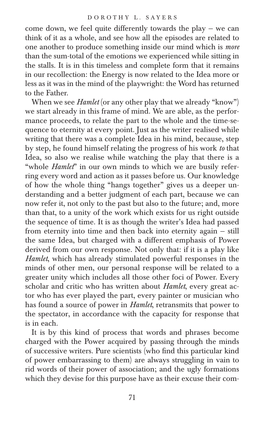come down, we feel quite differently towards the play — we can think of it as a whole, and see how all the episodes are related to one another to produce something inside our mind which is *more* than the sum-total of the emotions we experienced while sitting in the stalls. It is in this timeless and complete form that it remains in our recollection: the Energy is now related to the Idea more or less as it was in the mind of the playwright: the Word has returned to the Father.

When we see *Hamlet* (or any other play that we already "know") we start already in this frame of mind. We are able, as the performance proceeds, to relate the part to the whole and the time-sequence to eternity at every point. Just as the writer realised while writing that there was a complete Idea in his mind, because, step by step, he found himself relating the progress of his work *to* that Idea, so also we realise while watching the play that there is a "whole *Hamlet*" in our own minds to which we are busily referring every word and action as it passes before us. Our knowledge of how the whole thing "hangs together" gives us a deeper understanding and a better judgment of each part, because we can now refer it, not only to the past but also to the future; and, more than that, to a unity of the work which exists for us right outside the sequence of time. It is as though the writer's Idea had passed from eternity into time and then back into eternity again — still the same Idea, but charged with a different emphasis of Power derived from our own response. Not only that: if it is a play like *Hamlet*, which has already stimulated powerful responses in the minds of other men, our personal response will be related to a greater unity which includes all those other foci of Power. Every scholar and critic who has written about *Hamlet*, every great actor who has ever played the part, every painter or musician who has found a source of power in *Hamlet*, retransmits that power to the spectator, in accordance with the capacity for response that is in each.

It is by this kind of process that words and phrases become charged with the Power acquired by passing through the minds of successive writers. Pure scientists (who find this particular kind of power embarrassing to them) are always struggling in vain to rid words of their power of association; and the ugly formations which they devise for this purpose have as their excuse their com-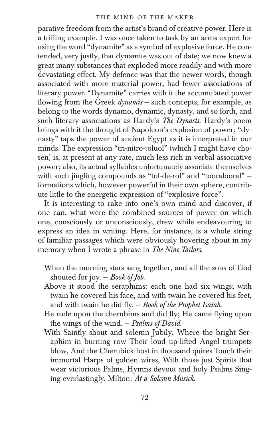#### THE MIND OF THE MAKER

parative freedom from the artist's brand of creative power. Here is a trifling example. I was once taken to task by an arms expert for using the word "dynamite" as a symbol of explosive force. He contended, very justly, that dynamite was out of date; we now knew a great many substances that exploded more readily and with more devastating effect. My defence was that the newer words, though associated with more material power, had fewer associations of literary power. "Dynamite" carries with it the accumulated power flowing from the Greek *dynamis* — such concepts, for example, as belong to the words dynamo, dynamic, dynasty, and so forth, and such literary associations as Hardy's *The Dynasts*. Hardy's poem brings with it the thought of Napoleon's explosion of power; "dynasty" taps the power of ancient Egypt as it is interpreted in our minds. The expression "tri-nitro-toluol" (which I might have chosen) is, at present at any rate, much less rich in verbal associative power; also, its actual syllables unfortunately associate themselves with such jingling compounds as "tol-de-rol" and "tooralooral" formations which, however powerful in their own sphere, contribute little to the energetic expression of "explosive force".

It is interesting to rake into one's own mind and discover, if one can, what were the combined sources of power on which one, consciously or unconsciously, drew while endeavouring to express an idea in writing. Here, for instance, is a whole string of familiar passages which were obviously hovering about in my memory when I wrote a phrase in *The Nine Tailors*.

- When the morning stars sang together, and all the sons of God shouted for joy. — *Book of Job*.
- Above it stood the seraphims: each one had six wings; with twain he covered his face, and with twain he covered his feet, and with twain he did fly. — *Book of the Prophet Isaiah*.
- He rode upon the cherubims and did fly; He came flying upon the wings of the wind. — *Psalms of David*.
- With Saintly shout and solemn Jubily, Where the bright Seraphim in burning row Their loud up-lifted Angel trumpets blow, And the Cherubick host in thousand quires Touch their immortal Harps of golden wires, With those just Spirits that wear victorious Palms, Hymns devout and holy Psalms Singing everlastingly. Milton: *At a Solemn Musick*.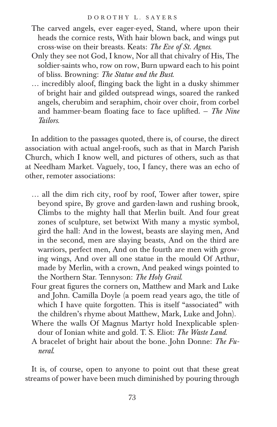- The carved angels, ever eager-eyed, Stand, where upon their heads the cornice rests, With hair blown back, and wings put cross-wise on their breasts. Keats: *The Eve of St. Agnes*.
- Only they see not God, I know, Nor all that chivalry of His, The soldier-saints who, row on row, Burn upward each to his point of bliss. Browning: *The Statue and the Bust*.
- … incredibly aloof, flinging back the light in a dusky shimmer of bright hair and gilded outspread wings, soared the ranked angels, cherubim and seraphim, choir over choir, from corbel and hammer-beam floating face to face uplifted. — *The Nine Tailors*.

In addition to the passages quoted, there is, of course, the direct association with actual angel-roofs, such as that in March Parish Church, which I know well, and pictures of others, such as that at Needham Market. Vaguely, too, I fancy, there was an echo of other, remoter associations:

- … all the dim rich city, roof by roof, Tower after tower, spire beyond spire, By grove and garden-lawn and rushing brook, Climbs to the mighty hall that Merlin built. And four great zones of sculpture, set betwixt With many a mystic symbol, gird the hall: And in the lowest, beasts are slaying men, And in the second, men are slaying beasts, And on the third are warriors, perfect men, And on the fourth are men with growing wings, And over all one statue in the mould Of Arthur, made by Merlin, with a crown, And peaked wings pointed to the Northern Star. Tennyson: *The Holy Grail*.
- Four great figures the corners on, Matthew and Mark and Luke and John. Camilla Doyle (a poem read years ago, the title of which I have quite forgotten. This is itself "associated" with the children's rhyme about Matthew, Mark, Luke and John).
- Where the walls Of Magnus Martyr hold Inexplicable splendour of Ionian white and gold. T. S. Eliot: *The Waste Land*.
- A bracelet of bright hair about the bone. John Donne: *The Funeral*.

It is, of course, open to anyone to point out that these great streams of power have been much diminished by pouring through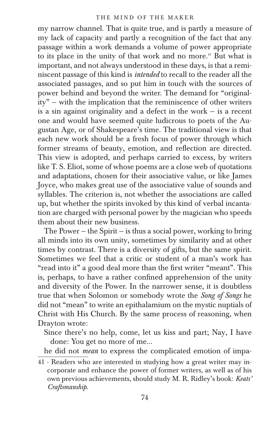#### THE MIND OF THE MAKER

my narrow channel. That is quite true, and is partly a measure of my lack of capacity and partly a recognition of the fact that any passage within a work demands a volume of power appropriate to its place in the unity of that work and no more.<sup>41</sup> But what is important, and not always understood in these days, is that a reminiscent passage of this kind is *intended* to recall to the reader all the associated passages, and so put him in touch with the sources of power behind and beyond the writer. The demand for "originality" — with the implication that the reminiscence of other writers is a sin against originality and a defect in the work — is a recent one and would have seemed quite ludicrous to poets of the Augustan Age, or of Shakespeare's time. The traditional view is that each new work should be a fresh focus of power through which former streams of beauty, emotion, and reflection are directed. This view is adopted, and perhaps carried to excess, by writers like T. S. Eliot, some of whose poems are a close web of quotations and adaptations, chosen for their associative value, or like James Joyce, who makes great use of the associative value of sounds and syllables. The criterion is, not whether the associations are called up, but whether the spirits invoked by this kind of verbal incantation are charged with personal power by the magician who speeds them about their new business.

The Power — the Spirit — is thus a social power, working to bring all minds into its own unity, sometimes by similarity and at other times by contrast. There is a diversity of gifts, but the same spirit. Sometimes we feel that a critic or student of a man's work has "read into it" a good deal more than the first writer "meant". This is, perhaps, to have a rather confined apprehension of the unity and diversity of the Power. In the narrower sense, it is doubtless true that when Solomon or somebody wrote the *Song of Songs* he did not "mean" to write an epithalamium on the mystic nuptials of Christ with His Church. By the same process of reasoning, when Drayton wrote:

Since there's no help, come, let us kiss and part; Nay, I have done: You get no more of me...

he did not *mean* to express the complicated emotion of impa-

<sup>41 -</sup> Readers who are interested in studying how a great writer may incorporate and enhance the power of former writers, as well as of his own previous achievements, should study M. R. Ridley's book: *Keats' Craftsmanship*.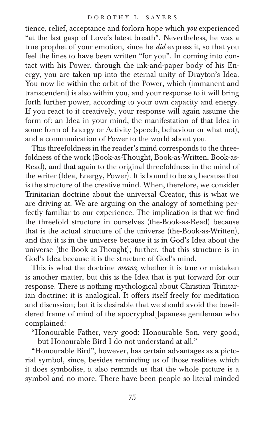tience, relief, acceptance and forlorn hope which *you* experienced "at the last gasp of Love's latest breath". Nevertheless, he was a true prophet of your emotion, since he *did* express it, so that you feel the lines to have been written "for you". In coming into contact with his Power, through the ink-and-paper body of his Energy, you are taken up into the eternal unity of Drayton's Idea. You now lie within the orbit of the Power, which (immanent and transcendent) is also within you, and your response to it will bring forth further power, according to your own capacity and energy. If you react to it creatively, your response will again assume the form of: an Idea in your mind, the manifestation of that Idea in some form of Energy or Activity (speech, behaviour or what not), and a communication of Power to the world about you.

This threefoldness in the reader's mind corresponds to the threefoldness of the work (Book-as-Thought, Book-as-Written, Book-as-Read), and that again to the original threefoldness in the mind of the writer (Idea, Energy, Power). It is bound to be so, because that is the structure of the creative mind. When, therefore, we consider Trinitarian doctrine about the universal Creator, this is what we are driving at. We are arguing on the analogy of something perfectly familiar to our experience. The implication is that we find the threefold structure in ourselves (the-Book-as-Read) because that is the actual structure of the universe (the-Book-as-Written), and that it is in the universe because it is in God's Idea about the universe (the-Book-as-Thought); further, that this structure is in God's Idea because it is the structure of God's mind.

This is what the doctrine *means*; whether it is true or mistaken is another matter, but this is the Idea that is put forward for our response. There is nothing mythological about Christian Trinitarian doctrine: it is analogical. It offers itself freely for meditation and discussion; but it is desirable that we should avoid the bewildered frame of mind of the apocryphal Japanese gentleman who complained:

"Honourable Father, very good; Honourable Son, very good; but Honourable Bird I do not understand at all."

"Honourable Bird", however, has certain advantages as a pictorial symbol, since, besides reminding us of those realities which it does symbolise, it also reminds us that the whole picture is a symbol and no more. There have been people so literal-minded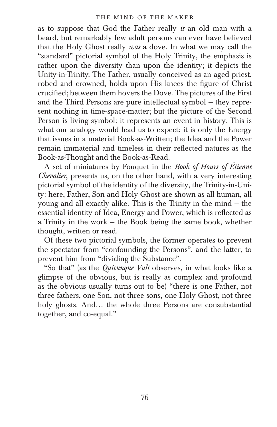as to suppose that God the Father really *is* an old man with a beard, but remarkably few adult persons can ever have believed that the Holy Ghost really *was* a dove. In what we may call the "standard" pictorial symbol of the Holy Trinity, the emphasis is rather upon the diversity than upon the identity; it depicts the Unity-in-Trinity. The Father, usually conceived as an aged priest, robed and crowned, holds upon His knees the figure of Christ crucified; between them hovers the Dove. The pictures of the First and the Third Persons are pure intellectual symbol — they represent nothing in time-space-matter; but the picture of the Second Person is living symbol: it represents an event in history. This is what our analogy would lead us to expect: it is only the Energy that issues in a material Book-as-Written; the Idea and the Power remain immaterial and timeless in their reflected natures as the Book-as-Thought and the Book-as-Read.

A set of miniatures by Fouquet in the *Book of Hours of Étienne Chevalier*, presents us, on the other hand, with a very interesting pictorial symbol of the identity of the diversity, the Trinity-in-Unity: here, Father, Son and Holy Ghost are shown as all human, all young and all exactly alike. This is the Trinity in the mind — the essential identity of Idea, Energy and Power, which is reflected as a Trinity in the work — the Book being the same book, whether thought, written or read.

Of these two pictorial symbols, the former operates to prevent the spectator from "confounding the Persons", and the latter, to prevent him from "dividing the Substance".

"So that" (as the *Quicunque Vult* observes, in what looks like a glimpse of the obvious, but is really as complex and profound as the obvious usually turns out to be) "there is one Father, not three fathers, one Son, not three sons, one Holy Ghost, not three holy ghosts. And… the whole three Persons are consubstantial together, and co-equal."

76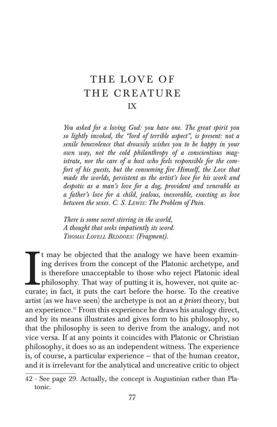# THE LOVE OF THE CREATURE IX

*You asked for a loving God: you have one. The great spirit you so lightly invoked, the "lord of terrible aspect", is present: not a senile benevolence that drowsily wishes you to be happy in your own way, not the cold philanthropy of a conscientious magistrate, nor the care of a host who feels responsible for the comfort of his guests, but the consuming fire Himself, the Love that made the worlds, persistent as the artist's love for his work and despotic as a man's love for a dog, provident and venerable as a father's love for a child, jealous, inexorable, exacting as love between the sexes. C. S. Lewis: The Problem of Pain.*

*There is some secret stirring in the world, A thought that seeks impatiently its word. Thomas Lovell Beddoes: (Fragment).*

It may be objected that the analogy we have been examining derives from the concept of the Platonic archetype, and is therefore unacceptable to those who reject Platonic ideal philosophy. That way of putting it is, however t may be objected that the analogy we have been examining derives from the concept of the Platonic archetype, and is therefore unacceptable to those who reject Platonic ideal philosophy. That way of putting it is, however, not quite acartist (as we have seen) the archetype is not an *a priori* theory, but an experience.<sup>42</sup> From this experience he draws his analogy direct, and by its means illustrates and gives form to his philosophy, so that the philosophy is seen to derive from the analogy, and not vice versa. If at any points it coincides with Platonic or Christian philosophy, it does so as an independent witness. The experience is, of course, a particular experience — that of the human creator, and it is irrelevant for the analytical and uncreative critic to object

<sup>42 -</sup> See page 29. Actually, the concept is Augustinian rather than Platonic.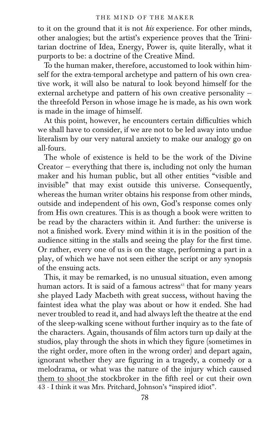to it on the ground that it is not *his* experience. For other minds, other analogies; but the artist's experience proves that the Trinitarian doctrine of Idea, Energy, Power is, quite literally, what it purports to be: a doctrine of the Creative Mind.

To the human maker, therefore, accustomed to look within himself for the extra-temporal archetype and pattern of his own creative work, it will also be natural to look beyond himself for the external archetype and pattern of his own creative personality the threefold Person in whose image he is made, as his own work is made in the image of himself.

At this point, however, he encounters certain difficulties which we shall have to consider, if we are not to be led away into undue literalism by our very natural anxiety to make our analogy go on all-fours.

The whole of existence is held to be the work of the Divine Creator — everything that there is, including not only the human maker and his human public, but all other entities "visible and invisible" that may exist outside this universe. Consequently, whereas the human writer obtains his response from other minds, outside and independent of his own, God's response comes only from His own creatures. This is as though a book were written to be read by the characters within it. And further: the universe is not a finished work. Every mind within it is in the position of the audience sitting in the stalls and seeing the play for the first time. Or rather, every one of us is on the stage, performing a part in a play, of which we have not seen either the script or any synopsis of the ensuing acts.

This, it may be remarked, is no unusual situation, even among human actors. It is said of a famous actress<sup>43</sup> that for many years she played Lady Macbeth with great success, without having the faintest idea what the play was about or how it ended. She had never troubled to read it, and had always left the theatre at the end of the sleep-walking scene without further inquiry as to the fate of the characters. Again, thousands of film actors turn up daily at the studios, play through the shots in which they figure (sometimes in the right order, more often in the wrong order) and depart again, ignorant whether they are figuring in a tragedy, a comedy or a melodrama, or what was the nature of the injury which caused them to shoot the stockbroker in the fifth reel or cut their own 43 - I think it was Mrs. Pritchard, Johnson's "inspired idiot".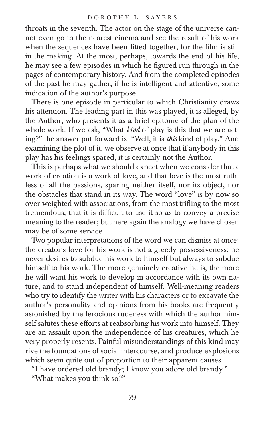throats in the seventh. The actor on the stage of the universe cannot even go to the nearest cinema and see the result of his work when the sequences have been fitted together, for the film is still in the making. At the most, perhaps, towards the end of his life, he may see a few episodes in which he figured run through in the pages of contemporary history. And from the completed episodes of the past he may gather, if he is intelligent and attentive, some indication of the author's purpose.

There is one episode in particular to which Christianity draws his attention. The leading part in this was played, it is alleged, by the Author, who presents it as a brief epitome of the plan of the whole work. If we ask, "What *kind* of play is this that we are acting?" the answer put forward is: "Well, it is *this* kind of play." And examining the plot of it, we observe at once that if anybody in this play has his feelings spared, it is certainly not the Author.

This is perhaps what we should expect when we consider that a work of creation is a work of love, and that love is the most ruthless of all the passions, sparing neither itself, nor its object, nor the obstacles that stand in its way. The word "love" is by now so over-weighted with associations, from the most trifling to the most tremendous, that it is difficult to use it so as to convey a precise meaning to the reader; but here again the analogy we have chosen may be of some service.

Two popular interpretations of the word we can dismiss at once: the creator's love for his work is not a greedy possessiveness; he never desires to subdue his work to himself but always to subdue himself to his work. The more genuinely creative he is, the more he will want his work to develop in accordance with its own nature, and to stand independent of himself. Well-meaning readers who try to identify the writer with his characters or to excavate the author's personality and opinions from his books are frequently astonished by the ferocious rudeness with which the author himself salutes these efforts at reabsorbing his work into himself. They are an assault upon the independence of his creatures, which he very properly resents. Painful misunderstandings of this kind may rive the foundations of social intercourse, and produce explosions which seem quite out of proportion to their apparent causes.

"I have ordered old brandy; I know you adore old brandy."

"What makes you think so?"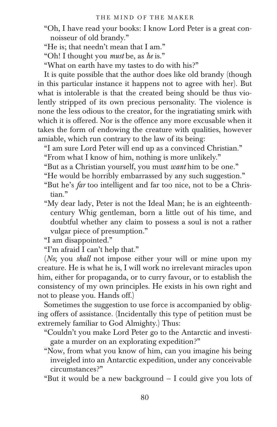- "Oh, I have read your books: I know Lord Peter is a great connoisseur of old brandy."
- "He is; that needn't mean that I am."
- "Oh! I thought you *must* be, as *he* is."
- "What on earth have my tastes to do with his?"

It is quite possible that the author does like old brandy (though in this particular instance it happens not to agree with her). But what is intolerable is that the created being should be thus violently stripped of its own precious personality. The violence is none the less odious to the creator, for the ingratiating smirk with which it is offered. Nor is the offence any more excusable when it takes the form of endowing the creature with qualities, however amiable, which run contrary to the law of its being:

- "I am sure Lord Peter will end up as a convinced Christian."
- "From what I know of him, nothing is more unlikely."
- "But as a Christian yourself, you must *want* him to be one."
- "He would be horribly embarrassed by any such suggestion."
- "But he's *far* too intelligent and far too nice, not to be a Christian."
- "My dear lady, Peter is not the Ideal Man; he is an eighteenthcentury Whig gentleman, born a little out of his time, and doubtful whether any claim to possess a soul is not a rather vulgar piece of presumption."
- "I am disappointed."
- "I'm afraid I can't help that."

(*No*; you *shall* not impose either your will or mine upon my creature. He is what he is, I will work no irrelevant miracles upon him, either for propaganda, or to curry favour, or to establish the consistency of my own principles. He exists in his own right and not to please you. Hands off.)

Sometimes the suggestion to use force is accompanied by obliging offers of assistance. (Incidentally this type of petition must be extremely familiar to God Almighty.) Thus:

"Couldn't you make Lord Peter go to the Antarctic and investigate a murder on an explorating expedition?"

"Now, from what you know of him, can you imagine his being inveigled into an Antarctic expedition, under any conceivable circumstances?"

"But it would be a new background — I could give you lots of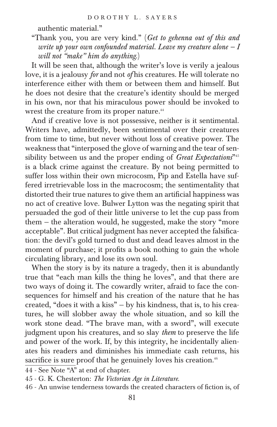authentic material."

"Thank you, you are very kind." (*Get to gehenna out of this and write up your own confounded material. Leave my creature alone — I will not "make" him do anything*.)

It will be seen that, although the writer's love is verily a jealous love, it is a jealousy *for* and not *of* his creatures. He will tolerate no interference either with them or between them and himself. But he does not desire that the creature's identity should be merged in his own, nor that his miraculous power should be invoked to wrest the creature from its proper nature.<sup>44</sup>

And if creative love is not possessive, neither is it sentimental. Writers have, admittedly, been sentimental over their creatures from time to time, but never without loss of creative power. The weakness that "interposed the glove of warning and the tear of sensibility between us and the proper ending of *Great Expectations*"<sup>45</sup> is a black crime against the creature. By not being permitted to suffer loss within their own microcosm, Pip and Estella have suffered irretrievable loss in the macrocosm; the sentimentality that distorted their true natures to give them an artificial happiness was no act of creative love. Bulwer Lytton was the negating spirit that persuaded the god of their little universe to let the cup pass from them — the alteration would, he suggested, make the story "more acceptable". But critical judgment has never accepted the falsification: the devil's gold turned to dust and dead leaves almost in the moment of purchase; it profits a book nothing to gain the whole circulating library, and lose its own soul.

When the story is by its nature a tragedy, then it is abundantly true that "each man kills the thing he loves", and that there are two ways of doing it. The cowardly writer, afraid to face the consequences for himself and his creation of the nature that he has created, "does it with a kiss" — by his kindness, that is, to his creatures, he will slobber away the whole situation, and so kill the work stone dead. "The brave man, with a sword", will execute judgment upon his creatures, and so slay *them* to preserve the life and power of the work. If, by this integrity, he incidentally alienates his readers and diminishes his immediate cash returns, his sacrifice is sure proof that he genuinely loves his creation.<sup>46</sup>

44 - See Note "A" at end of chapter.

<sup>45 -</sup> G. K. Chesterton: *The Victorian Age in Literature*.

<sup>46 -</sup> An unwise tenderness towards the created characters of fiction is, of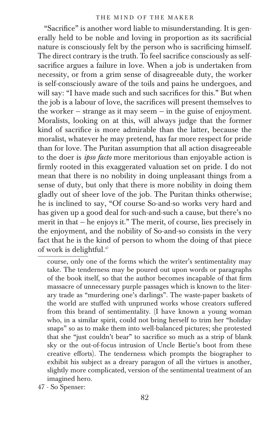"Sacrifice" is another word liable to misunderstanding. It is generally held to be noble and loving in proportion as its sacrificial nature is consciously felt by the person who is sacrificing himself. The direct contrary is the truth. To feel sacrifice consciously as selfsacrifice argues a failure in love. When a job is undertaken from necessity, or from a grim sense of disagreeable duty, the worker is self-consciously aware of the toils and pains he undergoes, and will say: "I have made such and such sacrifices for this." But when the job is a labour of love, the sacrifices will present themselves to the worker — strange as it may seem — in the guise of enjoyment. Moralists, looking on at this, will always judge that the former kind of sacrifice is more admirable than the latter, because the moralist, whatever he may pretend, has far more respect for pride than for love. The Puritan assumption that all action disagreeable to the doer is *ipso facto* more meritorious than enjoyable action is firmly rooted in this exaggerated valuation set on pride. I do not mean that there is no nobility in doing unpleasant things from a sense of duty, but only that there is more nobility in doing them gladly out of sheer love of the job. The Puritan thinks otherwise; he is inclined to say, "Of course So-and-so works very hard and has given up a good deal for such-and-such a cause, but there's no merit in that — he enjoys it." The merit, of course, lies precisely in the enjoyment, and the nobility of So-and-so consists in the very fact that he is the kind of person to whom the doing of that piece of work is delightful.<sup>47</sup>

47 - So Spenser:

course, only one of the forms which the writer's sentimentality may take. The tenderness may be poured out upon words or paragraphs of the book itself, so that the author becomes incapable of that firm massacre of unnecessary purple passages which is known to the literary trade as "murdering one's darlings". The waste-paper baskets of the world are stuffed with unpruned works whose creators suffered from this brand of sentimentality. (I have known a young woman who, in a similar spirit, could not bring herself to trim her "holiday snaps" so as to make them into well-balanced pictures; she protested that she "just couldn't bear" to sacrifice so much as a strip of blank sky or the out-of-focus intrusion of Uncle Bertie's boot from these creative efforts). The tenderness which prompts the biographer to exhibit his subject as a dreary paragon of all the virtues is another, slightly more complicated, version of the sentimental treatment of an imagined hero.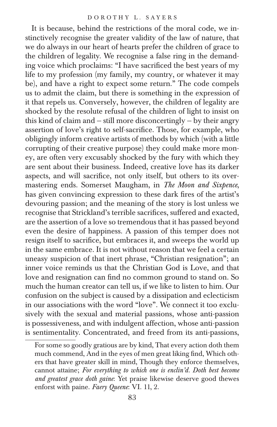It is because, behind the restrictions of the moral code, we instinctively recognise the greater validity of the law of nature, that we do always in our heart of hearts prefer the children of grace to the children of legality. We recognise a false ring in the demanding voice which proclaims: "I have sacrificed the best years of my life to my profession (my family, my country, or whatever it may be), and have a right to expect some return." The code compels us to admit the claim, but there is something in the expression of it that repels us. Conversely, however, the children of legality are shocked by the resolute refusal of the children of light to insist on this kind of claim and — still more disconcertingly — by their angry assertion of love's right to self-sacrifice. Those, for example, who obligingly inform creative artists of methods by which (with a little corrupting of their creative purpose) they could make more money, are often very excusably shocked by the fury with which they are sent about their business. Indeed, creative love has its darker aspects, and will sacrifice, not only itself, but others to its overmastering ends. Somerset Maugham, in *The Moon and Sixpence*, has given convincing expression to these dark fires of the artist's devouring passion; and the meaning of the story is lost unless we recognise that Strickland's terrible sacrifices, suffered and exacted, are the assertion of a love so tremendous that it has passed beyond even the desire of happiness. A passion of this temper does not resign itself to sacrifice, but embraces it, and sweeps the world up in the same embrace. It is not without reason that we feel a certain uneasy suspicion of that inert phrase, "Christian resignation"; an inner voice reminds us that the Christian God is Love, and that love and resignation can find no common ground to stand on. So much the human creator can tell us, if we like to listen to him. Our confusion on the subject is caused by a dissipation and eclecticism in our associations with the word "love". We connect it too exclusively with the sexual and material passions, whose anti-passion is possessiveness, and with indulgent affection, whose anti-passion is sentimentality. Concentrated, and freed from its anti-passions,

For some so goodly gratious are by kind, That every action doth them much commend, And in the eyes of men great liking find, Which others that have greater skill in mind, Though they enforce themselves, cannot attaine; *For everything to which one is enclin'd. Doth best become and greatest grace doth gaine*: Yet praise likewise deserve good thewes enforst with paine. *Faery Queene*: VI. 11, 2.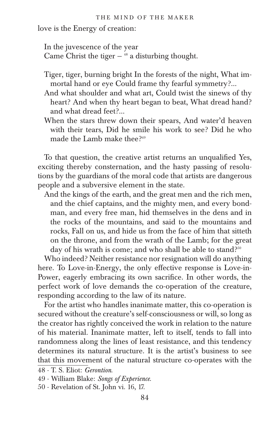love is the Energy of creation:

In the juvescence of the year Came Christ the tiger  $-$ <sup>48</sup> a disturbing thought.

- Tiger, tiger, burning bright In the forests of the night, What immortal hand or eye Could frame thy fearful symmetry?...
- And what shoulder and what art, Could twist the sinews of thy heart? And when thy heart began to beat, What dread hand? and what dread feet?...
- When the stars threw down their spears, And water'd heaven with their tears, Did he smile his work to see? Did he who made the Lamb make thee?<sup>49</sup>

To that question, the creative artist returns an unqualified Yes, exciting thereby consternation, and the hasty passing of resolutions by the guardians of the moral code that artists are dangerous people and a subversive element in the state.

And the kings of the earth, and the great men and the rich men, and the chief captains, and the mighty men, and every bondman, and every free man, hid themselves in the dens and in the rocks of the mountains, and said to the mountains and rocks, Fall on us, and hide us from the face of him that sitteth on the throne, and from the wrath of the Lamb; for the great day of his wrath is come; and who shall be able to stand?<sup>50</sup>

Who indeed? Neither resistance nor resignation will do anything here. To Love-in-Energy, the only effective response is Love-in-Power, eagerly embracing its own sacrifice. In other words, the perfect work of love demands the co-operation of the creature, responding according to the law of its nature.

For the artist who handles inanimate matter, this co-operation is secured without the creature's self-consciousness or will, so long as the creator has rightly conceived the work in relation to the nature of his material. Inanimate matter, left to itself, tends to fall into randomness along the lines of least resistance, and this tendency determines its natural structure. It is the artist's business to see that this movement of the natural structure co-operates with the

50 - Revelation of St. John vi. 16, 17.

<sup>48 -</sup> T. S. Eliot: *Gerontion*.

<sup>49 -</sup> William Blake: *Songs of Experience*.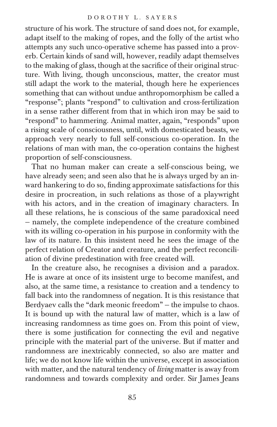structure of his work. The structure of sand does not, for example, adapt itself to the making of ropes, and the folly of the artist who attempts any such unco-operative scheme has passed into a proverb. Certain kinds of sand will, however, readily adapt themselves to the making of glass, though at the sacrifice of their original structure. With living, though unconscious, matter, the creator must still adapt the work to the material, though here he experiences something that can without undue anthropomorphism be called a "response"; plants "respond" to cultivation and cross-fertilization in a sense rather different from that in which iron may be said to "respond" to hammering. Animal matter, again, "responds" upon a rising scale of consciousness, until, with domesticated beasts, we approach very nearly to full self-conscious co-operation. In the relations of man with man, the co-operation contains the highest proportion of self-consciousness.

That no human maker can create a self-conscious being, we have already seen; and seen also that he is always urged by an inward hankering to do so, finding approximate satisfactions for this desire in procreation, in such relations as those of a playwright with his actors, and in the creation of imaginary characters. In all these relations, he is conscious of the same paradoxical need — namely, the complete independence of the creature combined with its willing co-operation in his purpose in conformity with the law of its nature. In this insistent need he sees the image of the perfect relation of Creator and creature, and the perfect reconciliation of divine predestination with free created will.

In the creature also, he recognises a division and a paradox. He is aware at once of its insistent urge to become manifest, and also, at the same time, a resistance to creation and a tendency to fall back into the randomness of negation. It is this resistance that Berdyaev calls the "dark meonic freedom" — the impulse to chaos. It is bound up with the natural law of matter, which is a law of increasing randomness as time goes on. From this point of view, there is some justification for connecting the evil and negative principle with the material part of the universe. But if matter and randomness are inextricably connected, so also are matter and life; we do not know life within the universe, except in association with matter, and the natural tendency of *living* matter is away from randomness and towards complexity and order. Sir James Jeans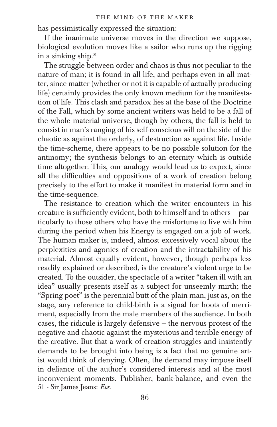has pessimistically expressed the situation:

If the inanimate universe moves in the direction we suppose, biological evolution moves like a sailor who runs up the rigging in a sinking ship.<sup>51</sup>

The struggle between order and chaos is thus not peculiar to the nature of man; it is found in all life, and perhaps even in all matter, since matter (whether or not it is capable of actually producing life) certainly provides the only known medium for the manifestation of life. This clash and paradox lies at the base of the Doctrine of the Fall, which by some ancient writers was held to be a fall of the whole material universe, though by others, the fall is held to consist in man's ranging of his self-conscious will on the side of the chaotic as against the orderly, of destruction as against life. Inside the time-scheme, there appears to be no possible solution for the antinomy; the synthesis belongs to an eternity which is outside time altogether. This, our analogy would lead us to expect, since all the difficulties and oppositions of a work of creation belong precisely to the effort to make it manifest in material form and in the time-sequence.

The resistance to creation which the writer encounters in his creature is sufficiently evident, both to himself and to others — particularly to those others who have the misfortune to live with him during the period when his Energy is engaged on a job of work. The human maker is, indeed, almost excessively vocal about the perplexities and agonies of creation and the intractability of his material. Almost equally evident, however, though perhaps less readily explained or described, is the creature's violent urge to be created. To the outsider, the spectacle of a writer "taken ill with an idea" usually presents itself as a subject for unseemly mirth; the "Spring poet" is the perennial butt of the plain man, just as, on the stage, any reference to child-birth is a signal for hoots of merriment, especially from the male members of the audience. In both cases, the ridicule is largely defensive — the nervous protest of the negative and chaotic against the mysterious and terrible energy of the creative. But that a work of creation struggles and insistently demands to be brought into being is a fact that no genuine artist would think of denying. Often, the demand may impose itself in defiance of the author's considered interests and at the most inconvenient moments. Publisher, bank-balance, and even the 51 - Sir James Jeans: *Eos*.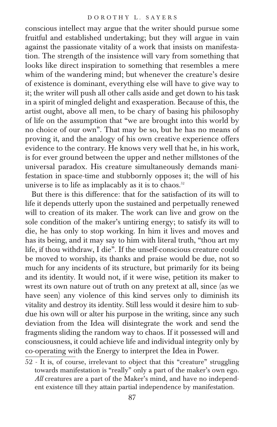conscious intellect may argue that the writer should pursue some fruitful and established undertaking; but they will argue in vain against the passionate vitality of a work that insists on manifestation. The strength of the insistence will vary from something that looks like direct inspiration to something that resembles a mere whim of the wandering mind; but whenever the creature's desire of existence is dominant, everything else will have to give way to it; the writer will push all other calls aside and get down to his task in a spirit of mingled delight and exasperation. Because of this, the artist ought, above all men, to be chary of basing his philosophy of life on the assumption that "we are brought into this world by no choice of our own". That may be so, but he has no means of proving it, and the analogy of his own creative experience offers evidence to the contrary. He knows very well that he, in his work, is for ever ground between the upper and nether millstones of the universal paradox. His creature simultaneously demands manifestation in space-time and stubbornly opposes it; the will of his universe is to life as implacably as it is to chaos.<sup>52</sup>

But there is this difference: that for the satisfaction of its will to life it depends utterly upon the sustained and perpetually renewed will to creation of its maker. The work can live and grow on the sole condition of the maker's untiring energy; to satisfy its will to die, he has only to stop working. In him it lives and moves and has its being, and it may say to him with literal truth, "thou art my life, if thou withdraw, I die". If the unself-conscious creature could be moved to worship, its thanks and praise would be due, not so much for any incidents of its structure, but primarily for its being and its identity. It would not, if it were wise, petition its maker to wrest its own nature out of truth on any pretext at all, since (as we have seen) any violence of this kind serves only to diminish its vitality and destroy its identity. Still less would it desire him to subdue his own will or alter his purpose in the writing, since any such deviation from the Idea will disintegrate the work and send the fragments sliding the random way to chaos. If it possessed will and consciousness, it could achieve life and individual integrity only by co-operating with the Energy to interpret the Idea in Power.

<sup>52 -</sup> It is, of course, irrelevant to object that this "creature" struggling towards manifestation is "really" only a part of the maker's own ego. *All* creatures are a part of the Maker's mind, and have no independent existence till they attain partial independence by manifestation.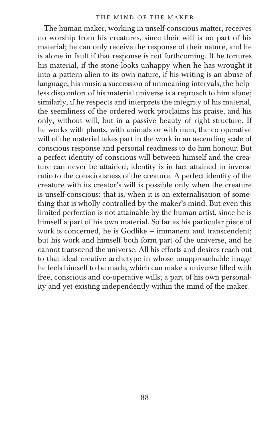The human maker, working in unself-conscious matter, receives no worship from his creatures, since their will is no part of his material; he can only receive the response of their nature, and he is alone in fault if that response is not forthcoming. If he tortures his material, if the stone looks unhappy when he has wrought it into a pattern alien to its own nature, if his writing is an abuse of language, his music a succession of unmeaning intervals, the helpless discomfort of his material universe is a reproach to him alone; similarly, if he respects and interprets the integrity of his material, the seemliness of the ordered work proclaims his praise, and his only, without will, but in a passive beauty of right structure. If he works with plants, with animals or with men, the co-operative will of the material takes part in the work in an ascending scale of conscious response and personal readiness to do him honour. But a perfect identity of conscious will between himself and the creature can never be attained; identity is in fact attained in inverse ratio to the consciousness of the creature. A perfect identity of the creature with its creator's will is possible only when the creature is unself-conscious: that is, when it is an externalisation of something that is wholly controlled by the maker's mind. But even this limited perfection is not attainable by the human artist, since he is himself a part of his own material. So far as his particular piece of work is concerned, he is Godlike — immanent and transcendent; but his work and himself both form part of the universe, and he cannot transcend the universe. All his efforts and desires reach out to that ideal creative archetype in whose unapproachable image he feels himself to be made, which can make a universe filled with free, conscious and co-operative wills; a part of his own personality and yet existing independently within the mind of the maker.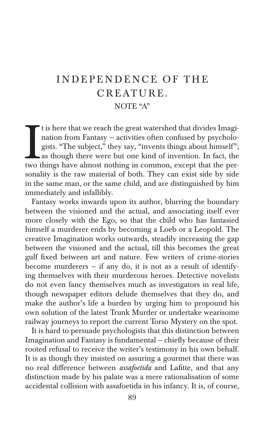# INDEPENDENCE OF THE CREATURE. NOTE "A"

It is here that we reach the great watershed that divides Imagination from Fantasy – activities often confused by psychologists. "The subject," they say, "invents things about himself"; as though there were but one kind of t is here that we reach the great watershed that divides Imagination from Fantasy — activities often confused by psychologists. "The subject," they say, "invents things about himself"; as though there were but one kind of invention. In fact, the sonality is the raw material of both. They can exist side by side in the same man, or the same child, and are distinguished by him immediately and infallibly.

Fantasy works inwards upon its author, blurring the boundary between the visioned and the actual, and associating itself ever more closely with the Ego, so that the child who has fantasied himself a murderer ends by becoming a Loeb or a Leopold. The creative Imagination works outwards, steadily increasing the gap between the visioned and the actual, till this becomes the great gulf fixed between art and nature. Few writers of crime-stories become murderers — if any do, it is not as a result of identifying themselves with their murderous heroes. Detective novelists do not even fancy themselves much as investigators in real life, though newspaper editors delude themselves that they do, and make the author's life a burden by urging him to propound his own solution of the latest Trunk Murder or undertake wearisome railway journeys to report the current Torso Mystery on the spot.

It is hard to persuade psychologists that this distinction between Imagination and Fantasy is fundamental — chiefly because of their rooted refusal to receive the writer's testimony in his own behalf. It is as though they insisted on assuring a gourmet that there was no real difference between *assafoetida* and Lafitte, and that any distinction made by his palate was a mere rationalisation of some accidental collision with assafoetida in his infancy. It is, of course,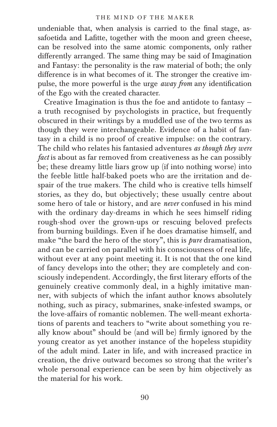undeniable that, when analysis is carried to the final stage, assafoetida and Lafitte, together with the moon and green cheese, can be resolved into the same atomic components, only rather differently arranged. The same thing may be said of Imagination and Fantasy: the personality is the raw material of both; the only difference is in what becomes of it. The stronger the creative impulse, the more powerful is the urge *away from* any identification of the Ego with the created character.

Creative Imagination is thus the foe and antidote to fantasy a truth recognised by psychologists in practice, but frequently obscured in their writings by a muddled use of the two terms as though they were interchangeable. Evidence of a habit of fantasy in a child is no proof of creative impulse: on the contrary. The child who relates his fantasied adventures *as though they were fact* is about as far removed from creativeness as he can possibly be; these dreamy little liars grow up (if into nothing worse) into the feeble little half-baked poets who are the irritation and despair of the true makers. The child who is creative tells himself stories, as they do, but objectively; these usually centre about some hero of tale or history, and are *never* confused in his mind with the ordinary day-dreams in which he sees himself riding rough-shod over the grown-ups or rescuing beloved prefects from burning buildings. Even if he does dramatise himself, and make "the bard the hero of the story", this is *pure* dramatisation, and can be carried on parallel with his consciousness of real life, without ever at any point meeting it. It is not that the one kind of fancy develops into the other; they are completely and consciously independent. Accordingly, the first literary efforts of the genuinely creative commonly deal, in a highly imitative manner, with subjects of which the infant author knows absolutely nothing, such as piracy, submarines, snake-infested swamps, or the love-affairs of romantic noblemen. The well-meant exhortations of parents and teachers to "write about something you really know about" should be (and will be) firmly ignored by the young creator as yet another instance of the hopeless stupidity of the adult mind. Later in life, and with increased practice in creation, the drive outward becomes so strong that the writer's whole personal experience can be seen by him objectively as the material for his work.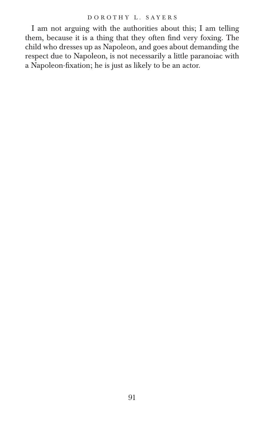I am not arguing with the authorities about this; I am telling them, because it is a thing that they often find very foxing. The child who dresses up as Napoleon, and goes about demanding the respect due to Napoleon, is not necessarily a little paranoiac with a Napoleon-fixation; he is just as likely to be an actor.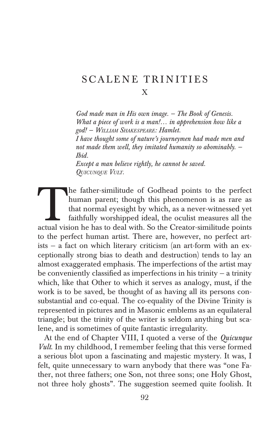### SCALENE TRINITIES X

*God made man in His own image. — The Book of Genesis. What a piece of work is a man!… in apprehension how like a god! — William Shakespeare: Hamlet.*

*I have thought some of nature's journeymen had made men and not made them well, they imitated humanity so abominably. — Ibid.*

*Except a man believe rightly, he cannot be saved. Quicunque Vult.*

The father-similitude of Godhead points to the perfect human parent; though this phenomenon is as rare as that normal eyesight by which, as a never-witnessed yet faithfully worshipped ideal, the oculist measures all the ac human parent; though this phenomenon is as rare as that normal eyesight by which, as a never-witnessed yet faithfully worshipped ideal, the oculist measures all the actual vision he has to deal with. So the Creator-similitude points to the perfect human artist. There are, however, no perfect artists — a fact on which literary criticism (an art-form with an exceptionally strong bias to death and destruction) tends to lay an almost exaggerated emphasis. The imperfections of the artist may be conveniently classified as imperfections in his trinity  $-$  a trinity which, like that Other to which it serves as analogy, must, if the work is to be saved, be thought of as having all its persons consubstantial and co-equal. The co-equality of the Divine Trinity is represented in pictures and in Masonic emblems as an equilateral triangle; but the trinity of the writer is seldom anything but scalene, and is sometimes of quite fantastic irregularity.

At the end of Chapter VIII, I quoted a verse of the *Quicunque Vult*. In my childhood, I remember feeling that this verse formed a serious blot upon a fascinating and majestic mystery. It was, I felt, quite unnecessary to warn anybody that there was "one Father, not three fathers; one Son, not three sons; one Holy Ghost, not three holy ghosts". The suggestion seemed quite foolish. It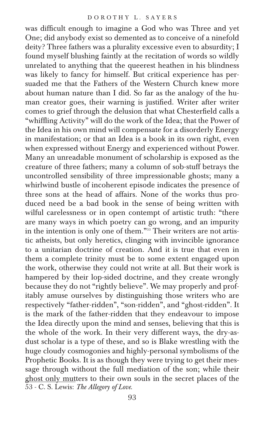was difficult enough to imagine a God who was Three and yet One; did anybody exist so demented as to conceive of a ninefold deity? Three fathers was a plurality excessive even to absurdity; I found myself blushing faintly at the recitation of words so wildly unrelated to anything that the queerest heathen in his blindness was likely to fancy for himself. But critical experience has persuaded me that the Fathers of the Western Church knew more about human nature than I did. So far as the analogy of the human creator goes, their warning is justified. Writer after writer comes to grief through the delusion that what Chesterfield calls a "whiffling Activity" will do the work of the Idea; that the Power of the Idea in his own mind will compensate for a disorderly Energy in manifestation; or that an Idea is a book in its own right, even when expressed without Energy and experienced without Power. Many an unreadable monument of scholarship is exposed as the creature of three fathers; many a column of sob-stuff betrays the uncontrolled sensibility of three impressionable ghosts; many a whirlwind bustle of incoherent episode indicates the presence of three sons at the head of affairs. None of the works thus produced need be a bad book in the sense of being written with wilful carelessness or in open contempt of artistic truth: "there are many ways in which poetry can go wrong, and an impurity in the intention is only one of them."53 Their writers are not artistic atheists, but only heretics, clinging with invincible ignorance to a unitarian doctrine of creation. And it is true that even in them a complete trinity must be to some extent engaged upon the work, otherwise they could not write at all. But their work is hampered by their lop-sided doctrine, and they create wrongly because they do not "rightly believe". We may properly and profitably amuse ourselves by distinguishing those writers who are respectively "father-ridden", "son-ridden", and "ghost-ridden". It is the mark of the father-ridden that they endeavour to impose the Idea directly upon the mind and senses, believing that this is the whole of the work. In their very different ways, the dry-asdust scholar is a type of these, and so is Blake wrestling with the huge cloudy cosmogonies and highly-personal symbolisms of the Prophetic Books. It is as though they were trying to get their message through without the full mediation of the son; while their ghost only mutters to their own souls in the secret places of the 53 - C. S. Lewis: *The Allegory of Love*.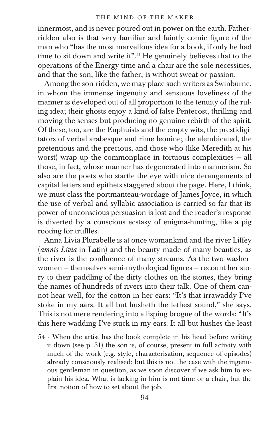innermost, and is never poured out in power on the earth. Fatherridden also is that very familiar and faintly comic figure of the man who "has the most marvellous idea for a book, if only he had time to sit down and write it".<sup>54</sup> He genuinely believes that to the operations of the Energy time and a chair are the sole necessities, and that the son, like the father, is without sweat or passion.

Among the son-ridden, we may place such writers as Swinburne, in whom the immense ingenuity and sensuous loveliness of the manner is developed out of all proportion to the tenuity of the ruling idea; their ghosts enjoy a kind of false Pentecost, thrilling and moving the senses but producing no genuine rebirth of the spirit. Of these, too, are the Euphuists and the empty wits; the prestidigitators of verbal arabesque and rime leonine; the alembicated, the pretentious and the precious, and those who (like Meredith at his worst) wrap up the commonplace in tortuous complexities — all those, in fact, whose manner has degenerated into mannerism. So also are the poets who startle the eye with nice derangements of capital letters and epithets staggered about the page. Here, I think, we must class the portmanteau-wordage of James Joyce, in which the use of verbal and syllabic association is carried so far that its power of unconscious persuasion is lost and the reader's response is diverted by a conscious ecstasy of enigma-hunting, like a pig rooting for truffles.

Anna Livia Plurabelle is at once womankind and the river Liffey (*amnis Livia* in Latin) and the beauty made of many beauties, as the river is the confluence of many streams. As the two washerwomen — themselves semi-mythological figures — recount her story to their paddling of the dirty clothes on the stones, they bring the names of hundreds of rivers into their talk. One of them cannot hear well, for the cotton in her ears: "It's that irrawaddy I've stoke in my aars. It all but husheth the lethest sound," she says. This is not mere rendering into a lisping brogue of the words: "It's this here wadding I've stuck in my ears. It all but hushes the least

<sup>54 -</sup> When the artist has the book complete in his head before writing it down (see p. 31) the son is, of course, present in full activity with much of the work (e.g. style, characterisation, sequence of episodes) already consciously realised; but this is not the case with the ingenuous gentleman in question, as we soon discover if we ask him to explain his idea. What is lacking in him is not time or a chair, but the first notion of how to set about the job.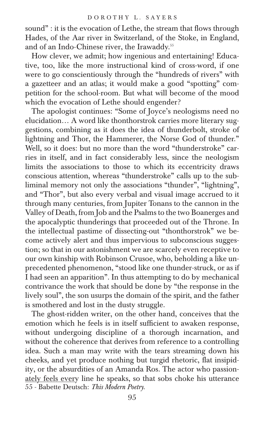sound" : it is the evocation of Lethe, the stream that flows through Hades, of the Aar river in Switzerland, of the Stoke, in England, and of an Indo-Chinese river, the Irawaddy.<sup>55</sup>

How clever, we admit; how ingenious and entertaining! Educative, too, like the more instructional kind of cross-word, if one were to go conscientiously through the "hundreds of rivers" with a gazetteer and an atlas; it would make a good "spotting" competition for the school-room. But what will become of the mood which the evocation of Lethe should engender?

The apologist continues: "Some of Joyce's neologisms need no elucidation… A word like thonthorstrok carries more literary suggestions, combining as it does the idea of thunderbolt, stroke of lightning and Thor, the Hammerer, the Norse God of thunder." Well, so it does: but no more than the word "thunderstroke" carries in itself, and in fact considerably less, since the neologism limits the associations to those to which its eccentricity draws conscious attention, whereas "thunderstroke" calls up to the subliminal memory not only the associations "thunder", "lightning", and "Thor", but also every verbal and visual image accrued to it through many centuries, from Jupiter Tonans to the cannon in the Valley of Death, from Job and the Psalms to the two Boanerges and the apocalyptic thunderings that proceeded out of the Throne. In the intellectual pastime of dissecting-out "thonthorstrok" we become actively alert and thus impervious to subconscious suggestion; so that in our astonishment we are scarcely even receptive to our own kinship with Robinson Crusoe, who, beholding a like unprecedented phenomenon, "stood like one thunder-struck, or as if I had seen an apparition". In thus attempting to do by mechanical contrivance the work that should be done by "the response in the lively soul", the son usurps the domain of the spirit, and the father is smothered and lost in the dusty struggle.

The ghost-ridden writer, on the other hand, conceives that the emotion which he feels is in itself sufficient to awaken response, without undergoing discipline of a thorough incarnation, and without the coherence that derives from reference to a controlling idea. Such a man may write with the tears streaming down his cheeks, and yet produce nothing but turgid rhetoric, flat insipidity, or the absurdities of an Amanda Ros. The actor who passionately feels every line he speaks, so that sobs choke his utterance 55 - Babette Deutsch: *This Modern Poetry*.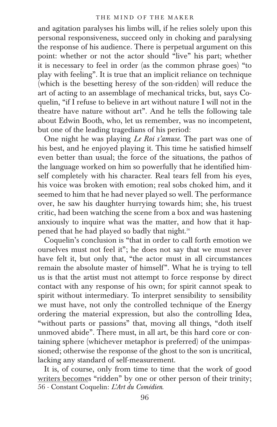#### THE MIND OF THE MAKER

and agitation paralyses his limbs will, if he relies solely upon this personal responsiveness, succeed only in choking and paralysing the response of his audience. There is perpetual argument on this point: whether or not the actor should "live" his part; whether it is necessary to feel in order (as the common phrase goes) "to play with feeling". It is true that an implicit reliance on technique (which is the besetting heresy of the son-ridden) will reduce the art of acting to an assemblage of mechanical tricks, but, says Coquelin, "if I refuse to believe in art without nature I will not in the theatre have nature without art". And he tells the following tale about Edwin Booth, who, let us remember, was no incompetent, but one of the leading tragedians of his period:

One night he was playing *Le Roi s'amuse*. The part was one of his best, and he enjoyed playing it. This time he satisfied himself even better than usual; the force of the situations, the pathos of the language worked on him so powerfully that he identified himself completely with his character. Real tears fell from his eyes, his voice was broken with emotion; real sobs choked him, and it seemed to him that he had never played so well. The performance over, he saw his daughter hurrying towards him; she, his truest critic, had been watching the scene from a box and was hastening anxiously to inquire what was the matter, and how that it happened that he had played so badly that night. $^{56}$ 

Coquelin's conclusion is "that in order to call forth emotion we ourselves must not feel it"; he does not say that we must never have felt it, but only that, "the actor must in all circumstances remain the absolute master of himself". What he is trying to tell us is that the artist must not attempt to force response by direct contact with any response of his own; for spirit cannot speak to spirit without intermediary. To interpret sensibility to sensibility we must have, not only the controlled technique of the Energy ordering the material expression, but also the controlling Idea, "without parts or passions" that, moving all things, "doth itself unmoved abide". There must, in all art, be this hard core or containing sphere (whichever metaphor is preferred) of the unimpassioned; otherwise the response of the ghost to the son is uncritical, lacking any standard of self-measurement.

It is, of course, only from time to time that the work of good writers becomes "ridden" by one or other person of their trinity; 56 - Constant Coquelin: *L'Art du Comédien*.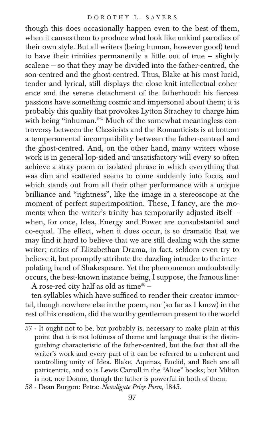though this does occasionally happen even to the best of them, when it causes them to produce what look like unkind parodies of their own style. But all writers (being human, however good) tend to have their trinities permanently a little out of true — slightly scalene — so that they may be divided into the father-centred, the son-centred and the ghost-centred. Thus, Blake at his most lucid, tender and lyrical, still displays the close-knit intellectual coherence and the serene detachment of the fatherhood: his fiercest passions have something cosmic and impersonal about them; it is probably this quality that provokes Lytton Strachey to charge him with being "inhuman."<sup>57</sup> Much of the somewhat meaningless controversy between the Classicists and the Romanticists is at bottom a temperamental incompatibility between the father-centred and the ghost-centred. And, on the other hand, many writers whose work is in general lop-sided and unsatisfactory will every so often achieve a stray poem or isolated phrase in which everything that was dim and scattered seems to come suddenly into focus, and which stands out from all their other performance with a unique brilliance and "rightness", like the image in a stereoscope at the moment of perfect superimposition. These, I fancy, are the moments when the writer's trinity has temporarily adjusted itself when, for once, Idea, Energy and Power are consubstantial and co-equal. The effect, when it does occur, is so dramatic that we may find it hard to believe that we are still dealing with the same writer; critics of Elizabethan Drama, in fact, seldom even try to believe it, but promptly attribute the dazzling intruder to the interpolating hand of Shakespeare. Yet the phenomenon undoubtedly occurs, the best-known instance being, I suppose, the famous line:

A rose-red city half as old as time $^{58}$  -

ten syllables which have sufficed to render their creator immortal, though nowhere else in the poem, nor (so far as I know) in the rest of his creation, did the worthy gentleman present to the world

<sup>57 -</sup> It ought not to be, but probably is, necessary to make plain at this point that it is not loftiness of theme and language that is the distinguishing characteristic of the father-centred, but the fact that all the writer's work and every part of it can be referred to a coherent and controlling unity of Idea. Blake, Aquinas, Euclid, and Bach are all patricentric, and so is Lewis Carroll in the "Alice" books; but Milton is not, nor Donne, though the father is powerful in both of them.

<sup>58 -</sup> Dean Burgon: Petra: *Newdigate Prize Poem*, 1845.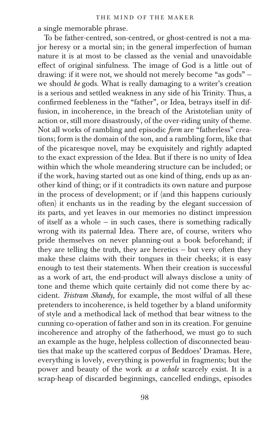a single memorable phrase.

To be father-centred, son-centred, or ghost-centred is not a major heresy or a mortal sin; in the general imperfection of human nature it is at most to be classed as the venial and unavoidable effect of original sinfulness. The image of God is a little out of drawing: if it were not, we should not merely become "as gods" we should *be* gods. What is really damaging to a writer's creation is a serious and settled weakness in any side of his Trinity. Thus, a confirmed feebleness in the "father", or Idea, betrays itself in diffusion, in incoherence, in the breach of the Aristotelian unity of action or, still more disastrously, of the over-riding unity of theme. Not all works of rambling and episodic *form* are "fatherless" creations; form is the domain of the son, and a rambling form, like that of the picaresque novel, may be exquisitely and rightly adapted to the exact expression of the Idea. But if there is no unity of Idea within which the whole meandering structure can be included; or if the work, having started out as one kind of thing, ends up as another kind of thing; or if it contradicts its own nature and purpose in the process of development; or if (and this happens curiously often) it enchants us in the reading by the elegant succession of its parts, and yet leaves in our memories no distinct impression of itself as a whole — in such cases, there is something radically wrong with its paternal Idea. There are, of course, writers who pride themselves on never planning-out a book beforehand; if they are telling the truth, they are heretics — but very often they make these claims with their tongues in their cheeks; it is easy enough to test their statements. When their creation is successful as a work of art, the end-product will always disclose a unity of tone and theme which quite certainly did not come there by accident. *Tristram Shandy*, for example, the most wilful of all these pretenders to incoherence, is held together by a bland uniformity of style and a methodical lack of method that bear witness to the cunning co-operation of father and son in its creation. For genuine incoherence and atrophy of the fatherhood, we must go to such an example as the huge, helpless collection of disconnected beauties that make up the scattered corpus of Beddoes' Dramas. Here, everything is lovely, everything is powerful in fragments; but the power and beauty of the work *as a whole* scarcely exist. It is a scrap-heap of discarded beginnings, cancelled endings, episodes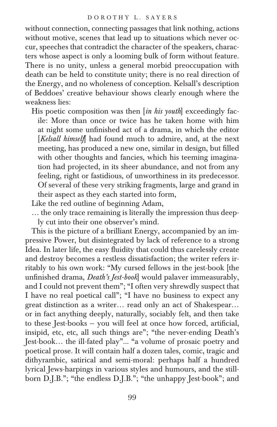without connection, connecting passages that link nothing, actions without motive, scenes that lead up to situations which never occur, speeches that contradict the character of the speakers, characters whose aspect is only a looming bulk of form without feature. There is no unity, unless a general morbid preoccupation with death can be held to constitute unity; there is no real direction of the Energy, and no wholeness of conception. Kelsall's description of Beddoes' creative behaviour shows clearly enough where the weakness lies:

His poetic composition was then [*in his youth*] exceedingly facile: More than once or twice has he taken home with him at night some unfinished act of a drama, in which the editor [*Kelsall himself*] had found much to admire, and, at the next meeting, has produced a new one, similar in design, but filled with other thoughts and fancies, which his teeming imagination had projected, in its sheer abundance, and not from any feeling, right or fastidious, of unworthiness in its predecessor. Of several of these very striking fragments, large and grand in their aspect as they each started into form,

Like the red outline of beginning Adam,

… the only trace remaining is literally the impression thus deeply cut into their one observer's mind.

This is the picture of a brilliant Energy, accompanied by an impressive Power, but disintegrated by lack of reference to a strong Idea. In later life, the easy fluidity that could thus carelessly create and destroy becomes a restless dissatisfaction; the writer refers irritably to his own work: "My cursed fellows in the jest-book [the unfinished drama, *Death's Jest-book*] would palaver immeasurably, and I could not prevent them"; "I often very shrewdly suspect that I have no real poetical call"; "I have no business to expect any great distinction as a writer… read only an act of Shakespear… or in fact anything deeply, naturally, sociably felt, and then take to these Jest-books — you will feel at once how forced, artificial, insipid, etc, etc, all such things are"; "the never-ending Death's Jest-book… the ill-fated play"... "a volume of prosaic poetry and poetical prose. It will contain half a dozen tales, comic, tragic and dithyrambic, satirical and semi-moral: perhaps half a hundred lyrical Jews-harpings in various styles and humours, and the stillborn D.J.B."; "the endless D.J.B."; "the unhappy Jest-book"; and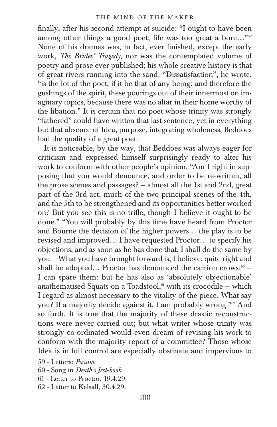finally, after his second attempt at suicide: "I ought to have been among other things a good poet; life was too great a bore…"59 None of his dramas was, in fact, ever finished, except the early work, *The Brides' Tragedy*, nor was the contemplated volume of poetry and prose ever published; his whole creative history is that of great rivers running into the sand: "Dissatisfaction", he wrote, "is the lot of the poet, if it be that of any being; and therefore the gushings of the spirit, these pourings out of their innermost on imaginary topics, because there was no altar in their home worthy of the libation." It is certain that no poet whose trinity was strongly "fathered" could have written that last sentence; yet in everything but that absence of Idea, purpose, integrating wholeness, Beddoes had the quality of a great poet.

It is noticeable, by the way, that Beddoes was always eager for criticism and expressed himself surprisingly ready to alter his work to conform with other people's opinion. "Am I right in supposing that you would denounce, and order to be re-written, all the prose scenes and passages? — almost all the 1st and 2nd, great part of the 3rd act, much of the two principal scenes of the 4th, and the 5th to be strengthened and its opportunities better worked on? But you see this is no trifle, though I believe it ought to be done." "You will probably by this time have heard from Proctor and Bourne the decision of the higher powers… the play is to be revised and improved… I have requested Proctor… to specify his objections, and as soon as he has done that, I shall do the same by you — What you have brought forward is, I believe, quite right and shall be adopted... Proctor has denounced the carrion crows:<sup>60</sup> – I can spare them: but he has also as 'absolutely objectionable' anathematised Squats on a Toadstool,<sup>61</sup> with its crocodile – which I regard as almost necessary to the vitality of the piece. What say you? If a majority decide against it, I am probably wrong."62 And so forth. It is true that the majority of these drastic reconstructions were never carried out; but what writer whose trinity was strongly co-ordinated would even dream of revising his work to conform with the majority report of a committee? Those whose Idea is in full control are especially obstinate and impervious to

62 - Letter to Kelsall, 30.4.29.

<sup>59 -</sup> Letters: *Passim*.

<sup>60 -</sup> Song in *Death's Jest-book*.

<sup>61 -</sup> Letter to Proctor, 19.4.29.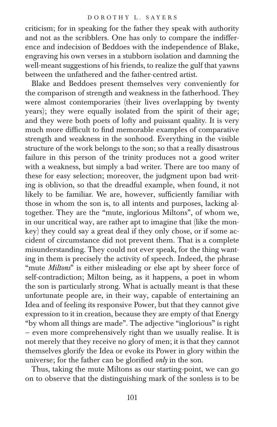# DOROTHY L. SAYERS

criticism; for in speaking for the father they speak with authority and not as the scribblers. One has only to compare the indifference and indecision of Beddoes with the independence of Blake, engraving his own verses in a stubborn isolation and damning the well-meant suggestions of his friends, to realize the gulf that yawns between the unfathered and the father-centred artist.

Blake and Beddoes present themselves very conveniently for the comparison of strength and weakness in the fatherhood. They were almost contemporaries (their lives overlapping by twenty years); they were equally isolated from the spirit of their age; and they were both poets of lofty and puissant quality. It is very much more difficult to find memorable examples of comparative strength and weakness in the sonhood. Everything in the visible structure of the work belongs to the son; so that a really disastrous failure in this person of the trinity produces not a good writer with a weakness, but simply a bad writer. There are too many of these for easy selection; moreover, the judgment upon bad writing is oblivion, so that the dreadful example, when found, it not likely to be familiar. We are, however, sufficiently familiar with those in whom the son is, to all intents and purposes, lacking altogether. They are the "mute, inglorious Miltons", of whom we, in our uncritical way, are rather apt to imagine that (like the monkey) they could say a great deal if they only chose, or if some accident of circumstance did not prevent them. That is a complete misunderstanding. They could not ever speak, for the thing wanting in them is precisely the activity of speech. Indeed, the phrase "mute *Miltons*" is either misleading or else apt by sheer force of self-contradiction; Milton being, as it happens, a poet in whom the son is particularly strong. What is actually meant is that these unfortunate people are, in their way, capable of entertaining an Idea and of feeling its responsive Power, but that they cannot give expression to it in creation, because they are empty of that Energy "by whom all things are made". The adjective "inglorious" is right — even more comprehensively right than we usually realise. It is not merely that they receive no glory of men; it is that they cannot themselves glorify the Idea or evoke its Power in glory within the universe; for the father can be glorified *only* in the son.

Thus, taking the mute Miltons as our starting-point, we can go on to observe that the distinguishing mark of the sonless is to be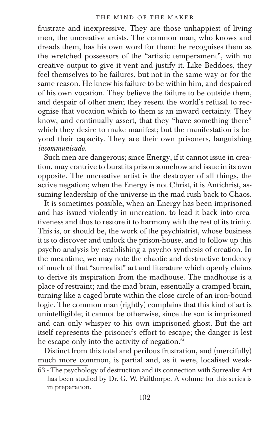frustrate and inexpressive. They are those unhappiest of living men, the uncreative artists. The common man, who knows and dreads them, has his own word for them: he recognises them as the wretched possessors of the "artistic temperament", with no creative output to give it vent and justify it. Like Beddoes, they feel themselves to be failures, but not in the same way or for the same reason. He knew his failure to be within him, and despaired of his own vocation. They believe the failure to be outside them, and despair of other men; they resent the world's refusal to recognise that vocation which to them is an inward certainty. They know, and continually assert, that they "have something there" which they desire to make manifest; but the manifestation is beyond their capacity. They are their own prisoners, languishing *incommunicado*.

Such men are dangerous; since Energy, if it cannot issue in creation, may contrive to burst its prison somehow and issue in its own opposite. The uncreative artist is the destroyer of all things, the active negation; when the Energy is not Christ, it is Antichrist, assuming leadership of the universe in the mad rush back to Chaos.

It is sometimes possible, when an Energy has been imprisoned and has issued violently in uncreation, to lead it back into creativeness and thus to restore it to harmony with the rest of its trinity. This is, or should be, the work of the psychiatrist, whose business it is to discover and unlock the prison-house, and to follow up this psycho-analysis by establishing a psycho-synthesis of creation. In the meantime, we may note the chaotic and destructive tendency of much of that "surrealist" art and literature which openly claims to derive its inspiration from the madhouse. The madhouse is a place of restraint; and the mad brain, essentially a cramped brain, turning like a caged brute within the close circle of an iron-bound logic. The common man (rightly) complains that this kind of art is unintelligible; it cannot be otherwise, since the son is imprisoned and can only whisper to his own imprisoned ghost. But the art itself represents the prisoner's effort to escape; the danger is lest he escape only into the activity of negation.<sup>63</sup>

Distinct from this total and perilous frustration, and (mercifully) much more common, is partial and, as it were, localised weak-

<sup>63 -</sup> The psychology of destruction and its connection with Surrealist Art has been studied by Dr. G. W. Pailthorpe. A volume for this series is in preparation.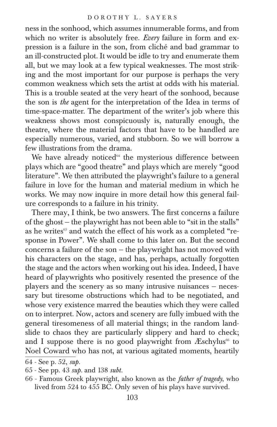ness in the sonhood, which assumes innumerable forms, and from which no writer is absolutely free. *Every* failure in form and expression is a failure in the son, from cliché and bad grammar to an ill-constructed plot. It would be idle to try and enumerate them all, but we may look at a few typical weaknesses. The most striking and the most important for our purpose is perhaps the very common weakness which sets the artist at odds with his material. This is a trouble seated at the very heart of the sonhood, because the son is *the* agent for the interpretation of the Idea in terms of time-space-matter. The department of the writer's job where this weakness shows most conspicuously is, naturally enough, the theatre, where the material factors that have to be handled are especially numerous, varied, and stubborn. So we will borrow a few illustrations from the drama.

We have already noticed $64$  the mysterious difference between plays which are "good theatre" and plays which are merely "good literature". We then attributed the playwright's failure to a general failure in love for the human and material medium in which he works. We may now inquire in more detail how this general failure corresponds to a failure in his trinity.

There may, I think, be two answers. The first concerns a failure of the ghost — the playwright has not been able to "sit in the stalls" as he writes<sup>65</sup> and watch the effect of his work as a completed "response in Power". We shall come to this later on. But the second concerns a failure of the son — the playwright has not moved with his characters on the stage, and has, perhaps, actually forgotten the stage and the actors when working out his idea. Indeed, I have heard of playwrights who positively resented the presence of the players and the scenery as so many intrusive nuisances — necessary but tiresome obstructions which had to be negotiated, and whose very existence marred the beauties which they were called on to interpret. Now, actors and scenery are fully imbued with the general tiresomeness of all material things; in the random landslide to chaos they are particularly slippery and hard to check; and I suppose there is no good playwright from Æschylus<sup>66</sup> to Noel Coward who has not, at various agitated moments, heartily

66 - Famous Greek playwright, also known as the *father of tragedy*, who lived from 524 to 455 BC. Only seven of his plays have survived.

<sup>64 -</sup> See p. 52, *sup.*

<sup>65 -</sup> See pp. 43 *sup.* and 138 *subt.*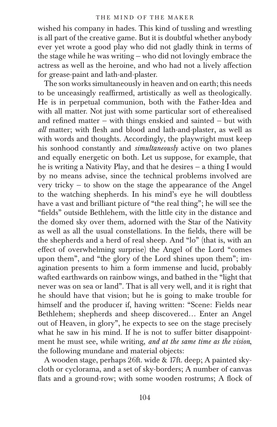wished his company in hades. This kind of tussling and wrestling is all part of the creative game. But it is doubtful whether anybody ever yet wrote a good play who did not gladly think in terms of the stage while he was writing — who did not lovingly embrace the actress as well as the heroine, and who had not a lively affection for grease-paint and lath-and-plaster.

The son works simultaneously in heaven and on earth; this needs to be unceasingly reaffirmed, artistically as well as theologically. He is in perpetual communion, both with the Father-Idea and with all matter. Not just with some particular sort of etherealised and refined matter  $-$  with things enskied and sainted  $-$  but with *all* matter; with flesh and blood and lath-and-plaster, as well as with words and thoughts. Accordingly, the playwright must keep his sonhood constantly and *simultaneously* active on two planes and equally energetic on both. Let us suppose, for example, that he is writing a Nativity Play, and that he desires  $-$  a thing I would by no means advise, since the technical problems involved are very tricky – to show on the stage the appearance of the Angel to the watching shepherds. In his mind's eye he will doubtless have a vast and brilliant picture of "the real thing"; he will see the "fields" outside Bethlehem, with the little city in the distance and the domed sky over them, adorned with the Star of the Nativity as well as all the usual constellations. In the fields, there will be the shepherds and a herd of real sheep. And "lo" (that is, with an effect of overwhelming surprise) the Angel of the Lord "comes upon them", and "the glory of the Lord shines upon them"; imagination presents to him a form immense and lucid, probably wafted earthwards on rainbow wings, and bathed in the "light that never was on sea or land". That is all very well, and it is right that he should have that vision; but he is going to make trouble for himself and the producer if, having written: "Scene: Fields near Bethlehem; shepherds and sheep discovered... Enter an Angel out of Heaven, in glory", he expects to see on the stage precisely what he saw in his mind. If he is not to suffer bitter disappointment he must see, while writing, *and at the same time as the vision*, the following mundane and material objects:

A wooden stage, perhaps 26ft. wide & 17ft. deep; A painted skycloth or cyclorama, and a set of sky-borders; A number of canvas flats and a ground-row; with some wooden rostrums; A flock of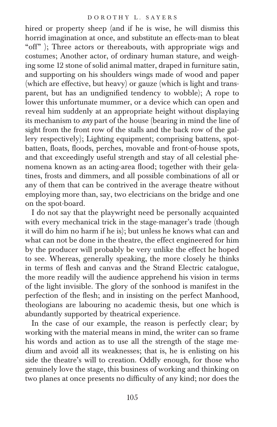hired or property sheep (and if he is wise, he will dismiss this horrid imagination at once, and substitute an effects-man to bleat "off" ); Three actors or thereabouts, with appropriate wigs and costumes; Another actor, of ordinary human stature, and weighing some 12 stone of solid animal matter, draped in furniture satin, and supporting on his shoulders wings made of wood and paper (which are effective, but heavy) or gauze (which is light and transparent, but has an undignified tendency to wobble); A rope to lower this unfortunate mummer, or a device which can open and reveal him suddenly at an appropriate height without displaying its mechanism to *any* part of the house (bearing in mind the line of sight from the front row of the stalls and the back row of the gallery respectively); Lighting equipment; comprising battens, spotbatten, floats, floods, perches, movable and front-of-house spots, and that exceedingly useful strength and stay of all celestial phenomena known as an acting-area flood; together with their gelatines, frosts and dimmers, and all possible combinations of all or any of them that can be contrived in the average theatre without employing more than, say, two electricians on the bridge and one on the spot-board.

I do not say that the playwright need be personally acquainted with every mechanical trick in the stage-manager's trade (though it will do him no harm if he is); but unless he knows what can and what can not be done in the theatre, the effect engineered for him by the producer will probably be very unlike the effect he hoped to see. Whereas, generally speaking, the more closely he thinks in terms of flesh and canvas and the Strand Electric catalogue, the more readily will the audience apprehend his vision in terms of the light invisible. The glory of the sonhood is manifest in the perfection of the flesh; and in insisting on the perfect Manhood, theologians are labouring no academic thesis, but one which is abundantly supported by theatrical experience.

In the case of our example, the reason is perfectly clear; by working with the material means in mind, the writer can so frame his words and action as to use all the strength of the stage medium and avoid all its weaknesses; that is, he is enlisting on his side the theatre's will to creation. Oddly enough, for those who genuinely love the stage, this business of working and thinking on two planes at once presents no difficulty of any kind; nor does the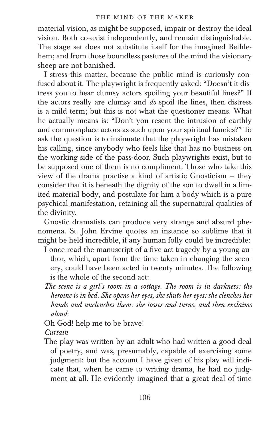material vision, as might be supposed, impair or destroy the ideal vision. Both co-exist independently, and remain distinguishable. The stage set does not substitute itself for the imagined Bethlehem; and from those boundless pastures of the mind the visionary sheep are not banished.

I stress this matter, because the public mind is curiously confused about it. The playwright is frequently asked: "Doesn't it distress you to hear clumsy actors spoiling your beautiful lines?" If the actors really are clumsy and *do* spoil the lines, then distress is a mild term; but this is not what the questioner means. What he actually means is: "Don't you resent the intrusion of earthly and commonplace actors-as-such upon your spiritual fancies?" To ask the question is to insinuate that the playwright has mistaken his calling, since anybody who feels like that has no business on the working side of the pass-door. Such playwrights exist, but to be supposed one of them is no compliment. Those who take this view of the drama practise a kind of artistic Gnosticism — they consider that it is beneath the dignity of the son to dwell in a limited material body, and postulate for him a body which is a pure psychical manifestation, retaining all the supernatural qualities of the divinity.

Gnostic dramatists can produce very strange and absurd phenomena. St. John Ervine quotes an instance so sublime that it might be held incredible, if any human folly could be incredible:

- I once read the manuscript of a five-act tragedy by a young author, which, apart from the time taken in changing the scenery, could have been acted in twenty minutes. The following is the whole of the second act:
- *The scene is a girl's room in a cottage. The room is in darkness: the heroine is in bed. She opens her eyes, she shuts her eyes: she clenches her hands and unclenches them: she tosses and turns, and then exclaims aloud*:

Oh God! help me to be brave!

*Curtain*

The play was written by an adult who had written a good deal of poetry, and was, presumably, capable of exercising some judgment: but the account I have given of his play will indicate that, when he came to writing drama, he had no judgment at all. He evidently imagined that a great deal of time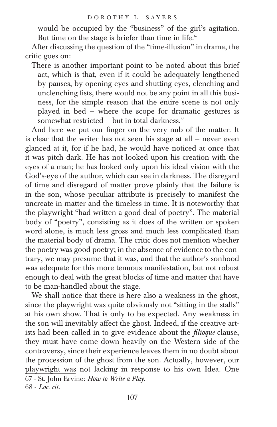# DOROTHY L. SAYERS

would be occupied by the "business" of the girl's agitation. But time on the stage is briefer than time in life.<sup>67</sup>

After discussing the question of the "time-illusion" in drama, the critic goes on:

There is another important point to be noted about this brief act, which is that, even if it could be adequately lengthened by pauses, by opening eyes and shutting eyes, clenching and unclenching fists, there would not be any point in all this business, for the simple reason that the entire scene is not only played in bed — where the scope for dramatic gestures is somewhat restricted  $-$  but in total darkness.<sup>68</sup>

And here we put our finger on the very nub of the matter. It is clear that the writer has not seen his stage at all — never even glanced at it, for if he had, he would have noticed at once that it was pitch dark. He has not looked upon his creation with the eyes of a man; he has looked only upon his ideal vision with the God's-eye of the author, which can see in darkness. The disregard of time and disregard of matter prove plainly that the failure is in the son, whose peculiar attribute is precisely to manifest the uncreate in matter and the timeless in time. It is noteworthy that the playwright "had written a good deal of poetry". The material body of "poetry", consisting as it does of the written or spoken word alone, is much less gross and much less complicated than the material body of drama. The critic does not mention whether the poetry was good poetry; in the absence of evidence to the contrary, we may presume that it was, and that the author's sonhood was adequate for this more tenuous manifestation, but not robust enough to deal with the great blocks of time and matter that have to be man-handled about the stage.

We shall notice that there is here also a weakness in the ghost, since the playwright was quite obviously not "sitting in the stalls" at his own show. That is only to be expected. Any weakness in the son will inevitably affect the ghost. Indeed, if the creative artists had been called in to give evidence about the *filioque* clause, they must have come down heavily on the Western side of the controversy, since their experience leaves them in no doubt about the procession of the ghost from the son. Actually, however, our playwright was not lacking in response to his own Idea. One 67 - St. John Ervine: *How to Write a Play*. 68 - *Loc. cit.*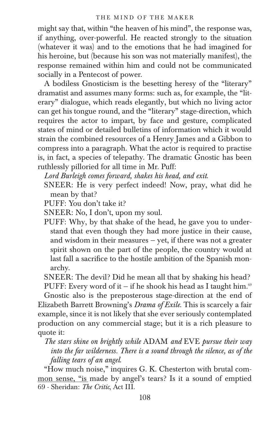might say that, within "the heaven of his mind", the response was, if anything, over-powerful. He reacted strongly to the situation (whatever it was) and to the emotions that he had imagined for his heroine, but (because his son was not materially manifest), the response remained within him and could not be communicated socially in a Pentecost of power.

A bodiless Gnosticism is the besetting heresy of the "literary" dramatist and assumes many forms: such as, for example, the "literary" dialogue, which reads elegantly, but which no living actor can get his tongue round, and the "literary" stage-direction, which requires the actor to impart, by face and gesture, complicated states of mind or detailed bulletins of information which it would strain the combined resources of a Henry James and a Gibbon to compress into a paragraph. What the actor is required to practise is, in fact, a species of telepathy. The dramatic Gnostic has been ruthlessly pilloried for all time in Mr. Puff:

*Lord Burleigh comes forward, shakes his head, and exit*.

SNEER: He is very perfect indeed! Now, pray, what did he mean by that?

PUFF: You don't take it?

SNEER: No, I don't, upon my soul.

PUFF: Why, by that shake of the head, he gave you to understand that even though they had more justice in their cause, and wisdom in their measures — yet, if there was not a greater spirit shown on the part of the people, the country would at last fall a sacrifice to the hostile ambition of the Spanish monarchy.

SNEER: The devil? Did he mean all that by shaking his head? PUFF: Every word of it - if he shook his head as I taught him.<sup>69</sup>

Gnostic also is the preposterous stage-direction at the end of Elizabeth Barrett Browning's *Drama of Exile*. This is scarcely a fair example, since it is not likely that she ever seriously contemplated production on any commercial stage; but it is a rich pleasure to quote it:

*The stars shine on brightly while* ADAM *and* EVE *pursue their way*  into the far wilderness. There is a sound through the silence, as of the *falling tears of an angel*.

"How much noise," inquires G. K. Chesterton with brutal common sense, "is made by angel's tears? Is it a sound of emptied 69 - Sheridan: *The Critic*, Act III.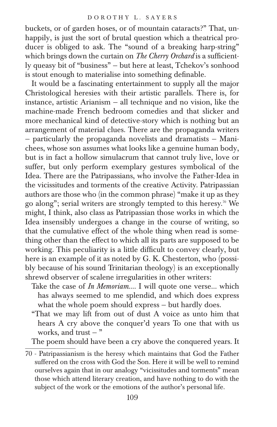buckets, or of garden hoses, or of mountain cataracts?" That, unhappily, is just the sort of brutal question which a theatrical producer is obliged to ask. The "sound of a breaking harp-string" which brings down the curtain on *The Cherry Orchard* is a sufficiently queasy bit of "business" — but here at least, Tchekov's sonhood is stout enough to materialise into something definable.

It would be a fascinating entertainment to supply all the major Christological heresies with their artistic parallels. There is, for instance, artistic Arianism — all technique and no vision, like the machine-made French bedroom comedies and that slicker and more mechanical kind of detective-story which is nothing but an arrangement of material clues. There are the propaganda writers — particularly the propaganda novelists and dramatists — Manichees, whose son assumes what looks like a genuine human body, but is in fact a hollow simulacrum that cannot truly live, love or suffer, but only perform exemplary gestures symbolical of the Idea. There are the Patripassians, who involve the Father-Idea in the vicissitudes and torments of the creative Activity. Patripassian authors are those who (in the common phrase) "make it up as they go along"; serial writers are strongly tempted to this heresy.<sup>70</sup> We might, I think, also class as Patripassian those works in which the Idea insensibly undergoes a change in the course of writing, so that the cumulative effect of the whole thing when read is something other than the effect to which all its parts are supposed to be working. This peculiarity is a little difficult to convey clearly, but here is an example of it as noted by G. K. Chesterton, who (possibly because of his sound Trinitarian theology) is an exceptionally shrewd observer of scalene irregularities in other writers:

- Take the case of *In Memoriam*.... I will quote one verse... which has always seemed to me splendid, and which does express what the whole poem should express — but hardly does.
- "That we may lift from out of dust A voice as unto him that hears A cry above the conquer'd years To one that with us works, and trust  $-$  "

The poem should have been a cry above the conquered years. It

70 - Patripassianism is the heresy which maintains that God the Father suffered on the cross with God the Son. Here it will be well to remind ourselves again that in our analogy "vicissitudes and torments" mean those which attend literary creation, and have nothing to do with the subject of the work or the emotions of the author's personal life.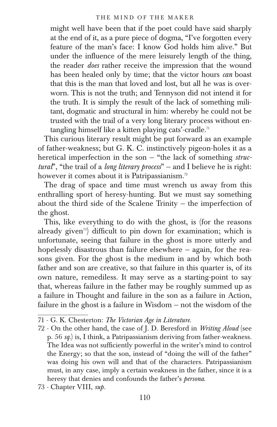might well have been that if the poet could have said sharply at the end of it, as a pure piece of dogma, "I've forgotten every feature of the man's face: I know God holds him alive." But under the influence of the mere leisurely length of the thing, the reader *does* rather receive the impression that the wound has been healed only by time; that the victor hours *can* boast that this is the man that loved and lost, but all he was is overworn. This is not the truth; and Tennyson did not intend it for the truth. It is simply the result of the lack of something militant, dogmatic and structural in him: whereby he could not be trusted with the trail of a very long literary process without entangling himself like a kitten playing cats'-cradle.<sup>71</sup>

This curious literary result might be put forward as an example of father-weakness; but G. K. C. instinctively pigeon-holes it as a heretical imperfection in the son — "the lack of something *structural*", "the trail of a *long literary process*" — and I believe he is right: however it comes about it is Patripassianism.<sup>72</sup>

The drag of space and time must wrench us away from this enthralling sport of heresy-hunting. But we must say something about the third side of the Scalene Trinity — the imperfection of the ghost.

This, like everything to do with the ghost, is (for the reasons already given<sup>73</sup>) difficult to pin down for examination; which is unfortunate, seeing that failure in the ghost is more utterly and hopelessly disastrous than failure elsewhere — again, for the reasons given. For the ghost is the medium in and by which both father and son are creative, so that failure in this quarter is, of its own nature, remediless. It may serve as a starting-point to say that, whereas failure in the father may be roughly summed up as a failure in Thought and failure in the son as a failure in Action, failure in the ghost is a failure in Wisdom — not the wisdom of the

<sup>71 -</sup> G. K. Chesterton: *The Victorian Age in Literature*.

<sup>72 -</sup> On the other hand, the case of J. D. Beresford in *Writing Aloud* (see p. 56 *sq.*) is, I think, a Patripassianism deriving from father-weakness. The Idea was not sufficiently powerful in the writer's mind to control the Energy; so that the son, instead of "doing the will of the father" was doing his own will and that of the characters. Patripassianism must, in any case, imply a certain weakness in the father, since it is a heresy that denies and confounds the father's *persona*.

<sup>73 -</sup> Chapter VIII, *sup.*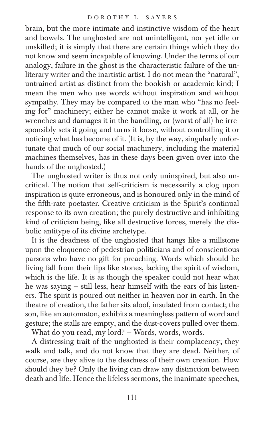brain, but the more intimate and instinctive wisdom of the heart and bowels. The unghosted are not unintelligent, nor yet idle or unskilled; it is simply that there are certain things which they do not know and seem incapable of knowing. Under the terms of our analogy, failure in the ghost is the characteristic failure of the unliterary writer and the inartistic artist. I do not mean the "natural", untrained artist as distinct from the bookish or academic kind; I mean the men who use words without inspiration and without sympathy. They may be compared to the man who "has no feeling for" machinery; either he cannot make it work at all, or he wrenches and damages it in the handling, or (worst of all) he irresponsibly sets it going and turns it loose, without controlling it or noticing what has become of it. (It is, by the way, singularly unfortunate that much of our social machinery, including the material machines themselves, has in these days been given over into the hands of the unghosted.)

The unghosted writer is thus not only uninspired, but also uncritical. The notion that self-criticism is necessarily a clog upon inspiration is quite erroneous, and is honoured only in the mind of the fifth-rate poetaster. Creative criticism is the Spirit's continual response to its own creation; the purely destructive and inhibiting kind of criticism being, like all destructive forces, merely the diabolic antitype of its divine archetype.

It is the deadness of the unghosted that hangs like a millstone upon the eloquence of pedestrian politicians and of conscientious parsons who have no gift for preaching. Words which should be living fall from their lips like stones, lacking the spirit of wisdom, which is the life. It is as though the speaker could not hear what he was saying — still less, hear himself with the ears of his listeners. The spirit is poured out neither in heaven nor in earth. In the theatre of creation, the father sits aloof, insulated from contact; the son, like an automaton, exhibits a meaningless pattern of word and gesture; the stalls are empty, and the dust-covers pulled over them.

What do you read, my lord? — Words, words, words.

A distressing trait of the unghosted is their complacency; they walk and talk, and do not know that they are dead. Neither, of course, are they alive to the deadness of their own creation. How should they be? Only the living can draw any distinction between death and life. Hence the lifeless sermons, the inanimate speeches,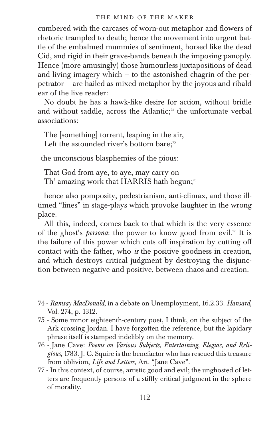cumbered with the carcases of worn-out metaphor and flowers of rhetoric trampled to death; hence the movement into urgent battle of the embalmed mummies of sentiment, horsed like the dead Cid, and rigid in their grave-bands beneath the imposing panoply. Hence (more amusingly) those humourless juxtapositions of dead and living imagery which — to the astonished chagrin of the perpetrator — are hailed as mixed metaphor by the joyous and ribald ear of the live reader:

No doubt he has a hawk-like desire for action, without bridle and without saddle, across the Atlantic; $74$  the unfortunate verbal associations:

The [something] torrent, leaping in the air, Left the astounded river's bottom bare;<sup>75</sup>

the unconscious blasphemies of the pious:

That God from aye, to aye, may carry on Th' amazing work that HARRIS hath begun; $\pi$ 

hence also pomposity, pedestrianism, anti-climax, and those illtimed "lines" in stage-plays which provoke laughter in the wrong place.

All this, indeed, comes back to that which is the very essence of the ghost's *persona*: the power to know good from evil.<sup>77</sup> It is the failure of this power which cuts off inspiration by cutting off contact with the father, who *is* the positive goodness in creation, and which destroys critical judgment by destroying the disjunction between negative and positive, between chaos and creation.

<sup>74 -</sup> *Ramsay MacDonald*, in a debate on Unemployment, 16.2.33. *Hansard*, Vol. 274, p. 1312.

<sup>75 -</sup> Some minor eighteenth-century poet, I think, on the subject of the Ark crossing Jordan. I have forgotten the reference, but the lapidary phrase itself is stamped indelibly on the memory.

<sup>76 -</sup> Jane Cave: *Poems on Various Subjects, Entertaining, Elegiac, and Religious*, 1783. J. C. Squire is the benefactor who has rescued this treasure from oblivion, *Life and Letters*, Art. "Jane Cave".

<sup>77 -</sup> In this context, of course, artistic good and evil; the unghosted of letters are frequently persons of a stiffly critical judgment in the sphere of morality.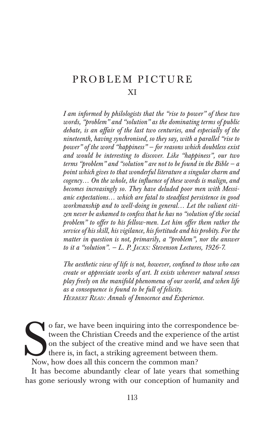# PROBLEM PICTURE XI

*I am informed by philologists that the "rise to power" of these two words, "problem" and "solution" as the dominating terms of public debate, is an affair of the last two centuries, and especially of the nineteenth, having synchronised, so they say, with a parallel "rise to power" of the word "happiness" — for reasons which doubtless exist and would be interesting to discover. Like "happiness", our two terms "problem" and "solution" are not to be found in the Bible — a point which gives to that wonderful literature a singular charm and cogency… On the whole, the influence of these words is malign, and becomes increasingly so. They have deluded poor men with Messianic expectations… which are fatal to steadfast persistence in good workmanship and to well-doing in general… Let the valiant citizen never be ashamed to confess that he has no "solution of the social problem" to offer to his fellow-men. Let him offer them rather the service of his skill, his vigilance, his fortitude and his probity. For the matter in question is not, primarily, a "problem", nor the answer to it a "solution". — L. P. Jacks: Stevenson Lectures, 1926-7.*

*The aesthetic view of life is not, however, confined to those who can create or appreciate works of art. It exists wherever natural senses play freely on the manifold phenomena of our world, and when life as a consequence is found to be full of felicity. Herbert Read: Annals of Innocence and Experience.*

S<sub>Now,</sub>  $\blacktriangleright$  o far, we have been inquiring into the correspondence between the Christian Creeds and the experience of the artist on the subject of the creative mind and we have seen that there is, in fact, a striking agreement between them. Now, how does all this concern the common man?

It has become abundantly clear of late years that something has gone seriously wrong with our conception of humanity and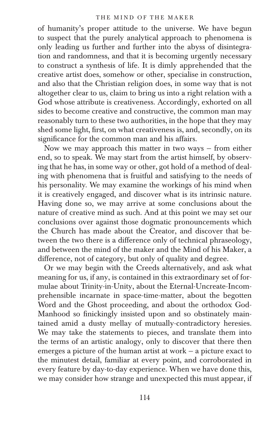of humanity's proper attitude to the universe. We have begun to suspect that the purely analytical approach to phenomena is only leading us further and further into the abyss of disintegration and randomness, and that it is becoming urgently necessary to construct a synthesis of life. It is dimly apprehended that the creative artist does, somehow or other, specialise in construction, and also that the Christian religion does, in some way that is not altogether clear to us, claim to bring us into a right relation with a God whose attribute is creativeness. Accordingly, exhorted on all sides to become creative and constructive, the common man may reasonably turn to these two authorities, in the hope that they may shed some light, first, on what creativeness is, and, secondly, on its significance for the common man and his affairs.

Now we may approach this matter in two ways — from either end, so to speak. We may start from the artist himself, by observing that he has, in some way or other, got hold of a method of dealing with phenomena that is fruitful and satisfying to the needs of his personality. We may examine the workings of his mind when it is creatively engaged, and discover what is its intrinsic nature. Having done so, we may arrive at some conclusions about the nature of creative mind as such. And at this point we may set our conclusions over against those dogmatic pronouncements which the Church has made about the Creator, and discover that between the two there is a difference only of technical phraseology, and between the mind of the maker and the Mind of his Maker, a difference, not of category, but only of quality and degree.

Or we may begin with the Creeds alternatively, and ask what meaning for us, if any, is contained in this extraordinary set of formulae about Trinity-in-Unity, about the Eternal-Uncreate-Incomprehensible incarnate in space-time-matter, about the begotten Word and the Ghost proceeding, and about the orthodox God-Manhood so finickingly insisted upon and so obstinately maintained amid a dusty mellay of mutually-contradictory heresies. We may take the statements to pieces, and translate them into the terms of an artistic analogy, only to discover that there then emerges a picture of the human artist at work — a picture exact to the minutest detail, familiar at every point, and corroborated in every feature by day-to-day experience. When we have done this, we may consider how strange and unexpected this must appear, if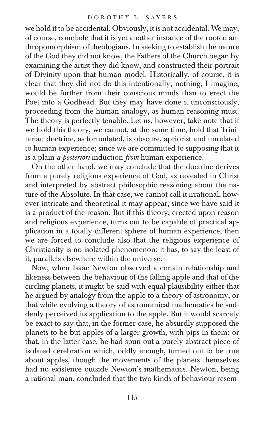# DOROTHY L. SAYERS

we hold it to be accidental. Obviously, it is not accidental. We may, of course, conclude that it is yet another instance of the rooted anthropomorphism of theologians. In seeking to establish the nature of the God they did not know, the Fathers of the Church began by examining the artist they did know, and constructed their portrait of Divinity upon that human model. Historically, of course, it is clear that they did not do this intentionally; nothing, I imagine, would be further from their conscious minds than to erect the Poet into a Godhead. But they may have done it unconsciously, proceeding from the human analogy, as human reasoning must. The theory is perfectly tenable. Let us, however, take note that if we hold this theory, we cannot, at the same time, hold that Trinitarian doctrine, as formulated, is obscure, apriorist and unrelated to human experience; since we are committed to supposing that it is a plain *a posteriori* induction *from* human experience.

On the other hand, we may conclude that the doctrine derives from a purely religious experience of God, as revealed in Christ and interpreted by abstract philosophic reasoning about the nature of the Absolute. In that case, we cannot call it irrational, however intricate and theoretical it may appear, since we have said it is a product of the reason. But if this theory, erected upon reason and religious experience, turns out to be capable of practical application in a totally different sphere of human experience, then we are forced to conclude also that the religious experience of Christianity is no isolated phenomenon; it has, to say the least of it, parallels elsewhere within the universe.

Now, when Isaac Newton observed a certain relationship and likeness between the behaviour of the falling apple and that of the circling planets, it might be said with equal plausibility either that he argued by analogy from the apple to a theory of astronomy, or that while evolving a theory of astronomical mathematics he suddenly perceived its application to the apple. But it would scarcely be exact to say that, in the former case, he absurdly supposed the planets to be but apples of a larger growth, with pips in them; or that, in the latter case, he had spun out a purely abstract piece of isolated cerebration which, oddly enough, turned out to be true about apples, though the movements of the planets themselves had no existence outside Newton's mathematics. Newton, being a rational man, concluded that the two kinds of behaviour resem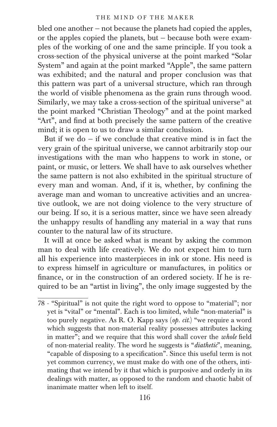bled one another — not because the planets had copied the apples, or the apples copied the planets, but — because both were examples of the working of one and the same principle. If you took a cross-section of the physical universe at the point marked "Solar System" and again at the point marked "Apple", the same pattern was exhibited; and the natural and proper conclusion was that this pattern was part of a universal structure, which ran through the world of visible phenomena as the grain runs through wood. Similarly, we may take a cross-section of the spiritual universe<sup>78</sup> at the point marked "Christian Theology" and at the point marked "Art", and find at both precisely the same pattern of the creative mind; it is open to us to draw a similar conclusion.

But if we  $d_0$  – if we conclude that creative mind is in fact the very grain of the spiritual universe, we cannot arbitrarily stop our investigations with the man who happens to work in stone, or paint, or music, or letters. We shall have to ask ourselves whether the same pattern is not also exhibited in the spiritual structure of every man and woman. And, if it is, whether, by confining the average man and woman to uncreative activities and an uncreative outlook, we are not doing violence to the very structure of our being. If so, it is a serious matter, since we have seen already the unhappy results of handling any material in a way that runs counter to the natural law of its structure.

It will at once be asked what is meant by asking the common man to deal with life creatively. We do not expect him to turn all his experience into masterpieces in ink or stone. His need is to express himself in agriculture or manufactures, in politics or finance, or in the construction of an ordered society. If he is required to be an "artist in living", the only image suggested by the

<sup>78 - &</sup>quot;Spiritual" is not quite the right word to oppose to "material"; nor yet is "vital" or "mental". Each is too limited, while "non-material" is too purely negative. As R. O. Kapp says (*op. cit*.) "we require a word which suggests that non-material reality possesses attributes lacking in matter"; and we require that this word shall cover the *whole* field of non-material reality. The word he suggests is "*diathetic*", meaning, "capable of disposing to a specification". Since this useful term is not yet common currency, we must make do with one of the others, intimating that we intend by it that which is purposive and orderly in its dealings with matter, as opposed to the random and chaotic habit of inanimate matter when left to itself.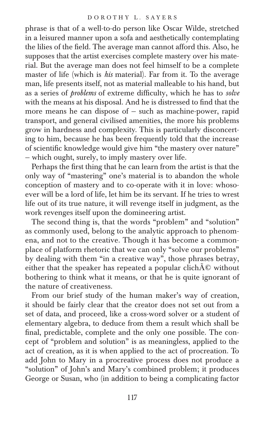# DOROTHY L. SAYERS

phrase is that of a well-to-do person like Oscar Wilde, stretched in a leisured manner upon a sofa and aesthetically contemplating the lilies of the field. The average man cannot afford this. Also, he supposes that the artist exercises complete mastery over his material. But the average man does not feel himself to be a complete master of life (which is *his* material). Far from it. To the average man, life presents itself, not as material malleable to his hand, but as a series of *problems* of extreme difficulty, which he has to *solve* with the means at his disposal. And he is distressed to find that the more means he can dispose of — such as machine-power, rapid transport, and general civilised amenities, the more his problems grow in hardness and complexity. This is particularly disconcerting to him, because he has been frequently told that the increase of scientific knowledge would give him "the mastery over nature" — which ought, surely, to imply mastery over life.

Perhaps the first thing that he can learn from the artist is that the only way of "mastering" one's material is to abandon the whole conception of mastery and to co-operate with it in love: whosoever will be a lord of life, let him be its servant. If he tries to wrest life out of its true nature, it will revenge itself in judgment, as the work revenges itself upon the domineering artist.

The second thing is, that the words "problem" and "solution" as commonly used, belong to the analytic approach to phenomena, and not to the creative. Though it has become a commonplace of platform rhetoric that we can only "solve our problems" by dealing with them "in a creative way", those phrases betray, either that the speaker has repeated a popular clich $\tilde{A}$ <sup>©</sup> without bothering to think what it means, or that he is quite ignorant of the nature of creativeness.

From our brief study of the human maker's way of creation, it should be fairly clear that the creator does not set out from a set of data, and proceed, like a cross-word solver or a student of elementary algebra, to deduce from them a result which shall be final, predictable, complete and the only one possible. The concept of "problem and solution" is as meaningless, applied to the act of creation, as it is when applied to the act of procreation. To add John to Mary in a procreative process does not produce a "solution" of John's and Mary's combined problem; it produces George or Susan, who (in addition to being a complicating factor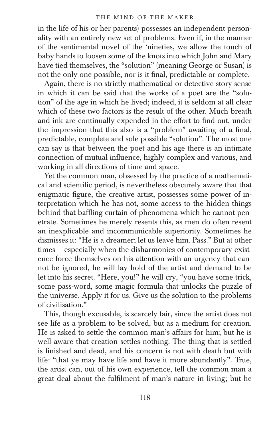in the life of his or her parents) possesses an independent personality with an entirely new set of problems. Even if, in the manner of the sentimental novel of the 'nineties, we allow the touch of baby hands to loosen some of the knots into which John and Mary have tied themselves, the "solution" (meaning George or Susan) is not the only one possible, nor is it final, predictable or complete.

Again, there is no strictly mathematical or detective-story sense in which it can be said that the works of a poet are the "solution" of the age in which he lived; indeed, it is seldom at all clear which of these two factors is the result of the other. Much breath and ink are continually expended in the effort to find out, under the impression that this also is a "problem" awaiting of a final, predictable, complete and sole possible "solution". The most one can say is that between the poet and his age there is an intimate connection of mutual influence, highly complex and various, and working in all directions of time and space.

Yet the common man, obsessed by the practice of a mathematical and scientific period, is nevertheless obscurely aware that that enigmatic figure, the creative artist, possesses some power of interpretation which he has not, some access to the hidden things behind that baffling curtain of phenomena which he cannot penetrate. Sometimes he merely resents this, as men do often resent an inexplicable and incommunicable superiority. Sometimes he dismisses it: "He is a dreamer; let us leave him. Pass." But at other times — especially when the disharmonies of contemporary existence force themselves on his attention with an urgency that cannot be ignored, he will lay hold of the artist and demand to be let into his secret. "Here, you!" he will cry, "you have some trick, some pass-word, some magic formula that unlocks the puzzle of the universe. Apply it for us. Give us the solution to the problems of civilisation."

This, though excusable, is scarcely fair, since the artist does not see life as a problem to be solved, but as a medium for creation. He is asked to settle the common man's affairs for him; but he is well aware that creation settles nothing. The thing that is settled is finished and dead, and his concern is not with death but with life: "that ye may have life and have it more abundantly". True, the artist can, out of his own experience, tell the common man a great deal about the fulfilment of man's nature in living; but he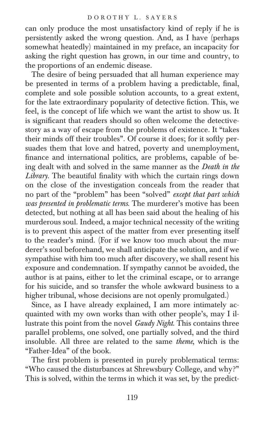can only produce the most unsatisfactory kind of reply if he is persistently asked the wrong question. And, as I have (perhaps somewhat heatedly) maintained in my preface, an incapacity for asking the right question has grown, in our time and country, to the proportions of an endemic disease.

The desire of being persuaded that all human experience may be presented in terms of a problem having a predictable, final, complete and sole possible solution accounts, to a great extent, for the late extraordinary popularity of detective fiction. This, we feel, is the concept of life which we want the artist to show us. It is significant that readers should so often welcome the detectivestory as a way of escape from the problems of existence. It "takes their minds off their troubles". Of course it does; for it softly persuades them that love and hatred, poverty and unemployment, finance and international politics, are problems, capable of being dealt with and solved in the same manner as the *Death in the Library*. The beautiful finality with which the curtain rings down on the close of the investigation conceals from the reader that no part of the "problem" has been "solved" *except that part which was presented in problematic terms*. The murderer's motive has been detected, but nothing at all has been said about the healing of his murderous soul. Indeed, a major technical necessity of the writing is to prevent this aspect of the matter from ever presenting itself to the reader's mind. (For if we know too much about the murderer's soul beforehand, we shall anticipate the solution, and if we sympathise with him too much after discovery, we shall resent his exposure and condemnation. If sympathy cannot be avoided, the author is at pains, either to let the criminal escape, or to arrange for his suicide, and so transfer the whole awkward business to a higher tribunal, whose decisions are not openly promulgated.)

Since, as I have already explained, I am more intimately acquainted with my own works than with other people's, may I illustrate this point from the novel *Gaudy Night*. This contains three parallel problems, one solved, one partially solved, and the third insoluble. All three are related to the same *theme*, which is the "Father-Idea" of the book.

The first problem is presented in purely problematical terms: "Who caused the disturbances at Shrewsbury College, and why?" This is solved, within the terms in which it was set, by the predict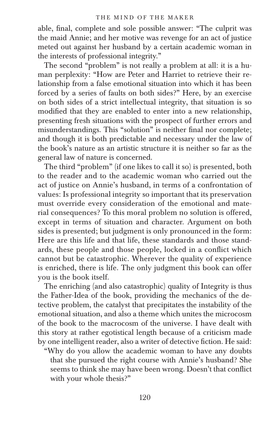able, final, complete and sole possible answer: "The culprit was the maid Annie; and her motive was revenge for an act of justice meted out against her husband by a certain academic woman in the interests of professional integrity."

The second "problem" is not really a problem at all: it is a human perplexity: "How are Peter and Harriet to retrieve their relationship from a false emotional situation into which it has been forced by a series of faults on both sides?" Here, by an exercise on both sides of a strict intellectual integrity, that situation is so modified that they are enabled to enter into a new relationship, presenting fresh situations with the prospect of further errors and misunderstandings. This "solution" is neither final nor complete; and though it is both predictable and necessary under the law of the book's nature as an artistic structure it is neither so far as the general law of nature is concerned.

The third "problem" (if one likes to call it so) is presented, both to the reader and to the academic woman who carried out the act of justice on Annie's husband, in terms of a confrontation of values: Is professional integrity so important that its preservation must override every consideration of the emotional and material consequences? To this moral problem no solution is offered, except in terms of situation and character. Argument on both sides is presented; but judgment is only pronounced in the form: Here are this life and that life, these standards and those standards, these people and those people, locked in a conflict which cannot but be catastrophic. Wherever the quality of experience is enriched, there is life. The only judgment this book can offer you is the book itself.

The enriching (and also catastrophic) quality of Integrity is thus the Father-Idea of the book, providing the mechanics of the detective problem, the catalyst that precipitates the instability of the emotional situation, and also a theme which unites the microcosm of the book to the macrocosm of the universe. I have dealt with this story at rather egotistical length because of a criticism made by one intelligent reader, also a writer of detective fiction. He said:

"Why do you allow the academic woman to have any doubts that she pursued the right course with Annie's husband? She seems to think she may have been wrong. Doesn't that conflict with your whole thesis?"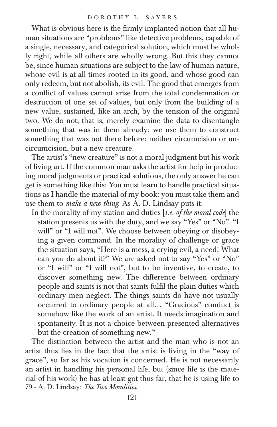What is obvious here is the firmly implanted notion that all human situations are "problems" like detective problems, capable of a single, necessary, and categorical solution, which must be wholly right, while all others are wholly wrong. But this they cannot be, since human situations are subject to the law of human nature, whose evil is at all times rooted in its good, and whose good can only redeem, but not abolish, its evil. The good that emerges from a conflict of values cannot arise from the total condemnation or destruction of one set of values, but only from the building of a new value, sustained, like an arch, by the tension of the original two. We do not, that is, merely examine the data to disentangle something that was in them already: we use them to construct something that was not there before: neither circumcision or uncircumcision, but a new creature.

The artist's "new creature" is not a moral judgment but his work of living art. If the common man asks the artist for help in producing moral judgments or practical solutions, the only answer he can get is something like this: You must learn to handle practical situations as I handle the material of my book: you must take them and use them to *make a new thing*. As A. D. Lindsay puts it:

In the morality of my station and duties [*i.e. of the moral code*] the station presents us with the duty, and we say "Yes" or "No". "I will" or "I will not". We choose between obeying or disobeying a given command. In the morality of challenge or grace the situation says, "Here is a mess, a crying evil, a need! What can you do about it?" We are asked not to say "Yes" or "No" or "I will" or "I will not", but to be inventive, to create, to discover something new. The difference between ordinary people and saints is not that saints fulfil the plain duties which ordinary men neglect. The things saints do have not usually occurred to ordinary people at all… "Gracious" conduct is somehow like the work of an artist. It needs imagination and spontaneity. It is not a choice between presented alternatives but the creation of something new.<sup>79</sup>

The distinction between the artist and the man who is not an artist thus lies in the fact that the artist is living in the "way of grace", so far as his vocation is concerned. He is not necessarily an artist in handling his personal life, but (since life is the material of his work) he has at least got thus far, that he is using life to 79 - A. D. Lindsay: *The Two Moralities*.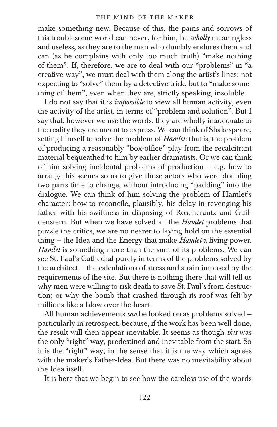make something new. Because of this, the pains and sorrows of this troublesome world can never, for him, be *wholly* meaningless and useless, as they are to the man who dumbly endures them and can (as he complains with only too much truth) "make nothing of them". If, therefore, we are to deal with our "problems" in "a creative way", we must deal with them along the artist's lines: not expecting to "solve" them by a detective trick, but to "make something of them", even when they are, strictly speaking, insoluble.

I do not say that it is *impossible* to view all human activity, even the activity of the artist, in terms of "problem and solution". But I say that, however we use the words, they are wholly inadequate to the reality they are meant to express. We can think of Shakespeare, setting himself to solve the problem of *Hamlet*: that is, the problem of producing a reasonably "box-office" play from the recalcitrant material bequeathed to him by earlier dramatists. Or we can think of him solving incidental problems of production — e.g. how to arrange his scenes so as to give those actors who were doubling two parts time to change, without introducing "padding" into the dialogue. We can think of him solving the problem of Hamlet's character: how to reconcile, plausibly, his delay in revenging his father with his swiftness in disposing of Rosencrantz and Guildenstern. But when we have solved all the *Hamlet* problems that puzzle the critics, we are no nearer to laying hold on the essential thing — the Idea and the Energy that make *Hamlet* a living power. *Hamlet* is something more than the sum of its problems. We can see St. Paul's Cathedral purely in terms of the problems solved by the architect — the calculations of stress and strain imposed by the requirements of the site. But there is nothing there that will tell us why men were willing to risk death to save St. Paul's from destruction; or why the bomb that crashed through its roof was felt by millions like a blow over the heart.

All human achievements *can* be looked on as problems solved particularly in retrospect, because, if the work has been well done, the result will then appear inevitable. It seems as though *this* was the only "right" way, predestined and inevitable from the start. So it is the "right" way, in the sense that it is the way which agrees with the maker's Father-Idea. But there was no inevitability about the Idea itself.

It is here that we begin to see how the careless use of the words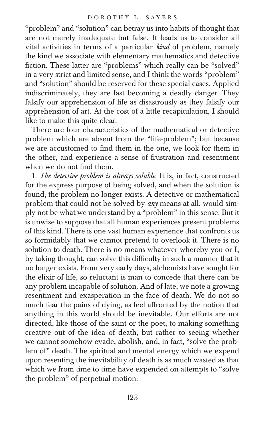# DOROTHY L. SAYERS

"problem" and "solution" can betray us into habits of thought that are not merely inadequate but false. It leads us to consider all vital activities in terms of a particular *kind* of problem, namely the kind we associate with elementary mathematics and detective fiction. These latter are "problems" which really can be "solved" in a very strict and limited sense, and I think the words "problem" and "solution" should be reserved for these special cases. Applied indiscriminately, they are fast becoming a deadly danger. They falsify our apprehension of life as disastrously as they falsify our apprehension of art. At the cost of a little recapitulation, I should like to make this quite clear.

There are four characteristics of the mathematical or detective problem which are absent from the "life-problem"; but because we are accustomed to find them in the one, we look for them in the other, and experience a sense of frustration and resentment when we do not find them.

1. *The detective problem is always soluble*. It is, in fact, constructed for the express purpose of being solved, and when the solution is found, the problem no longer exists. A detective or mathematical problem that could not be solved by *any* means at all, would simply not be what we understand by a "problem" in this sense. But it is unwise to suppose that all human experiences present problems of this kind. There is one vast human experience that confronts us so formidably that we cannot pretend to overlook it. There is no solution to death. There is no means whatever whereby you or I, by taking thought, can solve this difficulty in such a manner that it no longer exists. From very early days, alchemists have sought for the elixir of life, so reluctant is man to concede that there can be any problem incapable of solution. And of late, we note a growing resentment and exasperation in the face of death. We do not so much fear the pains of dying, as feel affronted by the notion that anything in this world should be inevitable. Our efforts are not directed, like those of the saint or the poet, to making something creative out of the idea of death, but rather to seeing whether we cannot somehow evade, abolish, and, in fact, "solve the problem of" death. The spiritual and mental energy which we expend upon resenting the inevitability of death is as much wasted as that which we from time to time have expended on attempts to "solve the problem" of perpetual motion.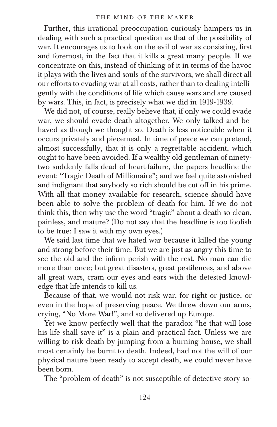Further, this irrational preoccupation curiously hampers us in dealing with such a practical question as that of the possibility of war. It encourages us to look on the evil of war as consisting, first and foremost, in the fact that it kills a great many people. If we concentrate on this, instead of thinking of it in terms of the havoc it plays with the lives and souls of the survivors, we shall direct all our efforts to evading war at all costs, rather than to dealing intelligently with the conditions of life which cause wars and are caused by wars. This, in fact, is precisely what we did in 1919-1939.

We did not, of course, really believe that, if only we could evade war, we should evade death altogether. We only talked and behaved as though we thought so. Death is less noticeable when it occurs privately and piecemeal. In time of peace we can pretend, almost successfully, that it is only a regrettable accident, which ought to have been avoided. If a wealthy old gentleman of ninetytwo suddenly falls dead of heart-failure, the papers headline the event: "Tragic Death of Millionaire"; and we feel quite astonished and indignant that anybody so rich should be cut off in his prime. With all that money available for research, science should have been able to solve the problem of death for him. If we do not think this, then why use the word "tragic" about a death so clean, painless, and mature? (Do not say that the headline is too foolish to be true: I saw it with my own eyes.)

We said last time that we hated war because it killed the young and strong before their time. But we are just as angry this time to see the old and the infirm perish with the rest. No man can die more than once; but great disasters, great pestilences, and above all great wars, cram our eyes and ears with the detested knowledge that life intends to kill us.

Because of that, we would not risk war, for right or justice, or even in the hope of preserving peace. We threw down our arms, crying, "No More War!", and so delivered up Europe.

Yet we know perfectly well that the paradox "he that will lose his life shall save it" is a plain and practical fact. Unless we are willing to risk death by jumping from a burning house, we shall most certainly be burnt to death. Indeed, had not the will of our physical nature been ready to accept death, we could never have been born.

The "problem of death" is not susceptible of detective-story so-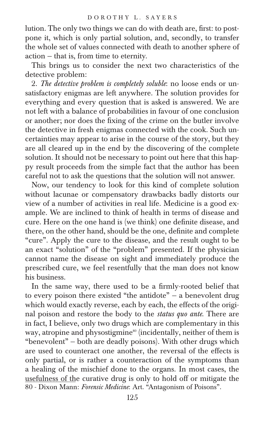lution. The only two things we can do with death are, first: to postpone it, which is only partial solution, and, secondly, to transfer the whole set of values connected with death to another sphere of action — that is, from time to eternity.

This brings us to consider the next two characteristics of the detective problem:

2. *The detective problem is completely soluble*: no loose ends or unsatisfactory enigmas are left anywhere. The solution provides for everything and every question that is asked is answered. We are not left with a balance of probabilities in favour of one conclusion or another; nor does the fixing of the crime on the butler involve the detective in fresh enigmas connected with the cook. Such uncertainties may appear to arise in the course of the story, but they are all cleared up in the end by the discovering of the complete solution. It should not be necessary to point out here that this happy result proceeds from the simple fact that the author has been careful not to ask the questions that the solution will not answer.

Now, our tendency to look for this kind of complete solution without lacunae or compensatory drawbacks badly distorts our view of a number of activities in real life. Medicine is a good example. We are inclined to think of health in terms of disease and cure. Here on the one hand is (we think) one definite disease, and there, on the other hand, should be the one, definite and complete "cure". Apply the cure to the disease, and the result ought to be an exact "solution" of the "problem" presented. If the physician cannot name the disease on sight and immediately produce the prescribed cure, we feel resentfully that the man does not know his business.

In the same way, there used to be a firmly-rooted belief that to every poison there existed "the antidote" — a benevolent drug which would exactly reverse, each by each, the effects of the original poison and restore the body to the *status quo ante*. There are in fact, I believe, only two drugs which are complementary in this way, atropine and physostigmine<sup>80</sup> (incidentally, neither of them is "benevolent" — both are deadly poisons). With other drugs which are used to counteract one another, the reversal of the effects is only partial, or is rather a counteraction of the symptoms than a healing of the mischief done to the organs. In most cases, the usefulness of the curative drug is only to hold off or mitigate the 80 - Dixon Mann: *Forensic Medicine*: Art. "Antagonism of Poisons".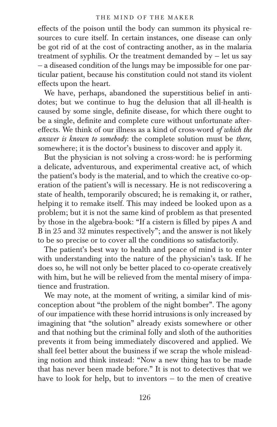effects of the poison until the body can summon its physical resources to cure itself. In certain instances, one disease can only be got rid of at the cost of contracting another, as in the malaria treatment of syphilis. Or the treatment demanded by — let us say — a diseased condition of the lungs may be impossible for one particular patient, because his constitution could not stand its violent effects upon the heart.

We have, perhaps, abandoned the superstitious belief in antidotes; but we continue to hug the delusion that all ill-health is caused by some single, definite disease, for which there ought to be a single, definite and complete cure without unfortunate aftereffects. We think of our illness as a kind of cross-word *of which the answer is known to somebody*: the complete solution must be *there*, somewhere; it is the doctor's business to discover and apply it.

But the physician is not solving a cross-word: he is performing a delicate, adventurous, and experimental creative act, of which the patient's body is the material, and to which the creative co-operation of the patient's will is necessary. He is not rediscovering a state of health, temporarily obscured; he is remaking it, or rather, helping it to remake itself. This may indeed be looked upon as a problem; but it is not the same kind of problem as that presented by those in the algebra-book: "If a cistern is filled by pipes A and B in 25 and 32 minutes respectively"; and the answer is not likely to be so precise or to cover all the conditions so satisfactorily.

The patient's best way to health and peace of mind is to enter with understanding into the nature of the physician's task. If he does so, he will not only be better placed to co-operate creatively with him, but he will be relieved from the mental misery of impatience and frustration.

We may note, at the moment of writing, a similar kind of misconception about "the problem of the night bomber". The agony of our impatience with these horrid intrusions is only increased by imagining that "the solution" already exists somewhere or other and that nothing but the criminal folly and sloth of the authorities prevents it from being immediately discovered and applied. We shall feel better about the business if we scrap the whole misleading notion and think instead: "Now a new thing has to be made that has never been made before." It is not to detectives that we have to look for help, but to inventors — to the men of creative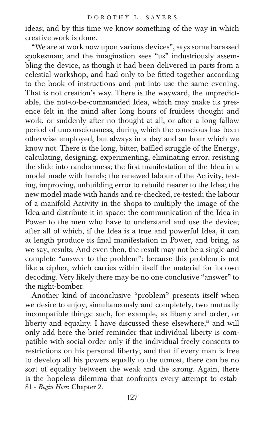ideas; and by this time we know something of the way in which creative work is done.

"We are at work now upon various devices", says some harassed spokesman; and the imagination sees "us" industriously assembling the device, as though it had been delivered in parts from a celestial workshop, and had only to be fitted together according to the book of instructions and put into use the same evening. That is not creation's way. There is the wayward, the unpredictable, the not-to-be-commanded Idea, which may make its presence felt in the mind after long hours of fruitless thought and work, or suddenly after no thought at all, or after a long fallow period of unconsciousness, during which the conscious has been otherwise employed, but always in a day and an hour which we know not. There is the long, bitter, baffled struggle of the Energy, calculating, designing, experimenting, eliminating error, resisting the slide into randomness; the first manifestation of the Idea in a model made with hands; the renewed labour of the Activity, testing, improving, unbuilding error to rebuild nearer to the Idea; the new model made with hands and re-checked, re-tested; the labour of a manifold Activity in the shops to multiply the image of the Idea and distribute it in space; the communication of the Idea in Power to the men who have to understand and use the device; after all of which, if the Idea is a true and powerful Idea, it can at length produce its final manifestation in Power, and bring, as we say, results. And even then, the result may not be a single and complete "answer to the problem"; because this problem is not like a cipher, which carries within itself the material for its own decoding. Very likely there may be no one conclusive "answer" to the night-bomber.

Another kind of inconclusive "problem" presents itself when we desire to enjoy, simultaneously and completely, two mutually incompatible things: such, for example, as liberty and order, or liberty and equality. I have discussed these elsewhere,<sup>81</sup> and will only add here the brief reminder that individual liberty is compatible with social order only if the individual freely consents to restrictions on his personal liberty; and that if every man is free to develop all his powers equally to the utmost, there can be no sort of equality between the weak and the strong. Again, there is the hopeless dilemma that confronts every attempt to estab-81 - *Begin Here*: Chapter 2.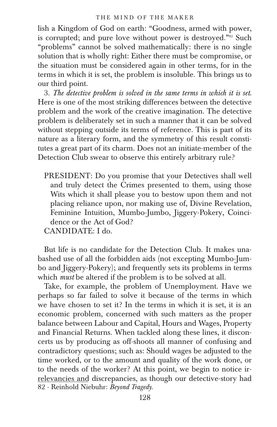lish a Kingdom of God on earth: "Goodness, armed with power, is corrupted; and pure love without power is destroyed."<sup>82</sup> Such "problems" cannot be solved mathematically: there is no single solution that is wholly right: Either there must be compromise, or the situation must be considered again in other terms, for in the terms in which it is set, the problem is insoluble. This brings us to our third point.

3. *The detective problem is solved in the same terms in which it is set*. Here is one of the most striking differences between the detective problem and the work of the creative imagination. The detective problem is deliberately set in such a manner that it can be solved without stepping outside its terms of reference. This is part of its nature as a literary form, and the symmetry of this result constitutes a great part of its charm. Does not an initiate-member of the Detection Club swear to observe this entirely arbitrary rule?

PRESIDENT: Do you promise that your Detectives shall well and truly detect the Crimes presented to them, using those Wits which it shall please you to bestow upon them and not placing reliance upon, nor making use of, Divine Revelation, Feminine Intuition, Mumbo-Jumbo, Jiggery-Pokery, Coincidence or the Act of God? CANDIDATE: I do.

But life is no candidate for the Detection Club. It makes unabashed use of all the forbidden aids (not excepting Mumbo-Jumbo and Jiggery-Pokery); and frequently sets its problems in terms which *must* be altered if the problem is to be solved at all.

Take, for example, the problem of Unemployment. Have we perhaps so far failed to solve it because of the terms in which we have chosen to set it? In the terms in which it is set, it is an economic problem, concerned with such matters as the proper balance between Labour and Capital, Hours and Wages, Property and Financial Returns. When tackled along these lines, it disconcerts us by producing as off-shoots all manner of confusing and contradictory questions; such as: Should wages be adjusted to the time worked, or to the amount and quality of the work done, or to the needs of the worker? At this point, we begin to notice irrelevancies and discrepancies, as though our detective-story had 82 - Reinhold Niebuhr: *Beyond Tragedy*.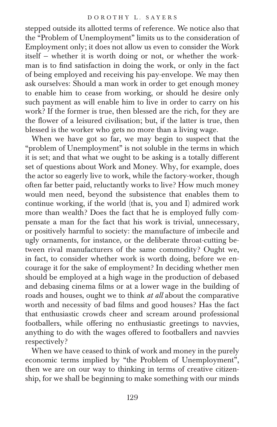stepped outside its allotted terms of reference. We notice also that the "Problem of Unemployment" limits us to the consideration of Employment only; it does not allow us even to consider the Work itself — whether it is worth doing or not, or whether the workman is to find satisfaction in doing the work, or only in the fact of being employed and receiving his pay-envelope. We may then ask ourselves: Should a man work in order to get enough money to enable him to cease from working, or should he desire only such payment as will enable him to live in order to carry on his work? If the former is true, then blessed are the rich, for they are the flower of a leisured civilisation; but, if the latter is true, then blessed is the worker who gets no more than a living wage.

When we have got so far, we may begin to suspect that the "problem of Unemployment" is not soluble in the terms in which it is set; and that what we ought to be asking is a totally different set of questions about Work and Money. Why, for example, does the actor so eagerly live to work, while the factory-worker, though often far better paid, reluctantly works to live? How much money would men need, beyond the subsistence that enables them to continue working, if the world (that is, you and I) admired work more than wealth? Does the fact that he is employed fully compensate a man for the fact that his work is trivial, unnecessary, or positively harmful to society: the manufacture of imbecile and ugly ornaments, for instance, or the deliberate throat-cutting between rival manufacturers of the same commodity? Ought we, in fact, to consider whether work is worth doing, before we encourage it for the sake of employment? In deciding whether men should be employed at a high wage in the production of debased and debasing cinema films or at a lower wage in the building of roads and houses, ought we to think *at all* about the comparative worth and necessity of bad films and good houses? Has the fact that enthusiastic crowds cheer and scream around professional footballers, while offering no enthusiastic greetings to navvies, anything to do with the wages offered to footballers and navvies respectively?

When we have ceased to think of work and money in the purely economic terms implied by "the Problem of Unemployment", then we are on our way to thinking in terms of creative citizenship, for we shall be beginning to make something with our minds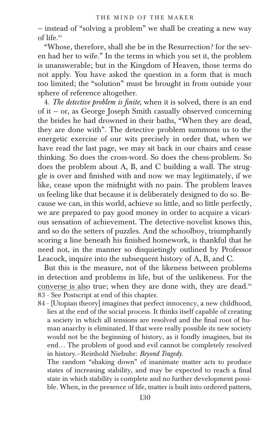— instead of "solving a problem" we shall be creating a new way of life.83

"Whose, therefore, shall she be in the Resurrection? for the seven had her to wife." In the terms in which you set it, the problem is unanswerable; but in the Kingdom of Heaven, those terms do not apply. You have asked the question in a form that is much too limited; the "solution" must be brought in from outside your sphere of reference altogether.

4. *The detective problem is finite*; when it is solved, there is an end of it — or, as George Joseph Smith casually observed concerning the brides he had drowned in their baths, "When they are dead, they are done with". The detective problem summons us to the energetic exercise of our wits precisely in order that, when we have read the last page, we may sit back in our chairs and cease thinking. So does the cross-word. So does the chess-problem. So does the problem about A, B, and C building a wall. The struggle is over and finished with and now we may legitimately, if we like, cease upon the midnight with no pain. The problem leaves us feeling like that because it is deliberately designed to do so. Because we can, in this world, achieve so little, and so little perfectly, we are prepared to pay good money in order to acquire a vicarious sensation of achievement. The detective-novelist knows this, and so do the setters of puzzles. And the schoolboy, triumphantly scoring a line beneath his finished homework, is thankful that he need not, in the manner so disquietingly outlined by Professor Leacock, inquire into the subsequent history of A, B, and C.

But this is the measure, not of the likeness between problems in detection and problems in life, but of the unlikeness. For the converse is also true; when they are done with, they are dead.<sup>84</sup> 83 - See Postscript at end of this chapter.

84 - [Utopian theory] imagines that perfect innocency, a new childhood, lies at the end of the social process. It thinks itself capable of creating a society in which all tensions are resolved and the final root of human anarchy is eliminated. If that were really possible its new society would not be the beginning of history, as it fondly imagines, but its end… The problem of good and evil cannot be completely resolved in history.—Reinhold Niebuhr: *Beyond Tragedy*.

The random "shaking down" of inanimate matter acts to produce states of increasing stability, and may be expected to reach a final state in which stability is complete and no further development possible. When, in the presence of life, matter is built into ordered pattern,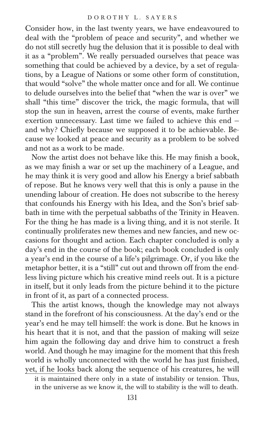Consider how, in the last twenty years, we have endeavoured to deal with the "problem of peace and security", and whether we do not still secretly hug the delusion that it is possible to deal with it as a "problem". We really persuaded ourselves that peace was something that could be achieved by a device, by a set of regulations, by a League of Nations or some other form of constitution, that would "solve" the whole matter once and for all. We continue to delude ourselves into the belief that "when the war is over" we shall "this time" discover the trick, the magic formula, that will stop the sun in heaven, arrest the course of events, make further exertion unnecessary. Last time we failed to achieve this end and why? Chiefly because we supposed it to be achievable. Because we looked at peace and security as a problem to be solved and not as a work to be made.

Now the artist does not behave like this. He may finish a book, as we may finish a war or set up the machinery of a League, and he may think it is very good and allow his Energy a brief sabbath of repose. But he knows very well that this is only a pause in the unending labour of creation. He does not subscribe to the heresy that confounds his Energy with his Idea, and the Son's brief sabbath in time with the perpetual sabbaths of the Trinity in Heaven. For the thing he has made is a living thing, and it is not sterile. It continually proliferates new themes and new fancies, and new occasions for thought and action. Each chapter concluded is only a day's end in the course of the book; each book concluded is only a year's end in the course of a life's pilgrimage. Or, if you like the metaphor better, it is a "still" cut out and thrown off from the endless living picture which his creative mind reels out. It is a picture in itself, but it only leads from the picture behind it to the picture in front of it, as part of a connected process.

This the artist knows, though the knowledge may not always stand in the forefront of his consciousness. At the day's end or the year's end he may tell himself: the work is done. But he knows in his heart that it is not, and that the passion of making will seize him again the following day and drive him to construct a fresh world. And though he may imagine for the moment that this fresh world is wholly unconnected with the world he has just finished, yet, if he looks back along the sequence of his creatures, he will

it is maintained there only in a state of instability or tension. Thus, in the universe as we know it, the will to stability is the will to death.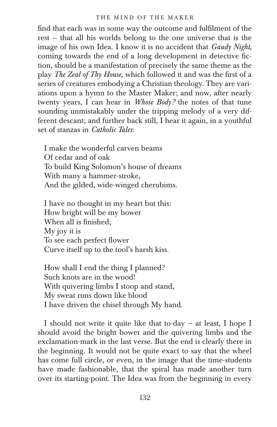find that each was in some way the outcome and fulfilment of the rest — that all his worlds belong to the one universe that is the image of his own Idea. I know it is no accident that *Gaudy Night*, coming towards the end of a long development in detective fiction, should be a manifestation of precisely the same theme as the play *The Zeal of Thy House*, which followed it and was the first of a series of creatures embodying a Christian theology. They are variations upon a hymn to the Master Maker; and now, after nearly twenty years, I can hear in *Whose Body?* the notes of that tune sounding unmistakably under the tripping melody of a very different descant; and further back still, I hear it again, in a youthful set of stanzas in *Catholic Tales*:

I make the wonderful carven beams Of cedar and of oak To build King Solomon's house of dreams With many a hammer-stroke, And the gilded, wide-winged cherubims.

I have no thought in my heart but this: How bright will be my bower When all is finished; My joy it is To see each perfect flower Curve itself up to the tool's harsh kiss.

How shall I end the thing I planned? Such knots are in the wood! With quivering limbs I stoop and stand, My sweat runs down like blood I have driven the chisel through My hand.

I should not write it quite like that to-day — at least, I hope I should avoid the bright bower and the quivering limbs and the exclamation-mark in the last verse. But the end is clearly there in the beginning. It would not be quite exact to say that the wheel has come full circle, or even, in the image that the time-students have made fashionable, that the spiral has made another turn over its starting-point. The Idea was from the beginning in every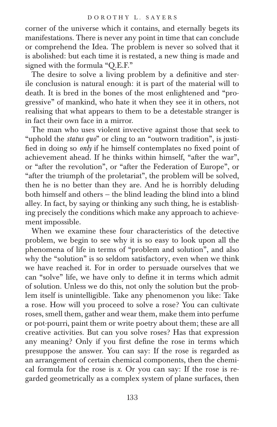corner of the universe which it contains, and eternally begets its manifestations. There is never any point in time that can conclude or comprehend the Idea. The problem is never so solved that it is abolished: but each time it is restated, a new thing is made and signed with the formula "Q.E.F."

The desire to solve a living problem by a definitive and sterile conclusion is natural enough: it is part of the material will to death. It is bred in the bones of the most enlightened and "progressive" of mankind, who hate it when they see it in others, not realising that what appears to them to be a detestable stranger is in fact their own face in a mirror.

The man who uses violent invective against those that seek to "uphold the *status quo*" or cling to an "outworn tradition", is justified in doing so *only* if he himself contemplates no fixed point of achievement ahead. If he thinks within himself, "after the war", or "after the revolution", or "after the Federation of Europe", or "after the triumph of the proletariat", the problem will be solved, then he is no better than they are. And he is horribly deluding both himself and others — the blind leading the blind into a blind alley. In fact, by saying or thinking any such thing, he is establishing precisely the conditions which make any approach to achievement impossible.

When we examine these four characteristics of the detective problem, we begin to see why it is so easy to look upon all the phenomena of life in terms of "problem and solution", and also why the "solution" is so seldom satisfactory, even when we think we have reached it. For in order to persuade ourselves that we can "solve" life, we have only to define it in terms which admit of solution. Unless we do this, not only the solution but the problem itself is unintelligible. Take any phenomenon you like: Take a rose. How will you proceed to solve a rose? You can cultivate roses, smell them, gather and wear them, make them into perfume or pot-pourri, paint them or write poetry about them; these are all creative activities. But can you solve roses? Has that expression any meaning? Only if you first define the rose in terms which presuppose the answer. You can say: If the rose is regarded as an arrangement of certain chemical components, then the chemical formula for the rose is *x*. Or you can say: If the rose is regarded geometrically as a complex system of plane surfaces, then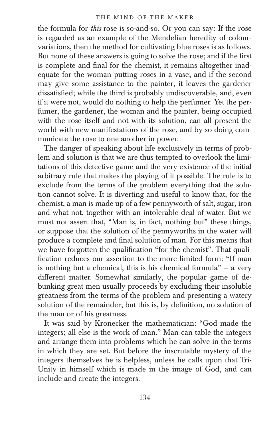the formula for *this* rose is so-and-so. Or you can say: If the rose is regarded as an example of the Mendelian heredity of colourvariations, then the method for cultivating blue roses is as follows. But none of these answers is going to solve the rose; and if the first is complete and final for the chemist, it remains altogether inadequate for the woman putting roses in a vase; and if the second may give some assistance to the painter, it leaves the gardener dissatisfied; while the third is probably undiscoverable, and, even if it were not, would do nothing to help the perfumer. Yet the perfumer, the gardener, the woman and the painter, being occupied with the rose itself and not with its solution, can all present the world with new manifestations of the rose, and by so doing communicate the rose to one another in power.

The danger of speaking about life exclusively in terms of problem and solution is that we are thus tempted to overlook the limitations of this detective game and the very existence of the initial arbitrary rule that makes the playing of it possible. The rule is to exclude from the terms of the problem everything that the solution cannot solve. It is diverting and useful to know that, for the chemist, a man is made up of a few pennyworth of salt, sugar, iron and what not, together with an intolerable deal of water. But we must not assert that, "Man is, in fact, nothing but" these things, or suppose that the solution of the pennyworths in the water will produce a complete and final solution of man. For this means that we have forgotten the qualification "for the chemist". That qualification reduces our assertion to the more limited form: "If man is nothing but a chemical, this is his chemical formula"  $-$  a very different matter. Somewhat similarly, the popular game of debunking great men usually proceeds by excluding their insoluble greatness from the terms of the problem and presenting a watery solution of the remainder; but this is, by definition, no solution of the man or of his greatness.

It was said by Kronecker the mathematician: "God made the integers; all else is the work of man." Man can table the integers and arrange them into problems which he can solve in the terms in which they are set. But before the inscrutable mystery of the integers themselves he is helpless, unless he calls upon that Tri-Unity in himself which is made in the image of God, and can include and create the integers.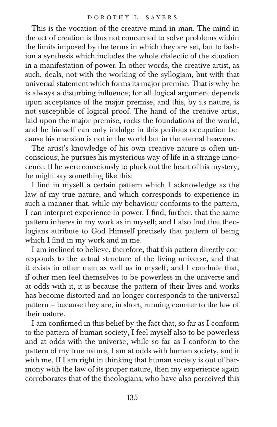This is the vocation of the creative mind in man. The mind in the act of creation is thus not concerned to solve problems within the limits imposed by the terms in which they are set, but to fashion a synthesis which includes the whole dialectic of the situation in a manifestation of power. In other words, the creative artist, as such, deals, not with the working of the syllogism, but with that universal statement which forms its major premise. That is why he is always a disturbing influence; for all logical argument depends upon acceptance of the major premise, and this, by its nature, is not susceptible of logical proof. The hand of the creative artist, laid upon the major premise, rocks the foundations of the world; and he himself can only indulge in this perilous occupation because his mansion is not in the world but in the eternal heavens.

The artist's knowledge of his own creative nature is often unconscious; he pursues his mysterious way of life in a strange innocence. If he were consciously to pluck out the heart of his mystery, he might say something like this:

I find in myself a certain pattern which I acknowledge as the law of my true nature, and which corresponds to experience in such a manner that, while my behaviour conforms to the pattern, I can interpret experience in power. I find, further, that the same pattern inheres in my work as in myself; and I also find that theologians attribute to God Himself precisely that pattern of being which I find in my work and in me.

I am inclined to believe, therefore, that this pattern directly corresponds to the actual structure of the living universe, and that it exists in other men as well as in myself; and I conclude that, if other men feel themselves to be powerless in the universe and at odds with it, it is because the pattern of their lives and works has become distorted and no longer corresponds to the universal pattern — because they are, in short, running counter to the law of their nature.

I am confirmed in this belief by the fact that, so far as I conform to the pattern of human society, I feel myself also to be powerless and at odds with the universe; while so far as I conform to the pattern of my true nature, I am at odds with human society, and it with me. If I am right in thinking that human society is out of harmony with the law of its proper nature, then my experience again corroborates that of the theologians, who have also perceived this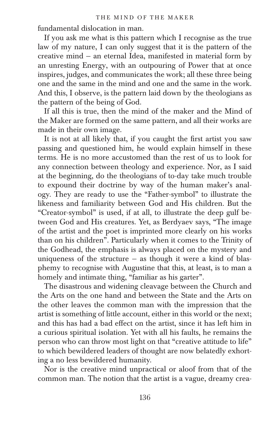fundamental dislocation in man.

If you ask me what is this pattern which I recognise as the true law of my nature, I can only suggest that it is the pattern of the creative mind — an eternal Idea, manifested in material form by an unresting Energy, with an outpouring of Power that at once inspires, judges, and communicates the work; all these three being one and the same in the mind and one and the same in the work. And this, I observe, is the pattern laid down by the theologians as the pattern of the being of God.

If all this is true, then the mind of the maker and the Mind of the Maker are formed on the same pattern, and all their works are made in their own image.

It is not at all likely that, if you caught the first artist you saw passing and questioned him, he would explain himself in these terms. He is no more accustomed than the rest of us to look for any connection between theology and experience. Nor, as I said at the beginning, do the theologians of to-day take much trouble to expound their doctrine by way of the human maker's analogy. They are ready to use the "Father-symbol" to illustrate the likeness and familiarity between God and His children. But the "Creator-symbol" is used, if at all, to illustrate the deep gulf between God and His creatures. Yet, as Berdyaev says, "The image of the artist and the poet is imprinted more clearly on his works than on his children". Particularly when it comes to the Trinity of the Godhead, the emphasis is always placed on the mystery and uniqueness of the structure  $-$  as though it were a kind of blasphemy to recognise with Augustine that this, at least, is to man a homely and intimate thing, "familiar as his garter".

The disastrous and widening cleavage between the Church and the Arts on the one hand and between the State and the Arts on the other leaves the common man with the impression that the artist is something of little account, either in this world or the next; and this has had a bad effect on the artist, since it has left him in a curious spiritual isolation. Yet with all his faults, he remains the person who can throw most light on that "creative attitude to life" to which bewildered leaders of thought are now belatedly exhorting a no less bewildered humanity.

Nor is the creative mind unpractical or aloof from that of the common man. The notion that the artist is a vague, dreamy crea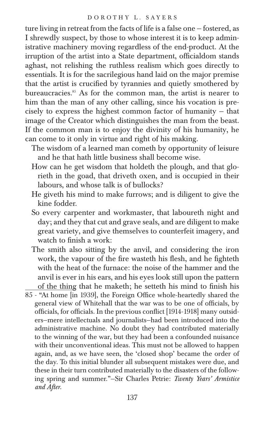ture living in retreat from the facts of life is a false one — fostered, as I shrewdly suspect, by those to whose interest it is to keep administrative machinery moving regardless of the end-product. At the irruption of the artist into a State department, officialdom stands aghast, not relishing the ruthless realism which goes directly to essentials. It is for the sacrilegious hand laid on the major premise that the artist is crucified by tyrannies and quietly smothered by bureaucracies.<sup>85</sup> As for the common man, the artist is nearer to him than the man of any other calling, since his vocation is precisely to express the highest common factor of humanity — that image of the Creator which distinguishes the man from the beast. If the common man is to enjoy the divinity of his humanity, he can come to it only in virtue and right of his making.

- The wisdom of a learned man cometh by opportunity of leisure and he that hath little business shall become wise.
- How can he get wisdom that holdeth the plough, and that glorieth in the goad, that driveth oxen, and is occupied in their labours, and whose talk is of bullocks?
- He giveth his mind to make furrows; and is diligent to give the kine fodder.
- So every carpenter and workmaster, that laboureth night and day; and they that cut and grave seals, and are diligent to make great variety, and give themselves to counterfeit imagery, and watch to finish a work:
- The smith also sitting by the anvil, and considering the iron work, the vapour of the fire wasteth his flesh, and he fighteth with the heat of the furnace: the noise of the hammer and the anvil is ever in his ears, and his eyes look still upon the pattern of the thing that he maketh; he setteth his mind to finish his
- 85 "At home [in 1939], the Foreign Office whole-heartedly shared the general view of Whitehall that the war was to be one of officials, by officials, for officials. In the previous conflict [1914-1918] many outsiders—mere intellectuals and journalists—had been introduced into the administrative machine. No doubt they had contributed materially to the winning of the war, but they had been a confounded nuisance with their unconventional ideas. This must not be allowed to happen again, and, as we have seen, the 'closed shop' became the order of the day. To this initial blunder all subsequent mistakes were due, and these in their turn contributed materially to the disasters of the following spring and summer."—Sir Charles Petrie: *Twenty Years' Armistice and After*.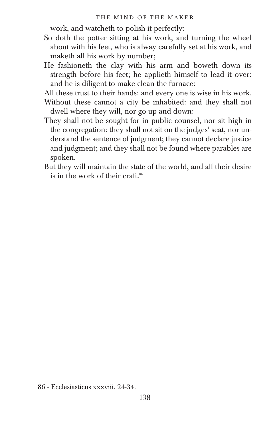#### THE MIND OF THE MAKER

work, and watcheth to polish it perfectly:

- So doth the potter sitting at his work, and turning the wheel about with his feet, who is alway carefully set at his work, and maketh all his work by number;
- He fashioneth the clay with his arm and boweth down its strength before his feet; he applieth himself to lead it over; and he is diligent to make clean the furnace:
- All these trust to their hands: and every one is wise in his work.
- Without these cannot a city be inhabited: and they shall not dwell where they will, nor go up and down:
- They shall not be sought for in public counsel, nor sit high in the congregation: they shall not sit on the judges' seat, nor understand the sentence of judgment; they cannot declare justice and judgment; and they shall not be found where parables are spoken.
- But they will maintain the state of the world, and all their desire is in the work of their craft.<sup>86</sup>

<sup>86 -</sup> Ecclesiasticus xxxviii. 24-34.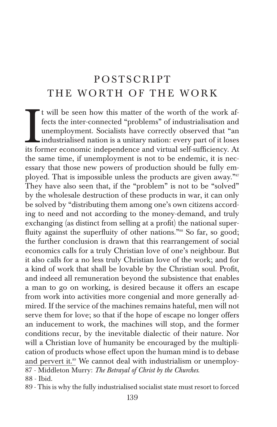# **POSTSCRIPT** THE WORTH OF THE WORK

It will be seen how this matter of the worth of the work affects the inter-connected "problems" of industrialisation and unemployment. Socialists have correctly observed that "an industrialised nation is a unitary nation: t will be seen how this matter of the worth of the work affects the inter-connected "problems" of industrialisation and unemployment. Socialists have correctly observed that "an industrialised nation is a unitary nation: every part of it loses the same time, if unemployment is not to be endemic, it is necessary that those new powers of production should be fully employed. That is impossible unless the products are given away."<sup>87</sup> They have also seen that, if the "problem" is not to be "solved" by the wholesale destruction of these products in war, it can only be solved by "distributing them among one's own citizens according to need and not according to the money-demand, and truly exchanging (as distinct from selling at a profit) the national superfluity against the superfluity of other nations."<sup>88</sup> So far, so good; the further conclusion is drawn that this rearrangement of social economics calls for a truly Christian love of one's neighbour. But it also calls for a no less truly Christian love of the work; and for a kind of work that shall be lovable by the Christian soul. Profit, and indeed all remuneration beyond the subsistence that enables a man to go on working, is desired because it offers an escape from work into activities more congenial and more generally admired. If the service of the machines remains hateful, men will not serve them for love; so that if the hope of escape no longer offers an inducement to work, the machines will stop, and the former conditions recur, by the inevitable dialectic of their nature. Nor will a Christian love of humanity be encouraged by the multiplication of products whose effect upon the human mind is to debase and pervert it.<sup>89</sup> We cannot deal with industrialism or unemploy-87 - Middleton Murry: *The Betrayal of Christ by the Churches*. 88 - Ibid.

89 - This is why the fully industrialised socialist state must resort to forced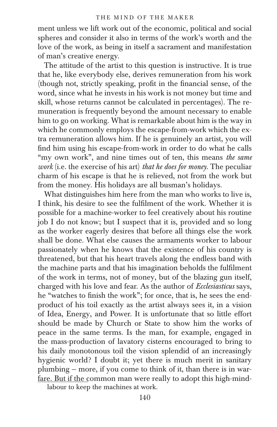ment unless we lift work out of the economic, political and social spheres and consider it also in terms of the work's worth and the love of the work, as being in itself a sacrament and manifestation of man's creative energy.

The attitude of the artist to this question is instructive. It is true that he, like everybody else, derives remuneration from his work (though not, strictly speaking, profit in the financial sense, of the word, since what he invests in his work is not money but time and skill, whose returns cannot be calculated in percentages). The remuneration is frequently beyond the amount necessary to enable him to go on working. What is remarkable about him is the way in which he commonly employs the escape-from-work which the extra remuneration allows him. If he is genuinely an artist, you will find him using his escape-from-work in order to do what he calls "my own work", and nine times out of ten, this means *the same work* (i.e. the exercise of his art) *that he does for money*. The peculiar charm of his escape is that he is relieved, not from the work but from the money. His holidays are all busman's holidays.

What distinguishes him here from the man who works to live is, I think, his desire to see the fulfilment of the work. Whether it is possible for a machine-worker to feel creatively about his routine job I do not know; but I suspect that it is, provided and so long as the worker eagerly desires that before all things else the work shall be done. What else causes the armaments worker to labour passionately when he knows that the existence of his country is threatened, but that his heart travels along the endless band with the machine parts and that his imagination beholds the fulfilment of the work in terms, not of money, but of the blazing gun itself, charged with his love and fear. As the author of *Ecclesiasticus* says, he "watches to finish the work"; for once, that is, he sees the endproduct of his toil exactly as the artist always sees it, in a vision of Idea, Energy, and Power. It is unfortunate that so little effort should be made by Church or State to show him the works of peace in the same terms. Is the man, for example, engaged in the mass-production of lavatory cisterns encouraged to bring to his daily monotonous toil the vision splendid of an increasingly hygienic world? I doubt it; yet there is much merit in sanitary plumbing — more, if you come to think of it, than there is in warfare. But if the common man were really to adopt this high-mind-

labour to keep the machines at work.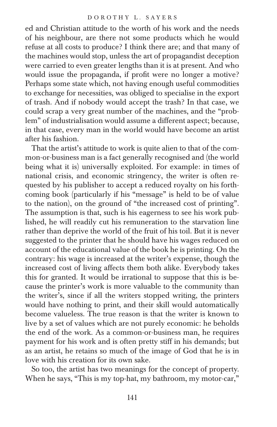#### DOROTHY L. SAYERS

ed and Christian attitude to the worth of his work and the needs of his neighbour, are there not some products which he would refuse at all costs to produce? I think there are; and that many of the machines would stop, unless the art of propagandist deception were carried to even greater lengths than it is at present. And who would issue the propaganda, if profit were no longer a motive? Perhaps some state which, not having enough useful commodities to exchange for necessities, was obliged to specialise in the export of trash. And if nobody would accept the trash? In that case, we could scrap a very great number of the machines, and the "problem" of industrialisation would assume a different aspect; because, in that case, every man in the world would have become an artist after his fashion.

That the artist's attitude to work is quite alien to that of the common-or-business man is a fact generally recognised and (the world being what it is) universally exploited. For example: in times of national crisis, and economic stringency, the writer is often requested by his publisher to accept a reduced royalty on his forthcoming book (particularly if his "message" is held to be of value to the nation), on the ground of "the increased cost of printing". The assumption is that, such is his eagerness to see his work published, he will readily cut his remuneration to the starvation line rather than deprive the world of the fruit of his toil. But it is never suggested to the printer that he should have his wages reduced on account of the educational value of the book he is printing. On the contrary: his wage is increased at the writer's expense, though the increased cost of living affects them both alike. Everybody takes this for granted. It would be irrational to suppose that this is because the printer's work is more valuable to the community than the writer's, since if all the writers stopped writing, the printers would have nothing to print, and their skill would automatically become valueless. The true reason is that the writer is known to live by a set of values which are not purely economic: he beholds the end of the work. As a common-or-business man, he requires payment for his work and is often pretty stiff in his demands; but as an artist, he retains so much of the image of God that he is in love with his creation for its own sake.

So too, the artist has two meanings for the concept of property. When he says, "This is my top-hat, my bathroom, my motor-car,"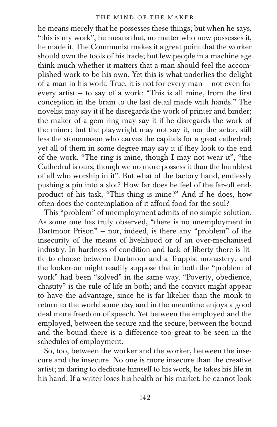#### THE MIND OF THE MAKER

he means merely that he possesses these things; but when he says, "this is my work", he means that, no matter who now possesses it, he made it. The Communist makes it a great point that the worker should own the tools of his trade; but few people in a machine age think much whether it matters that a man should feel the accomplished work to be his own. Yet this is what underlies the delight of a man in his work. True, it is not for every man — not even for every artist — to say of a work: "This is all mine, from the first conception in the brain to the last detail made with hands." The novelist may say it if he disregards the work of printer and binder; the maker of a gem-ring may say it if he disregards the work of the miner; but the playwright may not say it, nor the actor, still less the stonemason who carves the capitals for a great cathedral; yet all of them in some degree may say it if they look to the end of the work. "The ring is mine, though I may not wear it", "the Cathedral is ours, though we no more possess it than the humblest of all who worship in it". But what of the factory hand, endlessly pushing a pin into a slot? How far does he feel of the far-off endproduct of his task, "This thing is mine?" And if he does, how often does the contemplation of it afford food for the soul?

This "problem" of unemployment admits of no simple solution. As some one has truly observed, "there is no unemployment in Dartmoor Prison" — nor, indeed, is there any "problem" of the insecurity of the means of livelihood or of an over-mechanised industry. In hardness of condition and lack of liberty there is little to choose between Dartmoor and a Trappist monastery, and the looker-on might readily suppose that in both the "problem of work" had been "solved" in the same way. "Poverty, obedience, chastity" is the rule of life in both; and the convict might appear to have the advantage, since he is far likelier than the monk to return to the world some day and in the meantime enjoys a good deal more freedom of speech. Yet between the employed and the employed, between the secure and the secure, between the bound and the bound there is a difference too great to be seen in the schedules of employment.

So, too, between the worker and the worker, between the insecure and the insecure. No one is more insecure than the creative artist; in daring to dedicate himself to his work, he takes his life in his hand. If a writer loses his health or his market, he cannot look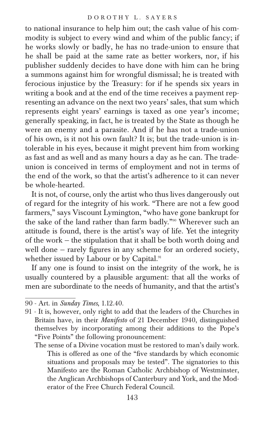to national insurance to help him out; the cash value of his commodity is subject to every wind and whim of the public fancy; if he works slowly or badly, he has no trade-union to ensure that he shall be paid at the same rate as better workers, nor, if his publisher suddenly decides to have done with him can he bring a summons against him for wrongful dismissal; he is treated with ferocious injustice by the Treasury: for if he spends six years in writing a book and at the end of the time receives a payment representing an advance on the next two years' sales, that sum which represents eight years' earnings is taxed as one year's income; generally speaking, in fact, he is treated by the State as though he were an enemy and a parasite. And if he has not a trade-union of his own, is it not his own fault? It is; but the trade-union is intolerable in his eyes, because it might prevent him from working as fast and as well and as many hours a day as he can. The tradeunion is conceived in terms of employment and not in terms of the end of the work, so that the artist's adherence to it can never be whole-hearted.

It is not, of course, only the artist who thus lives dangerously out of regard for the integrity of his work. "There are not a few good farmers," says Viscount Lymington, "who have gone bankrupt for the sake of the land rather than farm badly."90 Wherever such an attitude is found, there is the artist's way of life. Yet the integrity of the work — the stipulation that it shall be both worth doing and well done — rarely figures in any scheme for an ordered society, whether issued by Labour or by Capital.<sup>91</sup>

If any one is found to insist on the integrity of the work, he is usually countered by a plausible argument: that all the works of men are subordinate to the needs of humanity, and that the artist's

<sup>90 -</sup> Art. in *Sunday Times*, 1.12.40.

<sup>91 -</sup> It is, however, only right to add that the leaders of the Churches in Britain have, in their *Manifesto* of 21 December 1940, distinguished themselves by incorporating among their additions to the Pope's "Five Points" the following pronouncement:

The sense of a Divine vocation must be restored to man's daily work. This is offered as one of the "five standards by which economic situations and proposals may be tested". The signatories to this Manifesto are the Roman Catholic Archbishop of Westminster, the Anglican Archbishops of Canterbury and York, and the Moderator of the Free Church Federal Council.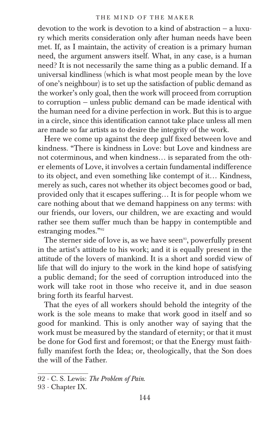#### THE MIND OF THE MAKER

devotion to the work is devotion to a kind of abstraction — a luxury which merits consideration only after human needs have been met. If, as I maintain, the activity of creation is a primary human need, the argument answers itself. What, in any case, is a human need? It is not necessarily the same thing as a public demand. If a universal kindliness (which is what most people mean by the love of one's neighbour) is to set up the satisfaction of public demand as the worker's only goal, then the work will proceed from corruption to corruption — unless public demand can be made identical with the human need for a divine perfection in work. But this is to argue in a circle, since this identification cannot take place unless all men are made so far artists as to desire the integrity of the work.

Here we come up against the deep gulf fixed between love and kindness. "There is kindness in Love: but Love and kindness are not coterminous, and when kindness… is separated from the other elements of Love, it involves a certain fundamental indifference to its object, and even something like contempt of it… Kindness, merely as such, cares not whether its object becomes good or bad, provided only that it escapes suffering… It is for people whom we care nothing about that we demand happiness on any terms: with our friends, our lovers, our children, we are exacting and would rather see them suffer much than be happy in contemptible and estranging modes."92

The sterner side of love is, as we have seen<sup>93</sup>, powerfully present in the artist's attitude to his work; and it is equally present in the attitude of the lovers of mankind. It is a short and sordid view of life that will do injury to the work in the kind hope of satisfying a public demand; for the seed of corruption introduced into the work will take root in those who receive it, and in due season bring forth its fearful harvest.

That the eyes of all workers should behold the integrity of the work is the sole means to make that work good in itself and so good for mankind. This is only another way of saying that the work must be measured by the standard of eternity; or that it must be done for God first and foremost; or that the Energy must faithfully manifest forth the Idea; or, theologically, that the Son does the will of the Father.

<sup>92 -</sup> C. S. Lewis: *The Problem of Pain*.

<sup>93 -</sup> Chapter IX.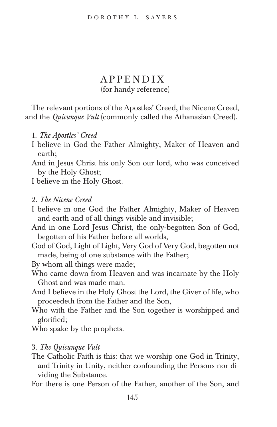# **APPENDIX** (for handy reference)

The relevant portions of the Apostles' Creed, the Nicene Creed, and the *Quicunque Vult* (commonly called the Athanasian Creed).

- 1. *The Apostles' Creed*
- I believe in God the Father Almighty, Maker of Heaven and earth;
- And in Jesus Christ his only Son our lord, who was conceived by the Holy Ghost;

I believe in the Holy Ghost.

#### 2. *The Nicene Creed*

- I believe in one God the Father Almighty, Maker of Heaven and earth and of all things visible and invisible;
- And in one Lord Jesus Christ, the only-begotten Son of God, begotten of his Father before all worlds,
- God of God, Light of Light, Very God of Very God, begotten not made, being of one substance with the Father;

By whom all things were made;

- Who came down from Heaven and was incarnate by the Holy Ghost and was made man.
- And I believe in the Holy Ghost the Lord, the Giver of life, who proceedeth from the Father and the Son,
- Who with the Father and the Son together is worshipped and glorified;

Who spake by the prophets.

### 3. *The Quicunque Vult*

The Catholic Faith is this: that we worship one God in Trinity, and Trinity in Unity, neither confounding the Persons nor dividing the Substance.

For there is one Person of the Father, another of the Son, and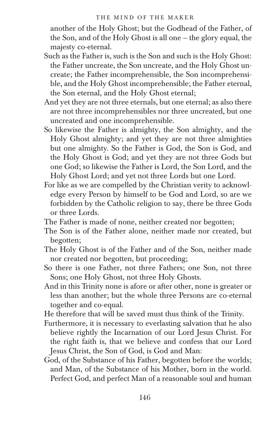another of the Holy Ghost; but the Godhead of the Father, of the Son, and of the Holy Ghost is all one — the glory equal, the majesty co-eternal.

- Such as the Father is, such is the Son and such is the Holy Ghost: the Father uncreate, the Son uncreate, and the Holy Ghost uncreate; the Father incomprehensible, the Son incomprehensible, and the Holy Ghost incomprehensible; the Father eternal, the Son eternal, and the Holy Ghost eternal;
- And yet they are not three eternals, but one eternal; as also there are not three incomprehensibles nor three uncreated, but one uncreated and one incomprehensible.
- So likewise the Father is almighty, the Son almighty, and the Holy Ghost almighty; and yet they are not three almighties but one almighty. So the Father is God, the Son is God, and the Holy Ghost is God; and yet they are not three Gods but one God; so likewise the Father is Lord, the Son Lord, and the Holy Ghost Lord; and yet not three Lords but one Lord.
- For like as we are compelled by the Christian verity to acknowledge every Person by himself to be God and Lord, so are we forbidden by the Catholic religion to say, there be three Gods or three Lords.
- The Father is made of none, neither created nor begotten;
- The Son is of the Father alone, neither made nor created, but begotten;
- The Holy Ghost is of the Father and of the Son, neither made nor created nor begotten, but proceeding;
- So there is one Father, not three Fathers; one Son, not three Sons; one Holy Ghost, not three Holy Ghosts.
- And in this Trinity none is afore or after other, none is greater or less than another; but the whole three Persons are co-eternal together and co-equal.
- He therefore that will be saved must thus think of the Trinity.
- Furthermore, it is necessary to everlasting salvation that he also believe rightly the Incarnation of our Lord Jesus Christ. For the right faith is, that we believe and confess that our Lord Jesus Christ, the Son of God, is God and Man:
- God, of the Substance of his Father, begotten before the worlds; and Man, of the Substance of his Mother, born in the world. Perfect God, and perfect Man of a reasonable soul and human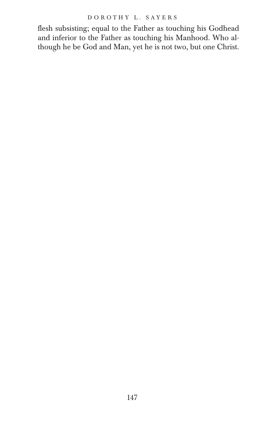## DOROTHY L. SAYERS

flesh subsisting; equal to the Father as touching his Godhead and inferior to the Father as touching his Manhood. Who although he be God and Man, yet he is not two, but one Christ.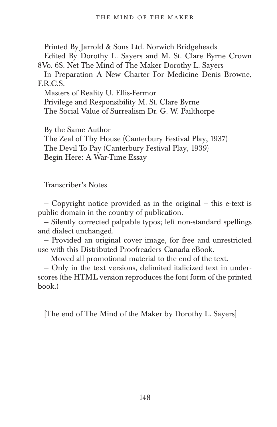Printed By Jarrold & Sons Ltd. Norwich Bridgeheads Edited By Dorothy L. Sayers and M. St. Clare Byrne Crown 8Vo. 6S. Net The Mind of The Maker Dorothy L. Sayers

In Preparation A New Charter For Medicine Denis Browne, F.R.C.S.

Masters of Reality U. Ellis-Fermor

Privilege and Responsibility M. St. Clare Byrne The Social Value of Surrealism Dr. G. W. Pailthorpe

By the Same Author

The Zeal of Thy House (Canterbury Festival Play, 1937) The Devil To Pay (Canterbury Festival Play, 1939) Begin Here: A War-Time Essay

Transcriber's Notes

— Copyright notice provided as in the original — this e-text is public domain in the country of publication.

— Silently corrected palpable typos; left non-standard spellings and dialect unchanged.

— Provided an original cover image, for free and unrestricted use with this Distributed Proofreaders-Canada eBook.

— Moved all promotional material to the end of the text.

— Only in the text versions, delimited italicized text in underscores (the HTML version reproduces the font form of the printed book.)

[The end of The Mind of the Maker by Dorothy L. Sayers]